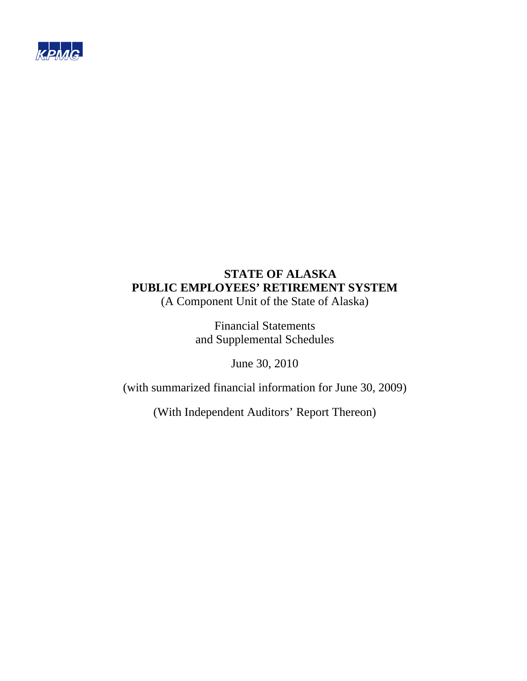

(A Component Unit of the State of Alaska)

Financial Statements and Supplemental Schedules

June 30, 2010

(with summarized financial information for June 30, 2009)

(With Independent Auditors' Report Thereon)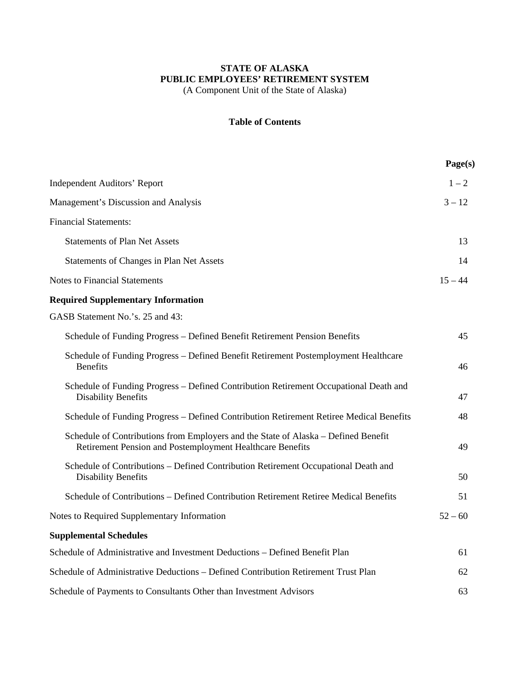(A Component Unit of the State of Alaska)

# **Table of Contents**

|                                                                                                                                                 | Page(s)   |
|-------------------------------------------------------------------------------------------------------------------------------------------------|-----------|
| <b>Independent Auditors' Report</b>                                                                                                             | $1 - 2$   |
| Management's Discussion and Analysis                                                                                                            | $3 - 12$  |
| <b>Financial Statements:</b>                                                                                                                    |           |
| <b>Statements of Plan Net Assets</b>                                                                                                            | 13        |
| Statements of Changes in Plan Net Assets                                                                                                        | 14        |
| <b>Notes to Financial Statements</b>                                                                                                            | $15 - 44$ |
| <b>Required Supplementary Information</b>                                                                                                       |           |
| GASB Statement No.'s. 25 and 43:                                                                                                                |           |
| Schedule of Funding Progress – Defined Benefit Retirement Pension Benefits                                                                      | 45        |
| Schedule of Funding Progress - Defined Benefit Retirement Postemployment Healthcare<br><b>Benefits</b>                                          | 46        |
| Schedule of Funding Progress - Defined Contribution Retirement Occupational Death and<br><b>Disability Benefits</b>                             | 47        |
| Schedule of Funding Progress – Defined Contribution Retirement Retiree Medical Benefits                                                         | 48        |
| Schedule of Contributions from Employers and the State of Alaska – Defined Benefit<br>Retirement Pension and Postemployment Healthcare Benefits | 49        |
| Schedule of Contributions – Defined Contribution Retirement Occupational Death and<br><b>Disability Benefits</b>                                | 50        |
| Schedule of Contributions – Defined Contribution Retirement Retiree Medical Benefits                                                            | 51        |
| Notes to Required Supplementary Information                                                                                                     | $52 - 60$ |
| <b>Supplemental Schedules</b>                                                                                                                   |           |
| Schedule of Administrative and Investment Deductions - Defined Benefit Plan                                                                     | 61        |
| Schedule of Administrative Deductions - Defined Contribution Retirement Trust Plan                                                              | 62        |
|                                                                                                                                                 |           |

Schedule of Payments to Consultants Other than Investment Advisors 63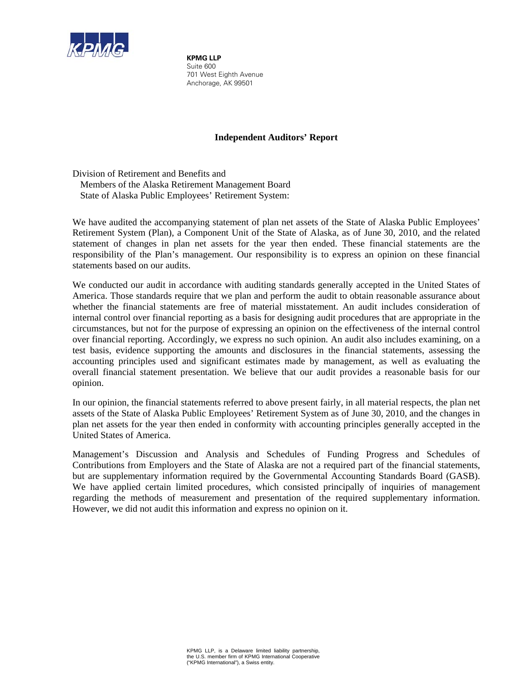

**KPMG LLP** Suite 600 701 West Eighth Avenue Anchorage, AK 99501

# **Independent Auditors' Report**

Division of Retirement and Benefits and Members of the Alaska Retirement Management Board State of Alaska Public Employees' Retirement System:

We have audited the accompanying statement of plan net assets of the State of Alaska Public Employees' Retirement System (Plan), a Component Unit of the State of Alaska, as of June 30, 2010, and the related statement of changes in plan net assets for the year then ended. These financial statements are the responsibility of the Plan's management. Our responsibility is to express an opinion on these financial statements based on our audits.

We conducted our audit in accordance with auditing standards generally accepted in the United States of America. Those standards require that we plan and perform the audit to obtain reasonable assurance about whether the financial statements are free of material misstatement. An audit includes consideration of internal control over financial reporting as a basis for designing audit procedures that are appropriate in the circumstances, but not for the purpose of expressing an opinion on the effectiveness of the internal control over financial reporting. Accordingly, we express no such opinion. An audit also includes examining, on a test basis, evidence supporting the amounts and disclosures in the financial statements, assessing the accounting principles used and significant estimates made by management, as well as evaluating the overall financial statement presentation. We believe that our audit provides a reasonable basis for our opinion.

In our opinion, the financial statements referred to above present fairly, in all material respects, the plan net assets of the State of Alaska Public Employees' Retirement System as of June 30, 2010, and the changes in plan net assets for the year then ended in conformity with accounting principles generally accepted in the United States of America.

Management's Discussion and Analysis and Schedules of Funding Progress and Schedules of Contributions from Employers and the State of Alaska are not a required part of the financial statements, but are supplementary information required by the Governmental Accounting Standards Board (GASB). We have applied certain limited procedures, which consisted principally of inquiries of management regarding the methods of measurement and presentation of the required supplementary information. However, we did not audit this information and express no opinion on it.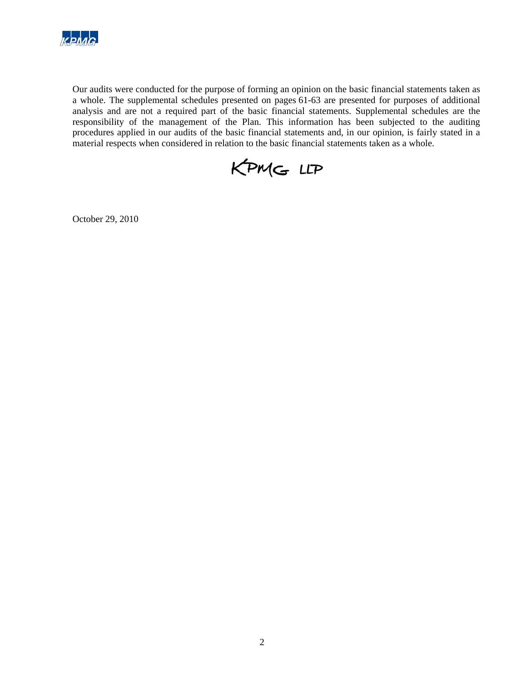

Our audits were conducted for the purpose of forming an opinion on the basic financial statements taken as a whole. The supplemental schedules presented on pages 61-63 are presented for purposes of additional analysis and are not a required part of the basic financial statements. Supplemental schedules are the responsibility of the management of the Plan. This information has been subjected to the auditing procedures applied in our audits of the basic financial statements and, in our opinion, is fairly stated in a material respects when considered in relation to the basic financial statements taken as a whole.



October 29, 2010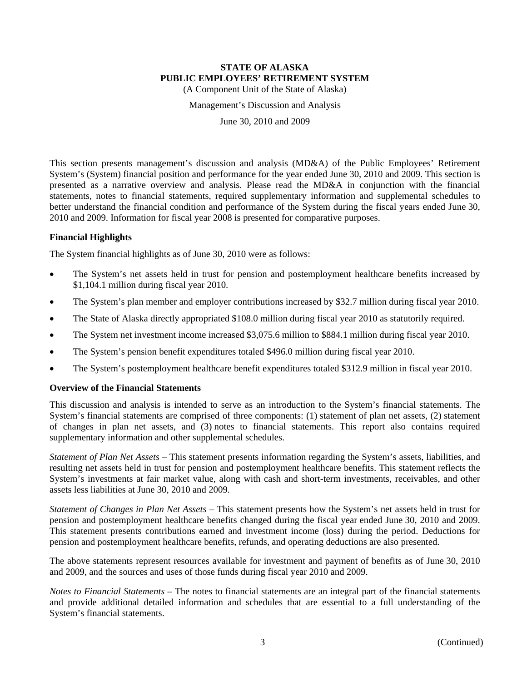(A Component Unit of the State of Alaska)

Management's Discussion and Analysis

June 30, 2010 and 2009

This section presents management's discussion and analysis (MD&A) of the Public Employees' Retirement System's (System) financial position and performance for the year ended June 30, 2010 and 2009. This section is presented as a narrative overview and analysis. Please read the MD&A in conjunction with the financial statements, notes to financial statements, required supplementary information and supplemental schedules to better understand the financial condition and performance of the System during the fiscal years ended June 30, 2010 and 2009. Information for fiscal year 2008 is presented for comparative purposes.

# **Financial Highlights**

The System financial highlights as of June 30, 2010 were as follows:

- The System's net assets held in trust for pension and postemployment healthcare benefits increased by \$1,104.1 million during fiscal year 2010.
- The System's plan member and employer contributions increased by \$32.7 million during fiscal year 2010.
- The State of Alaska directly appropriated \$108.0 million during fiscal year 2010 as statutorily required.
- The System net investment income increased \$3,075.6 million to \$884.1 million during fiscal year 2010.
- The System's pension benefit expenditures totaled \$496.0 million during fiscal year 2010.
- The System's postemployment healthcare benefit expenditures totaled \$312.9 million in fiscal year 2010.

### **Overview of the Financial Statements**

This discussion and analysis is intended to serve as an introduction to the System's financial statements. The System's financial statements are comprised of three components: (1) statement of plan net assets, (2) statement of changes in plan net assets, and (3) notes to financial statements. This report also contains required supplementary information and other supplemental schedules.

*Statement of Plan Net Assets* – This statement presents information regarding the System's assets, liabilities, and resulting net assets held in trust for pension and postemployment healthcare benefits. This statement reflects the System's investments at fair market value, along with cash and short-term investments, receivables, and other assets less liabilities at June 30, 2010 and 2009.

*Statement of Changes in Plan Net Assets* – This statement presents how the System's net assets held in trust for pension and postemployment healthcare benefits changed during the fiscal year ended June 30, 2010 and 2009. This statement presents contributions earned and investment income (loss) during the period. Deductions for pension and postemployment healthcare benefits, refunds, and operating deductions are also presented.

The above statements represent resources available for investment and payment of benefits as of June 30, 2010 and 2009, and the sources and uses of those funds during fiscal year 2010 and 2009.

*Notes to Financial Statements* – The notes to financial statements are an integral part of the financial statements and provide additional detailed information and schedules that are essential to a full understanding of the System's financial statements.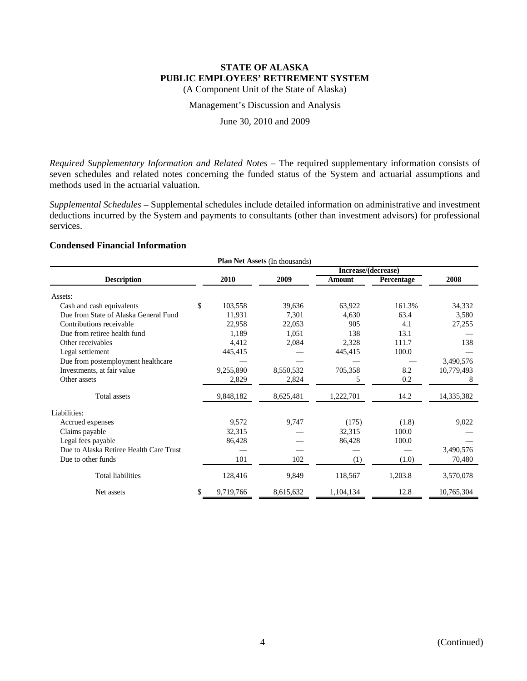(A Component Unit of the State of Alaska)

Management's Discussion and Analysis

June 30, 2010 and 2009

*Required Supplementary Information and Related Notes* – The required supplementary information consists of seven schedules and related notes concerning the funded status of the System and actuarial assumptions and methods used in the actuarial valuation.

*Supplemental Schedules* – Supplemental schedules include detailed information on administrative and investment deductions incurred by the System and payments to consultants (other than investment advisors) for professional services.

# **Condensed Financial Information**

| <b>Plan Net Assets (In thousands)</b>   |    |           |           |                     |            |            |  |  |
|-----------------------------------------|----|-----------|-----------|---------------------|------------|------------|--|--|
|                                         |    |           |           | Increase/(decrease) |            |            |  |  |
| <b>Description</b>                      |    | 2010      | 2009      | Amount              | Percentage | 2008       |  |  |
| Assets:                                 |    |           |           |                     |            |            |  |  |
| Cash and cash equivalents               | \$ | 103,558   | 39,636    | 63,922              | 161.3%     | 34,332     |  |  |
| Due from State of Alaska General Fund   |    | 11,931    | 7,301     | 4,630               | 63.4       | 3,580      |  |  |
| Contributions receivable                |    | 22,958    | 22,053    | 905                 | 4.1        | 27,255     |  |  |
| Due from retiree health fund            |    | 1,189     | 1,051     | 138                 | 13.1       |            |  |  |
| Other receivables                       |    | 4,412     | 2,084     | 2,328               | 111.7      | 138        |  |  |
| Legal settlement                        |    | 445,415   |           | 445,415             | 100.0      |            |  |  |
| Due from postemployment healthcare      |    |           |           |                     |            | 3,490,576  |  |  |
| Investments, at fair value              |    | 9,255,890 | 8,550,532 | 705,358             | 8.2        | 10,779,493 |  |  |
| Other assets                            |    | 2,829     | 2,824     | 5                   | 0.2        | 8          |  |  |
| Total assets                            |    | 9,848,182 | 8,625,481 | 1,222,701           | 14.2       | 14,335,382 |  |  |
| Liabilities:                            |    |           |           |                     |            |            |  |  |
| Accrued expenses                        |    | 9,572     | 9,747     | (175)               | (1.8)      | 9,022      |  |  |
| Claims payable                          |    | 32,315    |           | 32,315              | 100.0      |            |  |  |
| Legal fees payable                      |    | 86,428    |           | 86,428              | 100.0      |            |  |  |
| Due to Alaska Retiree Health Care Trust |    |           |           |                     |            | 3,490,576  |  |  |
| Due to other funds                      |    | 101       | 102       | (1)                 | (1.0)      | 70,480     |  |  |
| <b>Total liabilities</b>                |    | 128,416   | 9,849     | 118,567             | 1,203.8    | 3,570,078  |  |  |
| Net assets                              | \$ | 9,719,766 | 8,615,632 | 1,104,134           | 12.8       | 10,765,304 |  |  |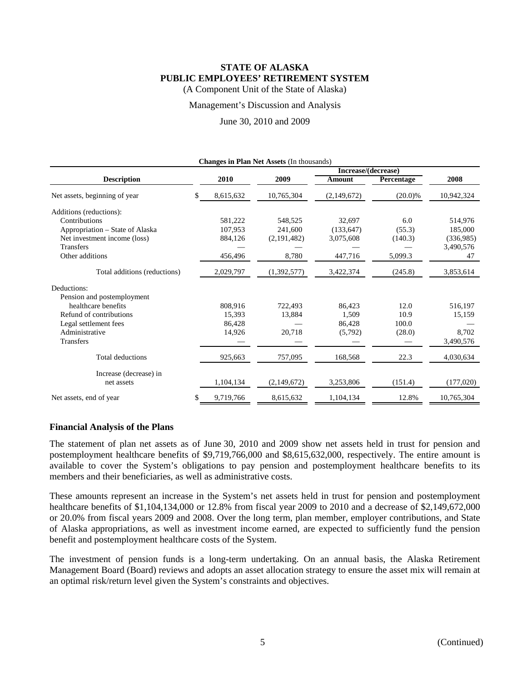(A Component Unit of the State of Alaska)

#### Management's Discussion and Analysis

June 30, 2010 and 2009

|     | 2010      | 2009          | Amount      | Percentage                                | 2008                |
|-----|-----------|---------------|-------------|-------------------------------------------|---------------------|
| \$. | 8,615,632 | 10,765,304    | (2,149,672) | $(20.0)\%$                                | 10,942,324          |
|     |           |               |             |                                           |                     |
|     | 581,222   | 548,525       | 32,697      | 6.0                                       | 514,976             |
|     | 107,953   | 241,600       | (133, 647)  | (55.3)                                    | 185,000             |
|     | 884,126   | (2, 191, 482) | 3,075,608   | (140.3)                                   | (336,985)           |
|     |           |               |             |                                           | 3,490,576           |
|     | 456,496   | 8,780         | 447,716     | 5,099.3                                   | 47                  |
|     | 2,029,797 | (1,392,577)   | 3,422,374   | (245.8)                                   | 3,853,614           |
|     |           |               |             |                                           |                     |
|     |           |               |             |                                           |                     |
|     | 808.916   | 722.493       | 86.423      | 12.0                                      | 516,197             |
|     | 15,393    | 13,884        | 1,509       | 10.9                                      | 15,159              |
|     | 86.428    |               | 86,428      | 100.0                                     |                     |
|     | 14,926    | 20,718        | (5,792)     | (28.0)                                    | 8,702               |
|     |           |               |             |                                           | 3,490,576           |
|     | 925,663   | 757,095       | 168,568     | 22.3                                      | 4,030,634           |
|     |           |               |             |                                           |                     |
|     | 1,104,134 | (2,149,672)   | 3,253,806   | (151.4)                                   | (177,020)           |
|     | 9,719,766 | 8,615,632     | 1,104,134   | 12.8%                                     | 10,765,304          |
|     |           |               |             | Changes in Plan Net Assets (In thousands) | Increase/(decrease) |

### **Financial Analysis of the Plans**

The statement of plan net assets as of June 30, 2010 and 2009 show net assets held in trust for pension and postemployment healthcare benefits of \$9,719,766,000 and \$8,615,632,000, respectively. The entire amount is available to cover the System's obligations to pay pension and postemployment healthcare benefits to its members and their beneficiaries, as well as administrative costs.

These amounts represent an increase in the System's net assets held in trust for pension and postemployment healthcare benefits of \$1,104,134,000 or 12.8% from fiscal year 2009 to 2010 and a decrease of \$2,149,672,000 or 20.0% from fiscal years 2009 and 2008. Over the long term, plan member, employer contributions, and State of Alaska appropriations, as well as investment income earned, are expected to sufficiently fund the pension benefit and postemployment healthcare costs of the System.

The investment of pension funds is a long-term undertaking. On an annual basis, the Alaska Retirement Management Board (Board) reviews and adopts an asset allocation strategy to ensure the asset mix will remain at an optimal risk/return level given the System's constraints and objectives.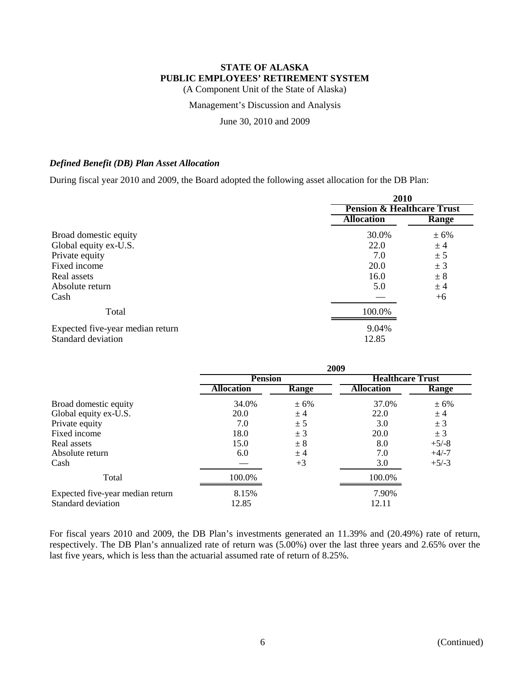(A Component Unit of the State of Alaska)

### Management's Discussion and Analysis

June 30, 2010 and 2009

# *Defined Benefit (DB) Plan Asset Allocation*

During fiscal year 2010 and 2009, the Board adopted the following asset allocation for the DB Plan:

|                                  | 2010<br><b>Pension &amp; Healthcare Trust</b> |              |  |  |
|----------------------------------|-----------------------------------------------|--------------|--|--|
|                                  |                                               |              |  |  |
|                                  | <b>Allocation</b>                             | <b>Range</b> |  |  |
| Broad domestic equity            | 30.0%                                         | ± 6%         |  |  |
| Global equity ex-U.S.            | 22.0                                          | ± 4          |  |  |
| Private equity                   | 7.0                                           | ± 5          |  |  |
| Fixed income                     | 20.0                                          | ± 3          |  |  |
| Real assets                      | 16.0                                          | ± 8          |  |  |
| Absolute return                  | 5.0                                           | $±$ 4        |  |  |
| Cash                             |                                               | $+6$         |  |  |
| Total                            | 100.0%                                        |              |  |  |
| Expected five-year median return | 9.04%                                         |              |  |  |
| Standard deviation               | 12.85                                         |              |  |  |

|                                  | 2009              |         |                         |         |  |  |  |
|----------------------------------|-------------------|---------|-------------------------|---------|--|--|--|
|                                  | <b>Pension</b>    |         | <b>Healthcare Trust</b> |         |  |  |  |
|                                  | <b>Allocation</b> | Range   | <b>Allocation</b>       | Range   |  |  |  |
| Broad domestic equity            | 34.0%             | $± 6\%$ | 37.0%                   | ± 6%    |  |  |  |
| Global equity ex-U.S.            | 20.0              | ± 4     | 22.0                    | ±4      |  |  |  |
| Private equity                   | 7.0               | ± 5     | 3.0                     | ± 3     |  |  |  |
| Fixed income                     | 18.0              | ± 3     | <b>20.0</b>             | $\pm$ 3 |  |  |  |
| Real assets                      | 15.0              | $\pm 8$ | 8.0                     | $+5/-8$ |  |  |  |
| Absolute return                  | 6.0               | ± 4     | 7.0                     | $+4/-7$ |  |  |  |
| Cash                             |                   | $+3$    | 3.0                     | $+5/-3$ |  |  |  |
| Total                            | 100.0%            |         | 100.0%                  |         |  |  |  |
| Expected five-year median return | 8.15%             |         | 7.90%                   |         |  |  |  |
| Standard deviation               | 12.85             |         | 12.11                   |         |  |  |  |

For fiscal years 2010 and 2009, the DB Plan's investments generated an 11.39% and (20.49%) rate of return, respectively. The DB Plan's annualized rate of return was (5.00%) over the last three years and 2.65% over the last five years, which is less than the actuarial assumed rate of return of 8.25%.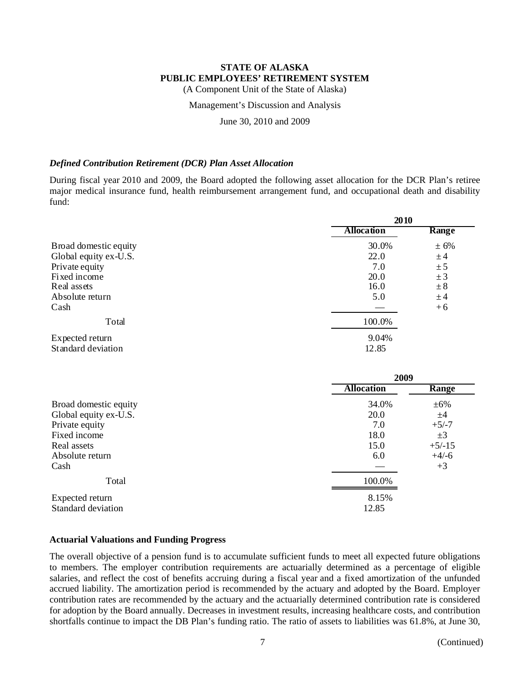(A Component Unit of the State of Alaska)

### Management's Discussion and Analysis

June 30, 2010 and 2009

## *Defined Contribution Retirement (DCR) Plan Asset Allocation*

During fiscal year 2010 and 2009, the Board adopted the following asset allocation for the DCR Plan's retiree major medical insurance fund, health reimbursement arrangement fund, and occupational death and disability fund:

|                       | 2010              |         |  |  |
|-----------------------|-------------------|---------|--|--|
|                       | <b>Allocation</b> | Range   |  |  |
| Broad domestic equity | 30.0%             | ± 6%    |  |  |
| Global equity ex-U.S. | 22.0              | ±4      |  |  |
| Private equity        | 7.0               | ± 5     |  |  |
| Fixed income          | 20.0              | ± 3     |  |  |
| Real assets           | 16.0              | $\pm 8$ |  |  |
| Absolute return       | 5.0               | ±4      |  |  |
| Cash                  |                   | $+6$    |  |  |
| Total                 | 100.0%            |         |  |  |
| Expected return       | 9.04%             |         |  |  |
| Standard deviation    | 12.85             |         |  |  |

|                       | 2009              |           |  |  |
|-----------------------|-------------------|-----------|--|--|
|                       | <b>Allocation</b> | Range     |  |  |
| Broad domestic equity | 34.0%             | $\pm 6\%$ |  |  |
| Global equity ex-U.S. | 20.0              | ±4        |  |  |
| Private equity        | 7.0               | $+5/-7$   |  |  |
| Fixed income          | 18.0              | $\pm 3$   |  |  |
| Real assets           | 15.0              | $+5/-15$  |  |  |
| Absolute return       | 6.0               | $+4/-6$   |  |  |
| Cash                  |                   | $+3$      |  |  |
| Total                 | 100.0%            |           |  |  |
| Expected return       | 8.15%             |           |  |  |
| Standard deviation    | 12.85             |           |  |  |

### **Actuarial Valuations and Funding Progress**

The overall objective of a pension fund is to accumulate sufficient funds to meet all expected future obligations to members. The employer contribution requirements are actuarially determined as a percentage of eligible salaries, and reflect the cost of benefits accruing during a fiscal year and a fixed amortization of the unfunded accrued liability. The amortization period is recommended by the actuary and adopted by the Board. Employer contribution rates are recommended by the actuary and the actuarially determined contribution rate is considered for adoption by the Board annually. Decreases in investment results, increasing healthcare costs, and contribution shortfalls continue to impact the DB Plan's funding ratio. The ratio of assets to liabilities was 61.8%, at June 30,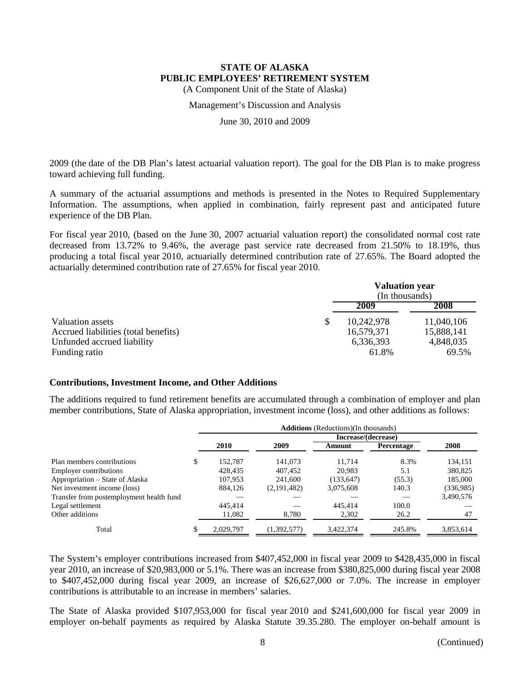(A Component Unit of the State of Alaska)

#### Management's Discussion and Analysis

June 30, 2010 and 2009

2009 (the date of the DB Plan's latest actuarial valuation report). The goal for the DB Plan is to make progress toward achieving full funding.

A summary of the actuarial assumptions and methods is presented in the Notes to Required Supplementary Information. The assumptions, when applied in combination, fairly represent past and anticipated future experience of the DB Plan.

For fiscal year 2010, (based on the June 30, 2007 actuarial valuation report) the consolidated normal cost rate decreased from 13.72% to 9.46%, the average past service rate decreased from 21.50% to 18.19%, thus producing a total fiscal year 2010, actuarially determined contribution rate of 27.65%. The Board adopted the actuarially determined contribution rate of 27.65% for fiscal year 2010.

|                                      | <b>Valuation year</b><br>(In thousands) |            |
|--------------------------------------|-----------------------------------------|------------|
|                                      | 2009                                    | 2008       |
| Valuation assets                     | \$<br>10,242,978                        | 11,040,106 |
| Accrued liabilities (total benefits) | 16,579,371                              | 15,888,141 |
| Unfunded accrued liability           | 6,336,393                               | 4,848,035  |
| Funding ratio                        | 61.8%                                   | 69.5%      |

### **Contributions, Investment Income, and Other Additions**

The additions required to fund retirement benefits are accumulated through a combination of employer and plan member contributions, State of Alaska appropriation, investment income (loss), and other additions as follows:

|                                          | <b>Additions</b> (Reductions)(In thousands) |           |             |                     |                   |           |  |  |
|------------------------------------------|---------------------------------------------|-----------|-------------|---------------------|-------------------|-----------|--|--|
|                                          |                                             |           |             | Increase/(decrease) |                   |           |  |  |
|                                          |                                             | 2010      | 2009        | Amount              | <b>Percentage</b> | 2008      |  |  |
| Plan members contributions               | S                                           | 152,787   | 141,073     | 11.714              | 8.3%              | 134,151   |  |  |
| <b>Employer contributions</b>            |                                             | 428,435   | 407,452     | 20.983              | 5.1               | 380,825   |  |  |
| Appropriation – State of Alaska          |                                             | 107.953   | 241,600     | (133, 647)          | (55.3)            | 185,000   |  |  |
| Net investment income (loss)             |                                             | 884.126   | (2,191,482) | 3,075,608           | 140.3             | (336,985) |  |  |
| Transfer from postemployment health fund |                                             |           |             |                     |                   | 3,490,576 |  |  |
| Legal settlement                         |                                             | 445,414   |             | 445,414             | 100.0             |           |  |  |
| Other additions                          |                                             | 11,082    | 8,780       | 2,302               | 26.2              | 47        |  |  |
| Total                                    |                                             | 2.029.797 | (1,392,577) | 3.422.374           | 245.8%            | 3,853,614 |  |  |

The System's employer contributions increased from \$407,452,000 in fiscal year 2009 to \$428,435,000 in fiscal year 2010, an increase of \$20,983,000 or 5.1%. There was an increase from \$380,825,000 during fiscal year 2008 to \$407,452,000 during fiscal year 2009, an increase of \$26,627,000 or 7.0%. The increase in employer contributions is attributable to an increase in members' salaries.

The State of Alaska provided \$107,953,000 for fiscal year 2010 and \$241,600,000 for fiscal year 2009 in employer on-behalf payments as required by Alaska Statute 39.35.280. The employer on-behalf amount is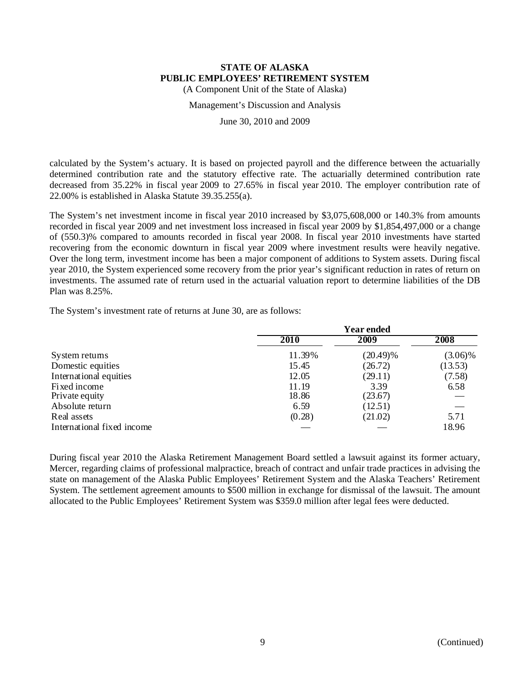(A Component Unit of the State of Alaska)

#### Management's Discussion and Analysis

June 30, 2010 and 2009

calculated by the System's actuary. It is based on projected payroll and the difference between the actuarially determined contribution rate and the statutory effective rate. The actuarially determined contribution rate decreased from 35.22% in fiscal year 2009 to 27.65% in fiscal year 2010. The employer contribution rate of 22.00% is established in Alaska Statute 39.35.255(a).

The System's net investment income in fiscal year 2010 increased by \$3,075,608,000 or 140.3% from amounts recorded in fiscal year 2009 and net investment loss increased in fiscal year 2009 by \$1,854,497,000 or a change of (550.3)% compared to amounts recorded in fiscal year 2008. In fiscal year 2010 investments have started recovering from the economic downturn in fiscal year 2009 where investment results were heavily negative. Over the long term, investment income has been a major component of additions to System assets. During fiscal year 2010, the System experienced some recovery from the prior year's significant reduction in rates of return on investments. The assumed rate of return used in the actuarial valuation report to determine liabilities of the DB Plan was 8.25%.

The System's investment rate of returns at June 30, are as follows:

|                            | <b>Year ended</b> |             |            |  |  |  |
|----------------------------|-------------------|-------------|------------|--|--|--|
|                            | <b>2010</b>       | 2009        | 2008       |  |  |  |
| System returns             | 11.39%            | $(20.49)\%$ | $(3.06)\%$ |  |  |  |
| Domestic equities          | 15.45             | (26.72)     | (13.53)    |  |  |  |
| International equities     | 12.05             | (29.11)     | (7.58)     |  |  |  |
| Fixed income               | 11.19             | 3.39        | 6.58       |  |  |  |
| Private equity             | 18.86             | (23.67)     |            |  |  |  |
| Absolute return            | 6.59              | (12.51)     |            |  |  |  |
| Real assets                | (0.28)            | (21.02)     | 5.71       |  |  |  |
| International fixed income |                   |             | 18.96      |  |  |  |

During fiscal year 2010 the Alaska Retirement Management Board settled a lawsuit against its former actuary, Mercer, regarding claims of professional malpractice, breach of contract and unfair trade practices in advising the state on management of the Alaska Public Employees' Retirement System and the Alaska Teachers' Retirement System. The settlement agreement amounts to \$500 million in exchange for dismissal of the lawsuit. The amount allocated to the Public Employees' Retirement System was \$359.0 million after legal fees were deducted.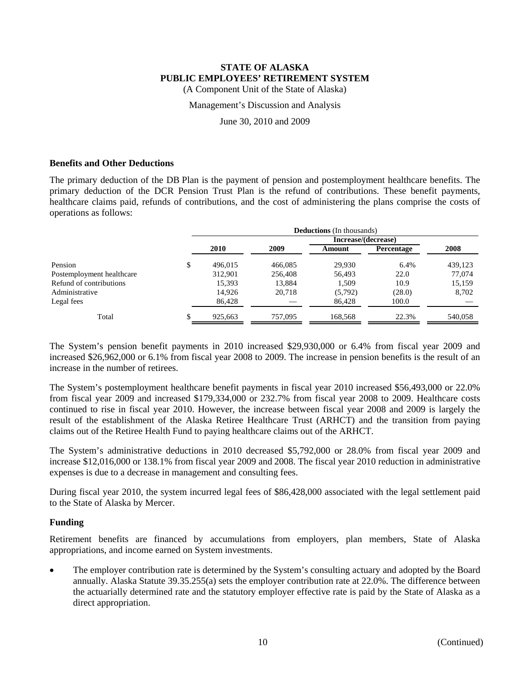(A Component Unit of the State of Alaska)

#### Management's Discussion and Analysis

June 30, 2010 and 2009

### **Benefits and Other Deductions**

The primary deduction of the DB Plan is the payment of pension and postemployment healthcare benefits. The primary deduction of the DCR Pension Trust Plan is the refund of contributions. These benefit payments, healthcare claims paid, refunds of contributions, and the cost of administering the plans comprise the costs of operations as follows:

|                           | <b>Deductions</b> (In thousands) |         |                     |            |         |  |  |  |
|---------------------------|----------------------------------|---------|---------------------|------------|---------|--|--|--|
|                           |                                  |         | Increase/(decrease) |            |         |  |  |  |
|                           | 2010                             | 2009    | Amount              | Percentage | 2008    |  |  |  |
| Pension                   | 496.015                          | 466,085 | 29.930              | 6.4%       | 439,123 |  |  |  |
| Postemployment healthcare | 312.901                          | 256,408 | 56.493              | 22.0       | 77,074  |  |  |  |
| Refund of contributions   | 15,393                           | 13,884  | 1.509               | 10.9       | 15,159  |  |  |  |
| Administrative            | 14.926                           | 20.718  | (5,792)             | (28.0)     | 8,702   |  |  |  |
| Legal fees                | 86.428                           |         | 86.428              | 100.0      |         |  |  |  |
| Total                     | 925,663                          | 757,095 | 168.568             | 22.3%      | 540,058 |  |  |  |

The System's pension benefit payments in 2010 increased \$29,930,000 or 6.4% from fiscal year 2009 and increased \$26,962,000 or 6.1% from fiscal year 2008 to 2009. The increase in pension benefits is the result of an increase in the number of retirees.

The System's postemployment healthcare benefit payments in fiscal year 2010 increased \$56,493,000 or 22.0% from fiscal year 2009 and increased \$179,334,000 or 232.7% from fiscal year 2008 to 2009. Healthcare costs continued to rise in fiscal year 2010. However, the increase between fiscal year 2008 and 2009 is largely the result of the establishment of the Alaska Retiree Healthcare Trust (ARHCT) and the transition from paying claims out of the Retiree Health Fund to paying healthcare claims out of the ARHCT.

The System's administrative deductions in 2010 decreased \$5,792,000 or 28.0% from fiscal year 2009 and increase \$12,016,000 or 138.1% from fiscal year 2009 and 2008. The fiscal year 2010 reduction in administrative expenses is due to a decrease in management and consulting fees.

During fiscal year 2010, the system incurred legal fees of \$86,428,000 associated with the legal settlement paid to the State of Alaska by Mercer.

# **Funding**

Retirement benefits are financed by accumulations from employers, plan members, State of Alaska appropriations, and income earned on System investments.

 The employer contribution rate is determined by the System's consulting actuary and adopted by the Board annually. Alaska Statute 39.35.255(a) sets the employer contribution rate at 22.0%. The difference between the actuarially determined rate and the statutory employer effective rate is paid by the State of Alaska as a direct appropriation.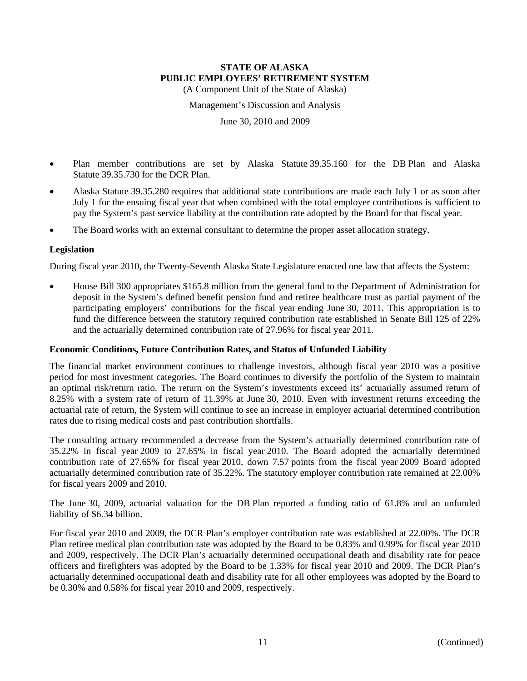(A Component Unit of the State of Alaska)

Management's Discussion and Analysis

June 30, 2010 and 2009

- Plan member contributions are set by Alaska Statute 39.35.160 for the DB Plan and Alaska Statute 39.35.730 for the DCR Plan.
- Alaska Statute 39.35.280 requires that additional state contributions are made each July 1 or as soon after July 1 for the ensuing fiscal year that when combined with the total employer contributions is sufficient to pay the System's past service liability at the contribution rate adopted by the Board for that fiscal year.
- The Board works with an external consultant to determine the proper asset allocation strategy.

### **Legislation**

During fiscal year 2010, the Twenty-Seventh Alaska State Legislature enacted one law that affects the System:

 House Bill 300 appropriates \$165.8 million from the general fund to the Department of Administration for deposit in the System's defined benefit pension fund and retiree healthcare trust as partial payment of the participating employers' contributions for the fiscal year ending June 30, 2011. This appropriation is to fund the difference between the statutory required contribution rate established in Senate Bill 125 of 22% and the actuarially determined contribution rate of 27.96% for fiscal year 2011.

### **Economic Conditions, Future Contribution Rates, and Status of Unfunded Liability**

The financial market environment continues to challenge investors, although fiscal year 2010 was a positive period for most investment categories. The Board continues to diversify the portfolio of the System to maintain an optimal risk/return ratio. The return on the System's investments exceed its' actuarially assumed return of 8.25% with a system rate of return of 11.39% at June 30, 2010. Even with investment returns exceeding the actuarial rate of return, the System will continue to see an increase in employer actuarial determined contribution rates due to rising medical costs and past contribution shortfalls.

The consulting actuary recommended a decrease from the System's actuarially determined contribution rate of 35.22% in fiscal year 2009 to 27.65% in fiscal year 2010. The Board adopted the actuarially determined contribution rate of 27.65% for fiscal year 2010, down 7.57 points from the fiscal year 2009 Board adopted actuarially determined contribution rate of 35.22%. The statutory employer contribution rate remained at 22.00% for fiscal years 2009 and 2010.

The June 30, 2009, actuarial valuation for the DB Plan reported a funding ratio of 61.8% and an unfunded liability of \$6.34 billion.

For fiscal year 2010 and 2009, the DCR Plan's employer contribution rate was established at 22.00%. The DCR Plan retiree medical plan contribution rate was adopted by the Board to be 0.83% and 0.99% for fiscal year 2010 and 2009, respectively. The DCR Plan's actuarially determined occupational death and disability rate for peace officers and firefighters was adopted by the Board to be 1.33% for fiscal year 2010 and 2009. The DCR Plan's actuarially determined occupational death and disability rate for all other employees was adopted by the Board to be 0.30% and 0.58% for fiscal year 2010 and 2009, respectively.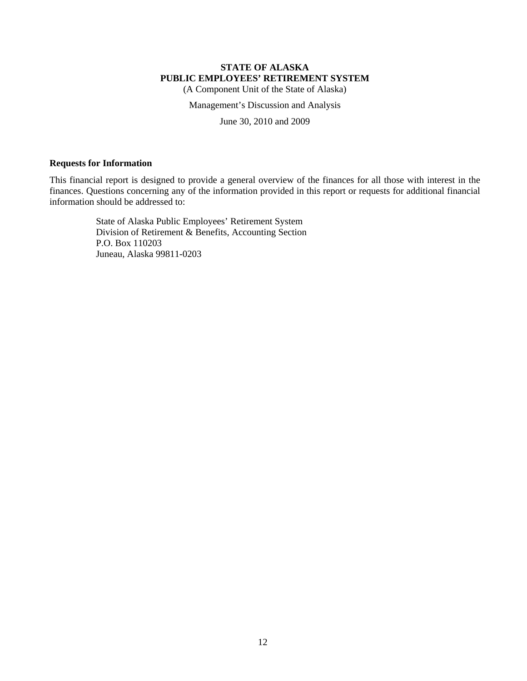(A Component Unit of the State of Alaska)

Management's Discussion and Analysis

June 30, 2010 and 2009

### **Requests for Information**

This financial report is designed to provide a general overview of the finances for all those with interest in the finances. Questions concerning any of the information provided in this report or requests for additional financial information should be addressed to:

> State of Alaska Public Employees' Retirement System Division of Retirement & Benefits, Accounting Section P.O. Box 110203 Juneau, Alaska 99811-0203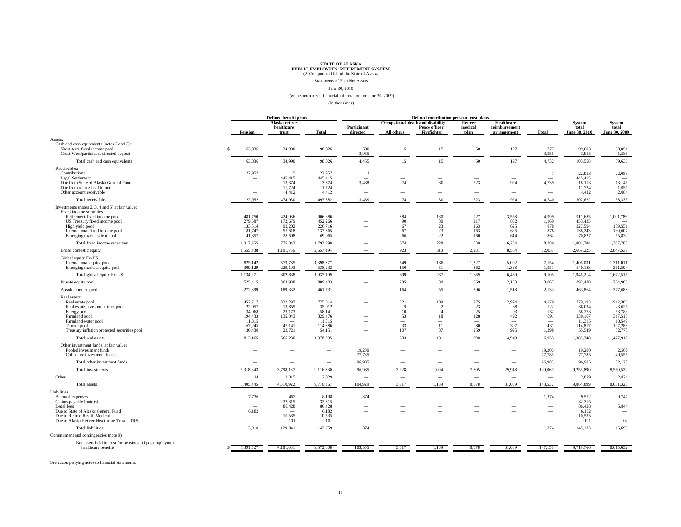Statements of Plan Net Assets June 30, 2010

#### (with summarized financial information for June 30, 2009)

(In thousands)

|                                                                               | Defined benefit plans              |                              | Defined contribution pension trust plans |                                                      |                                   |                                                      |                          |                                    |                                   |                      |                                    |
|-------------------------------------------------------------------------------|------------------------------------|------------------------------|------------------------------------------|------------------------------------------------------|-----------------------------------|------------------------------------------------------|--------------------------|------------------------------------|-----------------------------------|----------------------|------------------------------------|
|                                                                               |                                    | Alaska retiree<br>healthcare |                                          | Participant                                          | Occupational death and disability | Peace officer/                                       | Retiree<br>medical       | <b>Healthcare</b><br>reimbursement |                                   | System<br>total      | <b>System</b><br>total             |
|                                                                               | Pension                            | trust                        | <b>Total</b>                             | directed                                             | All others                        | Firefighter                                          | plan                     | arrangement                        | <b>Total</b>                      | June 30, 2010        | June 30, 2009                      |
| Assets:                                                                       |                                    |                              |                                          |                                                      |                                   |                                                      |                          |                                    |                                   |                      |                                    |
| Cash and cash equivalents (notes 2 and 3):<br>Short-term fixed income pool    | 63,836<br>$\mathbf{s}$             | 34,990                       | 98,826                                   | 500                                                  | 15                                | 15                                                   | 50                       | 197                                | 777                               | 99,603               | 38,051                             |
| Great West/participant directed deposit                                       |                                    |                              | -                                        | 3,955                                                | $\overline{\phantom{m}}$          | $\overline{\phantom{a}}$                             | $\overline{\phantom{m}}$ | $\sim$                             | 3,955                             | 3,955                | 1,585                              |
| Total cash and cash equivalents                                               | 63,836                             | 34,990                       | 98,826                                   | 4,455                                                | 15                                | 15                                                   | 50                       | 197                                | 4,732                             | 103,558              | 39,636                             |
| Receivables:                                                                  |                                    |                              |                                          |                                                      |                                   |                                                      |                          |                                    |                                   |                      |                                    |
| Contributions<br>Legal Settlement                                             | 22,952<br>$\overline{\phantom{a}}$ | 5<br>445,415                 | 22,957<br>445,415                        | $\overline{\phantom{a}}$                             | -                                 | -<br>$\hspace{0.1mm}-\hspace{0.1mm}$                 | -<br>$\hspace{0.1mm}$    | -<br>$\overline{\phantom{a}}$      | - 1<br>$\overline{\phantom{a}}$   | 22.958<br>445.415    | 22,053<br>$\overline{\phantom{a}}$ |
| Due from State of Alaska General Fund                                         | $\overline{\phantom{a}}$           | 13,374                       | 13,374                                   | 3,488                                                | 74                                | 30                                                   | 223                      | 924                                | 4,739                             | 18,113               | 13,145                             |
| Due from retiree health fund<br>Other account receivable                      | -                                  | 11,724<br>4,412              | 11,724<br>4,412                          | $\overline{\phantom{a}}$<br>$\overline{\phantom{a}}$ | -                                 | $\sim$                                               | $\overline{\phantom{m}}$ | $\sim$                             | -<br>$\overline{\phantom{0}}$     | 11,724<br>4,412      | 1,051<br>2,084                     |
|                                                                               |                                    |                              |                                          |                                                      |                                   |                                                      | 223                      |                                    |                                   |                      | 38.333                             |
| Total receivables                                                             | 22,952                             | 474,930                      | 497,882                                  | 3,489                                                | 74                                | 30                                                   |                          | 924                                | 4,740                             | 502,622              |                                    |
| Investments (notes 2, 3, 4 and 5) at fair value:<br>Fixed income securities   |                                    |                              |                                          |                                                      |                                   |                                                      |                          |                                    |                                   |                      |                                    |
| Retirement fixed income pool                                                  | 481,750                            | 424,936                      | 906,686                                  |                                                      | 384                               | 130                                                  | 927                      | 3,558                              | 4,999                             | 911,685              | 1,001,786                          |
| US Treasury fixed income pool                                                 | 279,587<br>133,514                 | 172,679                      | 452,266<br>226,716                       |                                                      | 90<br>67                          | 30<br>23                                             | 217<br>163               | 832<br>625                         | 1,169<br>878                      | 453,435<br>227,594   |                                    |
| High yield pool<br>International fixed income pool                            | 81,747                             | 93,202<br>55,618             | 137,365                                  | $\overline{\phantom{a}}$                             | 67                                | 23                                                   | 163                      | 625                                | 878                               | 138,243              | 189,551<br>130,607                 |
| Emerging markets debt pool                                                    | 41,357                             | 28,608                       | 69,965                                   |                                                      | 66                                | 22                                                   | 160                      | 614                                | 862                               | 70,827               | 65,839                             |
| Total fixed income securities                                                 | 1,017,955                          | 775,043                      | 1,792,998                                | $\overline{\phantom{a}}$                             | 674                               | 228                                                  | 1,630                    | 6,254                              | 8,786                             | 1,801,784            | 1,387,783                          |
| Broad domestic equity                                                         | 1,555,438                          | 1,101,756                    | 2,657,194                                | $\overline{\phantom{a}}$                             | 923                               | 313                                                  | 2,231                    | 8,564                              | 12,031                            | 2,669,225            | 2,847,537                          |
| Global equity Ex-US:                                                          |                                    |                              |                                          |                                                      |                                   |                                                      |                          |                                    |                                   |                      |                                    |
| International equity pool                                                     | 825,142<br>309,129                 | 573,735<br>229,103           | 1,398,877<br>538,232                     |                                                      | 549<br>150                        | 186                                                  | 1,327<br>362             | 5,092<br>1,388                     | 7,154<br>1,951                    | 1,406,031<br>540,183 | 1,311,011<br>361,504               |
| Emerging markets equity pool<br>Total global equity Ex-US                     | 1,134,271                          | 802,838                      | 1,937,109                                |                                                      | 699                               | 51<br>237                                            | 1,689                    | 6,480                              | 9,105                             | 1,946,214            | 1,672,515                          |
| Private equity pool                                                           | 525,415                            | 363,988                      | 889,403                                  | $\overline{\phantom{a}}$                             | 235                               | 80                                                   | 569                      | 2,183                              | 3,067                             | 892,470              | 734,968                            |
| Absolute return pool                                                          | 272.399                            | 189.332                      | 461,731                                  |                                                      | 164                               | 55                                                   | 396                      | 1,518                              | 2,133                             | 463,864              | 377,688                            |
| Real assets:                                                                  |                                    |                              |                                          |                                                      |                                   |                                                      |                          |                                    |                                   |                      |                                    |
| Real estate pool                                                              | 452,717                            | 322,297                      | 775,014                                  | $\overline{\phantom{a}}$                             | 321                               | 109                                                  | 775                      | 2,974                              | 4,179                             | 779,193              | 912,386                            |
| Real estate investment trust pool                                             | 22,057                             | 13,855                       | 35,912                                   |                                                      | -9                                | $\overline{c}$                                       | 23                       | 88                                 | 122                               | 36,034               | 23,626                             |
| Energy pool<br>Farmland pool                                                  | 34,968<br>194,433                  | 23,173<br>135,043            | 58,141<br>329,476                        | -                                                    | 10<br>53                          | $\overline{4}$<br>18                                 | 25<br>128                | 93<br>492                          | 132<br>691                        | 58,273<br>330,167    | 53,783<br>317,513                  |
| Farmland water pool                                                           | 11,315                             |                              | 11,315                                   | $\overline{\phantom{a}}$                             | $\overline{\phantom{a}}$          | -                                                    | $\overline{\phantom{a}}$ | -                                  | $\overline{\phantom{a}}$          | 11,315               | 10,549                             |
| Timber pool<br>Treasury inflation protected securities pool                   | 67,245<br>30,430                   | 47,141<br>23,721             | 114,386<br>54,151                        | $\overline{\phantom{a}}$<br>$\sim$                   | 33<br>107                         | 11<br>37                                             | 80<br>259                | 307<br>995                         | 431<br>1,398                      | 114,817<br>55,549    | 107,288<br>52,773                  |
| Total real assets                                                             | 813,165                            | 565,230                      | 1,378,395                                | $\overline{\phantom{a}}$                             | 533                               | 181                                                  | 1,290                    | 4,949                              | 6,953                             | 1,385,348            | 1,477,918                          |
|                                                                               |                                    |                              |                                          |                                                      |                                   |                                                      |                          |                                    |                                   |                      |                                    |
| Other investment funds, at fair value:<br>Pooled investment funds             | -                                  |                              |                                          | 19,200                                               |                                   | $\overline{\phantom{a}}$                             |                          | $\overline{\phantom{a}}$           | 19,200                            | 19,200               | 2,568                              |
| Collective investment funds                                                   | -                                  |                              |                                          | 77,785                                               |                                   |                                                      |                          |                                    | 77,785                            | 77,785               | 49,555                             |
| Total other investment funds                                                  | $\overline{\phantom{a}}$           |                              |                                          | 96,985                                               |                                   |                                                      |                          |                                    | 96,985                            | 96,985               | 52,123                             |
| Total investments                                                             | 5,318,643                          | 3,798,187                    | 9,116,830                                | 96,985                                               | 3,228                             | 1,094                                                | 7,805                    | 29.948                             | 139,060                           | 9,255,890            | 8,550,532                          |
| Other                                                                         | 14                                 | 2,815                        | 2,829                                    |                                                      |                                   |                                                      |                          |                                    |                                   | 2,829                | 2,824                              |
| Total assets                                                                  | 5,405,445                          | 4,310,922                    | 9,716,367                                | 104,929                                              | 3,317                             | 1,139                                                | 8,078                    | 31,069                             | 148,532                           | 9,864,899            | 8,631,325                          |
| Liabilities:                                                                  |                                    |                              |                                          |                                                      |                                   |                                                      |                          |                                    |                                   |                      |                                    |
| Accrued expenses<br>Claims payable (note 6)                                   | 7,736<br>$\overline{\phantom{a}}$  | 462<br>32,315                | 8,198<br>32,315                          | 1,374<br>$\overline{\phantom{a}}$                    | $\overline{\phantom{a}}$          | $\overline{\phantom{a}}$<br>$\overline{\phantom{a}}$ | -                        | -                                  | 1,374<br>$\overline{\phantom{a}}$ | 9.572<br>32,315      | 9,747                              |
| Legal fees                                                                    | $\overline{\phantom{a}}$           | 86,428                       | 86,428                                   | $\overline{\phantom{a}}$                             |                                   | $\overline{\phantom{a}}$                             | $\overline{\phantom{a}}$ | $\overline{\phantom{a}}$           | $\overline{\phantom{a}}$          | 86,428               | 5,844                              |
| Due to State of Alaska General Fund                                           | 6,182                              |                              | 6,182                                    | -                                                    |                                   |                                                      |                          |                                    |                                   | 6,182<br>10.535      |                                    |
| Due to Retiree Health Medical<br>Due to Alaska Retiree Healthcare Trust - TRS | -                                  | 10,535<br>101                | 10,535<br>101                            | $\overline{\phantom{a}}$                             |                                   | $\overline{\phantom{a}}$                             |                          |                                    | -                                 | 101                  | $\overline{\phantom{a}}$<br>102    |
| <b>Total liabilities</b>                                                      | 13,918                             | 129,841                      | 143,759                                  | 1,374                                                |                                   |                                                      |                          |                                    | 1,374                             | 145,133              | 15,693                             |
| Commitment and contingencies (note 9)                                         |                                    |                              |                                          |                                                      |                                   |                                                      |                          |                                    |                                   |                      |                                    |
| Net assets held in trust for pension and postemployment                       |                                    |                              |                                          |                                                      |                                   |                                                      |                          |                                    |                                   |                      |                                    |
| healthcare benefits                                                           | 5,391,527<br>-S                    | 4,181,081                    | 9,572,608                                | 103,555                                              | 3,317                             | 1,139                                                | 8,078                    | 31,069                             | 147,158                           | 9,719,766            | 8,615,632                          |

See accompanying notes to financial statements.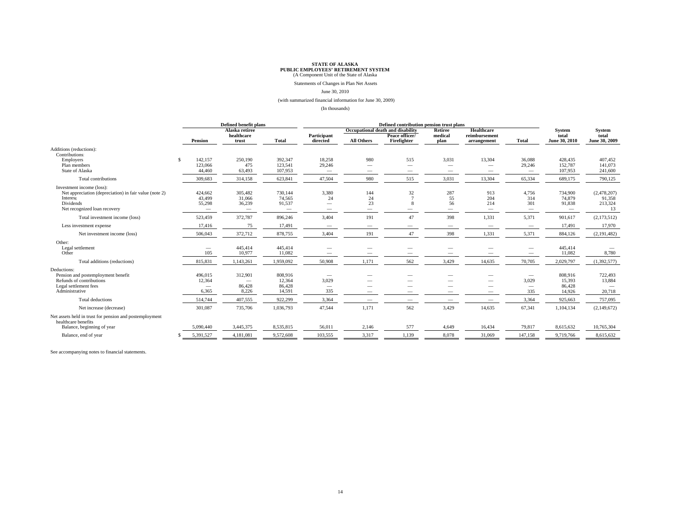Statements of Changes in Plan Net Assets

#### June 30, 2010

(with summarized financial information for June 30, 2009)

(In thousands)

|                                                                                                                                              | Defined benefit plans                                         |                             |                                                         | Defined contribution pension trust plans                                           |                                             |                                                                    |                                                                      |                                                                |                                                 |                                       |                                        |
|----------------------------------------------------------------------------------------------------------------------------------------------|---------------------------------------------------------------|-----------------------------|---------------------------------------------------------|------------------------------------------------------------------------------------|---------------------------------------------|--------------------------------------------------------------------|----------------------------------------------------------------------|----------------------------------------------------------------|-------------------------------------------------|---------------------------------------|----------------------------------------|
|                                                                                                                                              | Alaska retiree                                                |                             |                                                         |                                                                                    |                                             | Occupational death and disability                                  | <b>Retiree</b>                                                       | Healthcare                                                     |                                                 | <b>System</b>                         | <b>System</b>                          |
|                                                                                                                                              | Pension                                                       | healthcare<br>trust         | <b>Total</b>                                            | Participant<br>directed                                                            | <b>All Others</b>                           | Peace officer/<br>Firefighter                                      | medical<br>plan                                                      | reimbursement<br>arrangement                                   | <b>Total</b>                                    | total<br>June 30, 2010                | total<br>June 30, 2009                 |
| Additions (reductions):<br>Contributions:                                                                                                    |                                                               |                             |                                                         |                                                                                    |                                             |                                                                    |                                                                      |                                                                |                                                 |                                       |                                        |
| Employers<br>S.<br>Plan members<br>State of Alaska                                                                                           | 142,157<br>123,066<br>44,460                                  | 250,190<br>475<br>63,493    | 392,347<br>123,541<br>107,953                           | 18,258<br>29,246<br>$\overline{\phantom{m}}$                                       | 980<br>$\overline{\phantom{m}}$             | 515<br>$\hspace{0.1mm}-\hspace{0.1mm}$<br>$\overline{\phantom{a}}$ | 3,031<br>$\hspace{0.1mm}-\hspace{0.1mm}$<br>$\overline{\phantom{a}}$ | 13,304<br>$\overline{\phantom{a}}$<br>$\overline{\phantom{m}}$ | 36,088<br>29,246<br>$\overline{\phantom{0}}$    | 428.435<br>152,787<br>107,953         | 407,452<br>141,073<br>241,600          |
| Total contributions                                                                                                                          | 309,683                                                       | 314,158                     | 623,841                                                 | 47,504                                                                             | 980                                         | 515                                                                | 3,031                                                                | 13,304                                                         | 65,334                                          | 689,175                               | 790,125                                |
| Investment income (loss):<br>Net appreciation (depreciation) in fair value (note 2)<br>Interest<br>Dividends<br>Net recognized loan recovery | 424,662<br>43,499<br>55,298                                   | 305,482<br>31,066<br>36,239 | 730,144<br>74,565<br>91,537<br>$\overline{\phantom{0}}$ | 3,380<br>24<br>$\overline{\phantom{a}}$                                            | 144<br>24<br>23<br>$\overline{\phantom{0}}$ | 32<br>$\mathcal{I}$<br>8                                           | 287<br>55<br>56<br>$\overline{\phantom{a}}$                          | 913<br>204<br>214<br>$\overline{\phantom{a}}$                  | 4,756<br>314<br>301<br>$\overline{\phantom{0}}$ | 734,900<br>74,879<br>91,838           | (2,478,207)<br>91,358<br>213,324<br>13 |
| Total investment income (loss)                                                                                                               | 523,459                                                       | 372,787                     | 896,246                                                 | 3,404                                                                              | 191                                         | 47                                                                 | 398                                                                  | 1,331                                                          | 5,371                                           | 901,617                               | (2,173,512)                            |
| Less investment expense                                                                                                                      | 17,416                                                        | 75                          | 17,491                                                  | $\overline{\phantom{m}}$                                                           | $\hspace{0.05cm}$                           |                                                                    | $\overline{\phantom{a}}$                                             | $\hspace{0.05cm}$                                              |                                                 | 17,491                                | 17,970                                 |
| Net investment income (loss)                                                                                                                 | 506,043                                                       | 372,712                     | 878,755                                                 | 3,404                                                                              | 191                                         | 47                                                                 | 398                                                                  | 1,331                                                          | 5,371                                           | 884,126                               | (2, 191, 482)                          |
| Other:<br>Legal settlement<br>Other                                                                                                          | 105                                                           | 445,414<br>10,977           | 445,414<br>11,082                                       |                                                                                    |                                             |                                                                    |                                                                      |                                                                |                                                 | 445,414<br>11,082                     | 8,780                                  |
| Total additions (reductions)                                                                                                                 | 815,831                                                       | 1,143,261                   | 1,959,092                                               | 50,908                                                                             | 1,171                                       | 562                                                                | 3,429                                                                | 14,635                                                         | 70,705                                          | 2,029,797                             | (1,392,577)                            |
| Deductions:<br>Pension and postemployment benefit<br>Refunds of contributions<br>Legal settlement fees<br>Administrative                     | 496,015<br>12,364<br>$\hspace{0.1mm}-\hspace{0.1mm}$<br>6,365 | 312,901<br>86,428<br>8,226  | 808,916<br>12,364<br>86,428<br>14,591                   | $\hspace{0.1mm}-\hspace{0.1mm}$<br>3,029<br>$\hspace{0.1mm}-\hspace{0.1mm}$<br>335 |                                             |                                                                    | -                                                                    | -<br>-<br>$\overline{\phantom{a}}$                             | $\hspace{0.1mm}-\hspace{0.1mm}$<br>3,029<br>335 | 808,916<br>15,393<br>86,428<br>14,926 | 722,493<br>13,884<br>20,718            |
| Total deductions                                                                                                                             | 514,744                                                       | 407,555                     | 922,299                                                 | 3,364                                                                              | $\overline{\phantom{a}}$                    |                                                                    |                                                                      | $\overline{\phantom{a}}$                                       | 3,364                                           | 925,663                               | 757,095                                |
| Net increase (decrease)                                                                                                                      | 301,087                                                       | 735,706                     | 1,036,793                                               | 47,544                                                                             | 1,171                                       | 562                                                                | 3,429                                                                | 14,635                                                         | 67,341                                          | 1,104,134                             | (2,149,672)                            |
| Net assets held in trust for pension and postemployment<br>healthcare benefits<br>Balance, beginning of year                                 | 5,090,440                                                     | 3,445,375                   | 8,535,815                                               | 56,011                                                                             | 2,146                                       | 577                                                                | 4,649                                                                | 16,434                                                         | 79,817                                          | 8,615,632                             | 10,765,304                             |
| Balance, end of year                                                                                                                         | 5,391,527                                                     | 4,181,081                   | 9,572,608                                               | 103,555                                                                            | 3,317                                       | 1,139                                                              | 8,078                                                                | 31,069                                                         | 147,158                                         | 9,719,766                             | 8,615,632                              |

See accompanying notes to financial statements.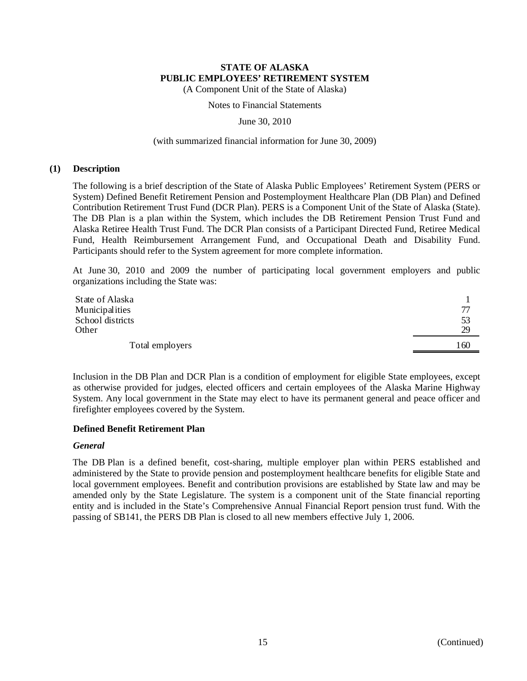(A Component Unit of the State of Alaska)

#### Notes to Financial Statements

#### June 30, 2010

#### (with summarized financial information for June 30, 2009)

#### **(1) Description**

The following is a brief description of the State of Alaska Public Employees' Retirement System (PERS or System) Defined Benefit Retirement Pension and Postemployment Healthcare Plan (DB Plan) and Defined Contribution Retirement Trust Fund (DCR Plan). PERS is a Component Unit of the State of Alaska (State). The DB Plan is a plan within the System, which includes the DB Retirement Pension Trust Fund and Alaska Retiree Health Trust Fund. The DCR Plan consists of a Participant Directed Fund, Retiree Medical Fund, Health Reimbursement Arrangement Fund, and Occupational Death and Disability Fund. Participants should refer to the System agreement for more complete information.

At June 30, 2010 and 2009 the number of participating local government employers and public organizations including the State was:

| State of Alaska  |      |
|------------------|------|
| Municipalities   | 77   |
| School districts | 53   |
| Other            | 29   |
| Total employers  | . 60 |

Inclusion in the DB Plan and DCR Plan is a condition of employment for eligible State employees, except as otherwise provided for judges, elected officers and certain employees of the Alaska Marine Highway System. Any local government in the State may elect to have its permanent general and peace officer and firefighter employees covered by the System.

### **Defined Benefit Retirement Plan**

### *General*

The DB Plan is a defined benefit, cost-sharing, multiple employer plan within PERS established and administered by the State to provide pension and postemployment healthcare benefits for eligible State and local government employees. Benefit and contribution provisions are established by State law and may be amended only by the State Legislature. The system is a component unit of the State financial reporting entity and is included in the State's Comprehensive Annual Financial Report pension trust fund. With the passing of SB141, the PERS DB Plan is closed to all new members effective July 1, 2006.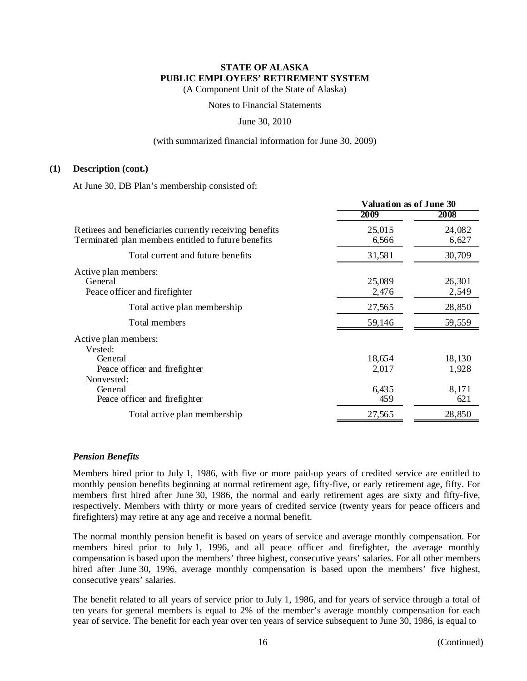(A Component Unit of the State of Alaska)

Notes to Financial Statements

### June 30, 2010

### (with summarized financial information for June 30, 2009)

#### **(1) Description (cont.)**

At June 30, DB Plan's membership consisted of:

|                                                                                                                | <b>Valuation as of June 30</b> |                 |  |
|----------------------------------------------------------------------------------------------------------------|--------------------------------|-----------------|--|
|                                                                                                                | 2009                           | 2008            |  |
| Retirees and beneficiaries currently receiving benefits<br>Terminated plan members entitled to future benefits | 25,015<br>6,566                | 24,082<br>6,627 |  |
| Total current and future benefits                                                                              | 31,581                         | 30,709          |  |
| Active plan members:<br>General<br>Peace officer and fire fighter                                              | 25,089<br>2,476                | 26,301<br>2,549 |  |
| Total active plan membership                                                                                   | 27,565                         | 28,850          |  |
| Total members                                                                                                  | 59,146                         | 59,559          |  |
| Active plan members:<br>Vested:                                                                                |                                |                 |  |
| General<br>Peace officer and firefighter<br>Nonvested:                                                         | 18,654<br>2,017                | 18,130<br>1,928 |  |
| General<br>Peace officer and firefighter                                                                       | 6,435<br>459                   | 8,171<br>621    |  |
| Total active plan membership                                                                                   | 27,565                         | 28,850          |  |

### *Pension Benefits*

Members hired prior to July 1, 1986, with five or more paid-up years of credited service are entitled to monthly pension benefits beginning at normal retirement age, fifty-five, or early retirement age, fifty. For members first hired after June 30, 1986, the normal and early retirement ages are sixty and fifty-five, respectively. Members with thirty or more years of credited service (twenty years for peace officers and firefighters) may retire at any age and receive a normal benefit.

The normal monthly pension benefit is based on years of service and average monthly compensation. For members hired prior to July 1, 1996, and all peace officer and firefighter, the average monthly compensation is based upon the members' three highest, consecutive years' salaries. For all other members hired after June 30, 1996, average monthly compensation is based upon the members' five highest, consecutive years' salaries.

The benefit related to all years of service prior to July 1, 1986, and for years of service through a total of ten years for general members is equal to 2% of the member's average monthly compensation for each year of service. The benefit for each year over ten years of service subsequent to June 30, 1986, is equal to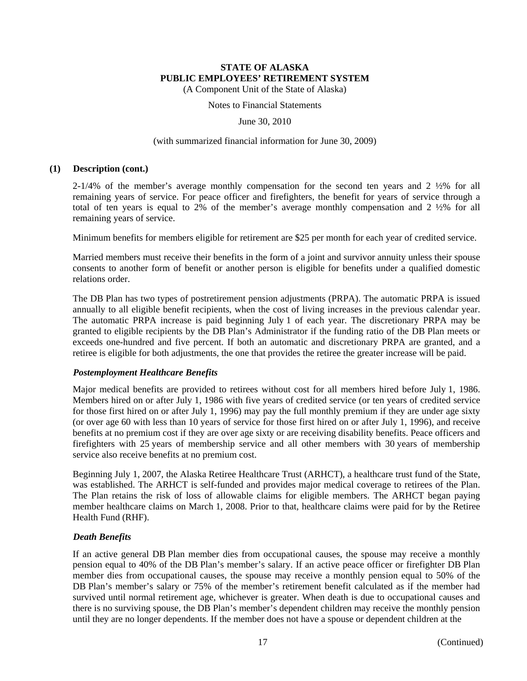(A Component Unit of the State of Alaska)

Notes to Financial Statements

June 30, 2010

#### (with summarized financial information for June 30, 2009)

### **(1) Description (cont.)**

2-1/4% of the member's average monthly compensation for the second ten years and 2 ½% for all remaining years of service. For peace officer and firefighters, the benefit for years of service through a total of ten years is equal to 2% of the member's average monthly compensation and 2 ½% for all remaining years of service.

Minimum benefits for members eligible for retirement are \$25 per month for each year of credited service.

Married members must receive their benefits in the form of a joint and survivor annuity unless their spouse consents to another form of benefit or another person is eligible for benefits under a qualified domestic relations order.

The DB Plan has two types of postretirement pension adjustments (PRPA). The automatic PRPA is issued annually to all eligible benefit recipients, when the cost of living increases in the previous calendar year. The automatic PRPA increase is paid beginning July 1 of each year. The discretionary PRPA may be granted to eligible recipients by the DB Plan's Administrator if the funding ratio of the DB Plan meets or exceeds one-hundred and five percent. If both an automatic and discretionary PRPA are granted, and a retiree is eligible for both adjustments, the one that provides the retiree the greater increase will be paid.

### *Postemployment Healthcare Benefits*

Major medical benefits are provided to retirees without cost for all members hired before July 1, 1986. Members hired on or after July 1, 1986 with five years of credited service (or ten years of credited service for those first hired on or after July 1, 1996) may pay the full monthly premium if they are under age sixty (or over age 60 with less than 10 years of service for those first hired on or after July 1, 1996), and receive benefits at no premium cost if they are over age sixty or are receiving disability benefits. Peace officers and firefighters with 25 years of membership service and all other members with 30 years of membership service also receive benefits at no premium cost.

Beginning July 1, 2007, the Alaska Retiree Healthcare Trust (ARHCT), a healthcare trust fund of the State, was established. The ARHCT is self-funded and provides major medical coverage to retirees of the Plan. The Plan retains the risk of loss of allowable claims for eligible members. The ARHCT began paying member healthcare claims on March 1, 2008. Prior to that, healthcare claims were paid for by the Retiree Health Fund (RHF).

### *Death Benefits*

If an active general DB Plan member dies from occupational causes, the spouse may receive a monthly pension equal to 40% of the DB Plan's member's salary. If an active peace officer or firefighter DB Plan member dies from occupational causes, the spouse may receive a monthly pension equal to 50% of the DB Plan's member's salary or 75% of the member's retirement benefit calculated as if the member had survived until normal retirement age, whichever is greater. When death is due to occupational causes and there is no surviving spouse, the DB Plan's member's dependent children may receive the monthly pension until they are no longer dependents. If the member does not have a spouse or dependent children at the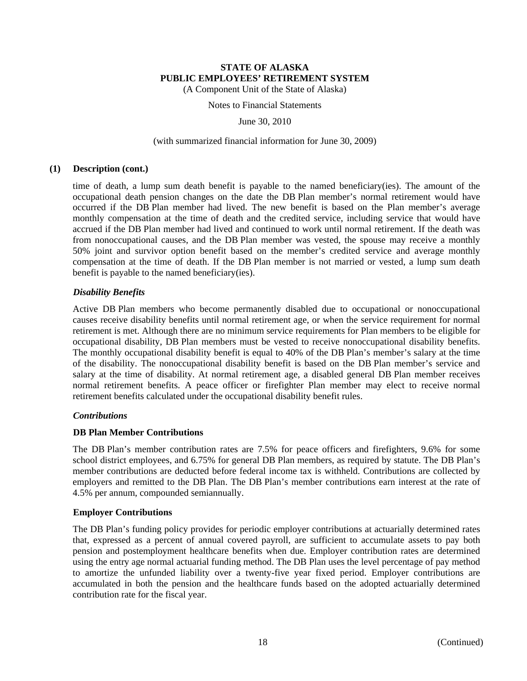(A Component Unit of the State of Alaska)

# Notes to Financial Statements

June 30, 2010

#### (with summarized financial information for June 30, 2009)

#### **(1) Description (cont.)**

time of death, a lump sum death benefit is payable to the named beneficiary(ies). The amount of the occupational death pension changes on the date the DB Plan member's normal retirement would have occurred if the DB Plan member had lived. The new benefit is based on the Plan member's average monthly compensation at the time of death and the credited service, including service that would have accrued if the DB Plan member had lived and continued to work until normal retirement. If the death was from nonoccupational causes, and the DB Plan member was vested, the spouse may receive a monthly 50% joint and survivor option benefit based on the member's credited service and average monthly compensation at the time of death. If the DB Plan member is not married or vested, a lump sum death benefit is payable to the named beneficiary(ies).

### *Disability Benefits*

Active DB Plan members who become permanently disabled due to occupational or nonoccupational causes receive disability benefits until normal retirement age, or when the service requirement for normal retirement is met. Although there are no minimum service requirements for Plan members to be eligible for occupational disability, DB Plan members must be vested to receive nonoccupational disability benefits. The monthly occupational disability benefit is equal to 40% of the DB Plan's member's salary at the time of the disability. The nonoccupational disability benefit is based on the DB Plan member's service and salary at the time of disability. At normal retirement age, a disabled general DB Plan member receives normal retirement benefits. A peace officer or firefighter Plan member may elect to receive normal retirement benefits calculated under the occupational disability benefit rules.

### *Contributions*

### **DB Plan Member Contributions**

The DB Plan's member contribution rates are 7.5% for peace officers and firefighters, 9.6% for some school district employees, and 6.75% for general DB Plan members, as required by statute. The DB Plan's member contributions are deducted before federal income tax is withheld. Contributions are collected by employers and remitted to the DB Plan. The DB Plan's member contributions earn interest at the rate of 4.5% per annum, compounded semiannually.

### **Employer Contributions**

The DB Plan's funding policy provides for periodic employer contributions at actuarially determined rates that, expressed as a percent of annual covered payroll, are sufficient to accumulate assets to pay both pension and postemployment healthcare benefits when due. Employer contribution rates are determined using the entry age normal actuarial funding method. The DB Plan uses the level percentage of pay method to amortize the unfunded liability over a twenty-five year fixed period. Employer contributions are accumulated in both the pension and the healthcare funds based on the adopted actuarially determined contribution rate for the fiscal year.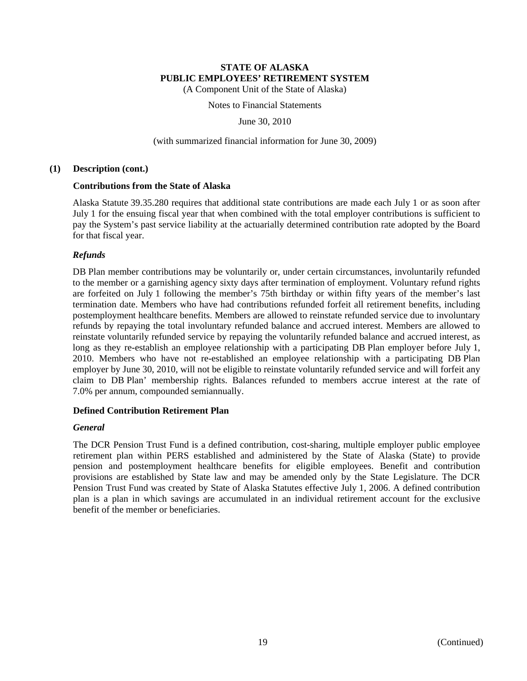(A Component Unit of the State of Alaska)

Notes to Financial Statements

June 30, 2010

### (with summarized financial information for June 30, 2009)

### **(1) Description (cont.)**

### **Contributions from the State of Alaska**

Alaska Statute 39.35.280 requires that additional state contributions are made each July 1 or as soon after July 1 for the ensuing fiscal year that when combined with the total employer contributions is sufficient to pay the System's past service liability at the actuarially determined contribution rate adopted by the Board for that fiscal year.

# *Refunds*

DB Plan member contributions may be voluntarily or, under certain circumstances, involuntarily refunded to the member or a garnishing agency sixty days after termination of employment. Voluntary refund rights are forfeited on July 1 following the member's 75th birthday or within fifty years of the member's last termination date. Members who have had contributions refunded forfeit all retirement benefits, including postemployment healthcare benefits. Members are allowed to reinstate refunded service due to involuntary refunds by repaying the total involuntary refunded balance and accrued interest. Members are allowed to reinstate voluntarily refunded service by repaying the voluntarily refunded balance and accrued interest, as long as they re-establish an employee relationship with a participating DB Plan employer before July 1, 2010. Members who have not re-established an employee relationship with a participating DB Plan employer by June 30, 2010, will not be eligible to reinstate voluntarily refunded service and will forfeit any claim to DB Plan' membership rights. Balances refunded to members accrue interest at the rate of 7.0% per annum, compounded semiannually.

# **Defined Contribution Retirement Plan**

# *General*

The DCR Pension Trust Fund is a defined contribution, cost-sharing, multiple employer public employee retirement plan within PERS established and administered by the State of Alaska (State) to provide pension and postemployment healthcare benefits for eligible employees. Benefit and contribution provisions are established by State law and may be amended only by the State Legislature. The DCR Pension Trust Fund was created by State of Alaska Statutes effective July 1, 2006. A defined contribution plan is a plan in which savings are accumulated in an individual retirement account for the exclusive benefit of the member or beneficiaries.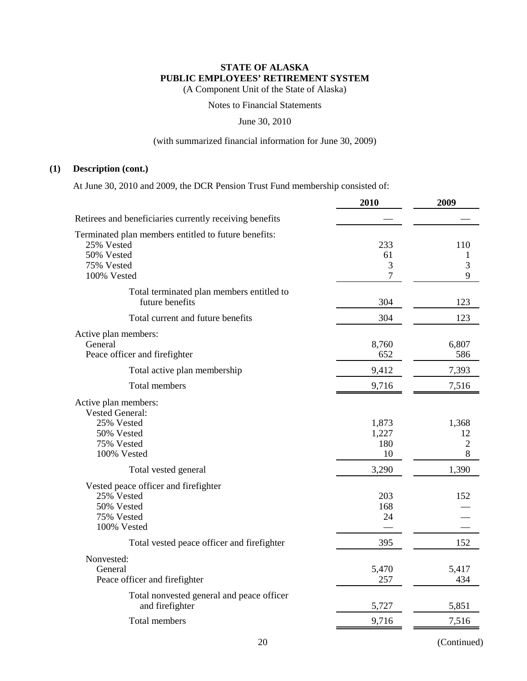(A Component Unit of the State of Alaska)

Notes to Financial Statements

June 30, 2010

### (with summarized financial information for June 30, 2009)

### **(1) Description (cont.)**

At June 30, 2010 and 2009, the DCR Pension Trust Fund membership consisted of:

|                                                                                                               | 2010                        | 2009                               |
|---------------------------------------------------------------------------------------------------------------|-----------------------------|------------------------------------|
| Retirees and beneficiaries currently receiving benefits                                                       |                             |                                    |
| Terminated plan members entitled to future benefits:<br>25% Vested<br>50% Vested<br>75% Vested<br>100% Vested | 233<br>61<br>3<br>7         | 110<br>1<br>3<br>9                 |
| Total terminated plan members entitled to<br>future benefits                                                  | 304                         | 123                                |
| Total current and future benefits                                                                             | 304                         | 123                                |
| Active plan members:<br>General<br>Peace officer and firefighter                                              | 8,760<br>652                | 6,807<br>586                       |
| Total active plan membership                                                                                  | 9,412                       | 7,393                              |
| <b>Total members</b>                                                                                          | 9,716                       | 7,516                              |
| Active plan members:<br><b>Vested General:</b><br>25% Vested<br>50% Vested<br>75% Vested<br>100% Vested       | 1,873<br>1,227<br>180<br>10 | 1,368<br>12<br>$\sqrt{2}$<br>$8\,$ |
| Total vested general                                                                                          | 3,290                       | 1,390                              |
| Vested peace officer and firefighter<br>25% Vested<br>50% Vested<br>75% Vested<br>100% Vested                 | 203<br>168<br>24            | 152                                |
| Total vested peace officer and firefighter                                                                    | 395                         | 152                                |
| Nonvested:<br>General<br>Peace officer and firefighter                                                        | 5,470<br>257                | 5,417<br>434                       |
| Total nonvested general and peace officer<br>and firefighter                                                  | 5,727                       | 5,851                              |
| <b>Total members</b>                                                                                          | 9,716                       | 7,516                              |
|                                                                                                               |                             |                                    |

20 (Continued)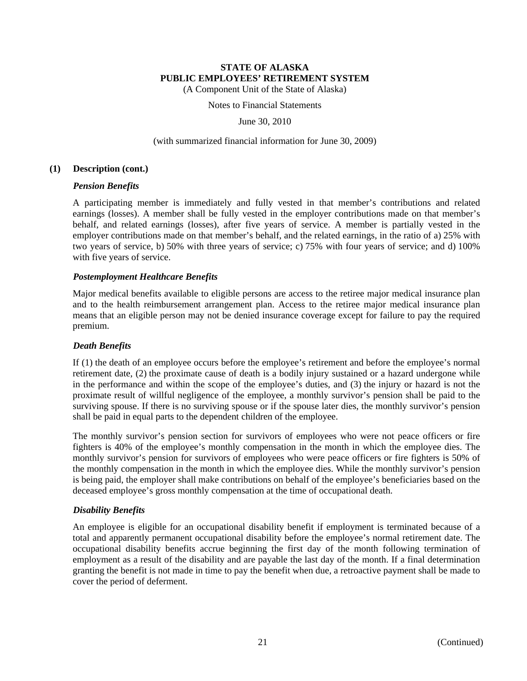(A Component Unit of the State of Alaska)

Notes to Financial Statements

June 30, 2010

### (with summarized financial information for June 30, 2009)

### **(1) Description (cont.)**

### *Pension Benefits*

A participating member is immediately and fully vested in that member's contributions and related earnings (losses). A member shall be fully vested in the employer contributions made on that member's behalf, and related earnings (losses), after five years of service. A member is partially vested in the employer contributions made on that member's behalf, and the related earnings, in the ratio of a) 25% with two years of service, b) 50% with three years of service; c) 75% with four years of service; and d) 100% with five years of service.

# *Postemployment Healthcare Benefits*

Major medical benefits available to eligible persons are access to the retiree major medical insurance plan and to the health reimbursement arrangement plan. Access to the retiree major medical insurance plan means that an eligible person may not be denied insurance coverage except for failure to pay the required premium.

## *Death Benefits*

If (1) the death of an employee occurs before the employee's retirement and before the employee's normal retirement date, (2) the proximate cause of death is a bodily injury sustained or a hazard undergone while in the performance and within the scope of the employee's duties, and (3) the injury or hazard is not the proximate result of willful negligence of the employee, a monthly survivor's pension shall be paid to the surviving spouse. If there is no surviving spouse or if the spouse later dies, the monthly survivor's pension shall be paid in equal parts to the dependent children of the employee.

The monthly survivor's pension section for survivors of employees who were not peace officers or fire fighters is 40% of the employee's monthly compensation in the month in which the employee dies. The monthly survivor's pension for survivors of employees who were peace officers or fire fighters is 50% of the monthly compensation in the month in which the employee dies. While the monthly survivor's pension is being paid, the employer shall make contributions on behalf of the employee's beneficiaries based on the deceased employee's gross monthly compensation at the time of occupational death.

# *Disability Benefits*

An employee is eligible for an occupational disability benefit if employment is terminated because of a total and apparently permanent occupational disability before the employee's normal retirement date. The occupational disability benefits accrue beginning the first day of the month following termination of employment as a result of the disability and are payable the last day of the month. If a final determination granting the benefit is not made in time to pay the benefit when due, a retroactive payment shall be made to cover the period of deferment.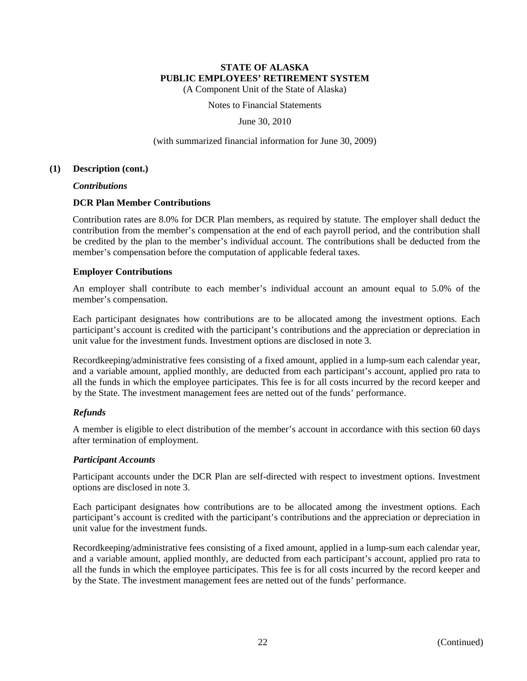(A Component Unit of the State of Alaska)

Notes to Financial Statements

June 30, 2010

(with summarized financial information for June 30, 2009)

#### **(1) Description (cont.)**

*Contributions* 

### **DCR Plan Member Contributions**

Contribution rates are 8.0% for DCR Plan members, as required by statute. The employer shall deduct the contribution from the member's compensation at the end of each payroll period, and the contribution shall be credited by the plan to the member's individual account. The contributions shall be deducted from the member's compensation before the computation of applicable federal taxes.

### **Employer Contributions**

An employer shall contribute to each member's individual account an amount equal to 5.0% of the member's compensation.

Each participant designates how contributions are to be allocated among the investment options. Each participant's account is credited with the participant's contributions and the appreciation or depreciation in unit value for the investment funds. Investment options are disclosed in note 3.

Recordkeeping/administrative fees consisting of a fixed amount, applied in a lump-sum each calendar year, and a variable amount, applied monthly, are deducted from each participant's account, applied pro rata to all the funds in which the employee participates. This fee is for all costs incurred by the record keeper and by the State. The investment management fees are netted out of the funds' performance.

# *Refunds*

A member is eligible to elect distribution of the member's account in accordance with this section 60 days after termination of employment.

### *Participant Accounts*

Participant accounts under the DCR Plan are self-directed with respect to investment options. Investment options are disclosed in note 3.

Each participant designates how contributions are to be allocated among the investment options. Each participant's account is credited with the participant's contributions and the appreciation or depreciation in unit value for the investment funds.

Recordkeeping/administrative fees consisting of a fixed amount, applied in a lump-sum each calendar year, and a variable amount, applied monthly, are deducted from each participant's account, applied pro rata to all the funds in which the employee participates. This fee is for all costs incurred by the record keeper and by the State. The investment management fees are netted out of the funds' performance.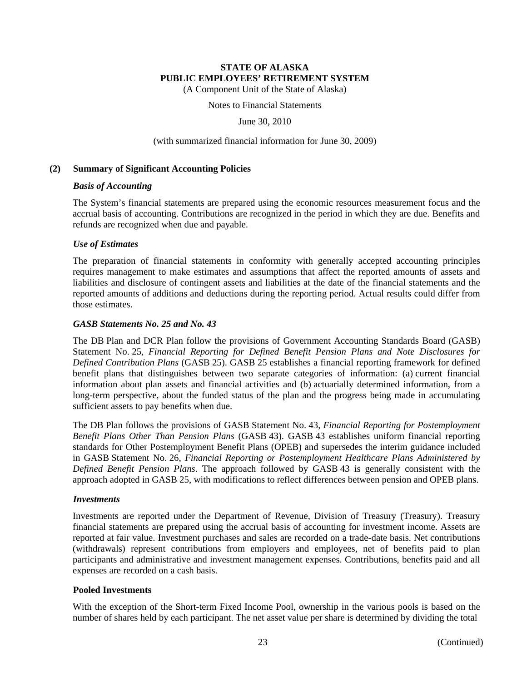(A Component Unit of the State of Alaska)

Notes to Financial Statements

June 30, 2010

#### (with summarized financial information for June 30, 2009)

### **(2) Summary of Significant Accounting Policies**

### *Basis of Accounting*

The System's financial statements are prepared using the economic resources measurement focus and the accrual basis of accounting. Contributions are recognized in the period in which they are due. Benefits and refunds are recognized when due and payable.

### *Use of Estimates*

The preparation of financial statements in conformity with generally accepted accounting principles requires management to make estimates and assumptions that affect the reported amounts of assets and liabilities and disclosure of contingent assets and liabilities at the date of the financial statements and the reported amounts of additions and deductions during the reporting period. Actual results could differ from those estimates.

# *GASB Statements No. 25 and No. 43*

The DB Plan and DCR Plan follow the provisions of Government Accounting Standards Board (GASB) Statement No. 25, *Financial Reporting for Defined Benefit Pension Plans and Note Disclosures for Defined Contribution Plans* (GASB 25). GASB 25 establishes a financial reporting framework for defined benefit plans that distinguishes between two separate categories of information: (a) current financial information about plan assets and financial activities and (b) actuarially determined information, from a long-term perspective, about the funded status of the plan and the progress being made in accumulating sufficient assets to pay benefits when due.

The DB Plan follows the provisions of GASB Statement No. 43, *Financial Reporting for Postemployment Benefit Plans Other Than Pension Plans* (GASB 43). GASB 43 establishes uniform financial reporting standards for Other Postemployment Benefit Plans (OPEB) and supersedes the interim guidance included in GASB Statement No. 26, *Financial Reporting or Postemployment Healthcare Plans Administered by Defined Benefit Pension Plans*. The approach followed by GASB 43 is generally consistent with the approach adopted in GASB 25, with modifications to reflect differences between pension and OPEB plans.

### *Investments*

Investments are reported under the Department of Revenue, Division of Treasury (Treasury). Treasury financial statements are prepared using the accrual basis of accounting for investment income. Assets are reported at fair value. Investment purchases and sales are recorded on a trade-date basis. Net contributions (withdrawals) represent contributions from employers and employees, net of benefits paid to plan participants and administrative and investment management expenses. Contributions, benefits paid and all expenses are recorded on a cash basis.

### **Pooled Investments**

With the exception of the Short-term Fixed Income Pool, ownership in the various pools is based on the number of shares held by each participant. The net asset value per share is determined by dividing the total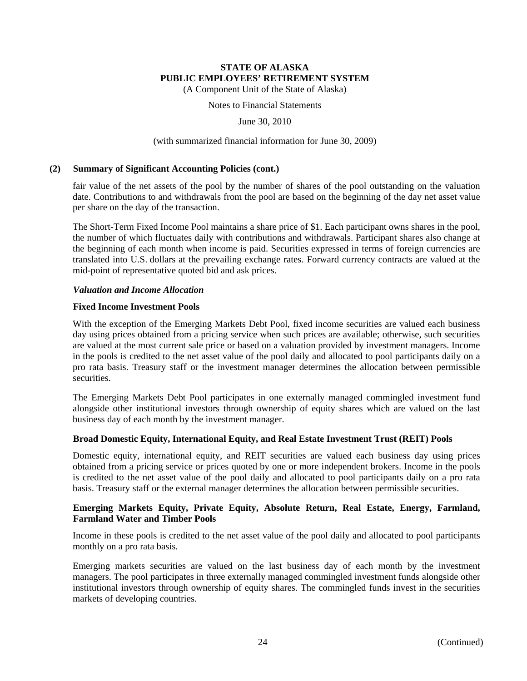(A Component Unit of the State of Alaska)

Notes to Financial Statements

June 30, 2010

### (with summarized financial information for June 30, 2009)

### **(2) Summary of Significant Accounting Policies (cont.)**

fair value of the net assets of the pool by the number of shares of the pool outstanding on the valuation date. Contributions to and withdrawals from the pool are based on the beginning of the day net asset value per share on the day of the transaction.

The Short-Term Fixed Income Pool maintains a share price of \$1. Each participant owns shares in the pool, the number of which fluctuates daily with contributions and withdrawals. Participant shares also change at the beginning of each month when income is paid. Securities expressed in terms of foreign currencies are translated into U.S. dollars at the prevailing exchange rates. Forward currency contracts are valued at the mid-point of representative quoted bid and ask prices.

### *Valuation and Income Allocation*

### **Fixed Income Investment Pools**

With the exception of the Emerging Markets Debt Pool, fixed income securities are valued each business day using prices obtained from a pricing service when such prices are available; otherwise, such securities are valued at the most current sale price or based on a valuation provided by investment managers. Income in the pools is credited to the net asset value of the pool daily and allocated to pool participants daily on a pro rata basis. Treasury staff or the investment manager determines the allocation between permissible securities.

The Emerging Markets Debt Pool participates in one externally managed commingled investment fund alongside other institutional investors through ownership of equity shares which are valued on the last business day of each month by the investment manager.

# **Broad Domestic Equity, International Equity, and Real Estate Investment Trust (REIT) Pools**

Domestic equity, international equity, and REIT securities are valued each business day using prices obtained from a pricing service or prices quoted by one or more independent brokers. Income in the pools is credited to the net asset value of the pool daily and allocated to pool participants daily on a pro rata basis. Treasury staff or the external manager determines the allocation between permissible securities.

# **Emerging Markets Equity, Private Equity, Absolute Return, Real Estate, Energy, Farmland, Farmland Water and Timber Pools**

Income in these pools is credited to the net asset value of the pool daily and allocated to pool participants monthly on a pro rata basis.

Emerging markets securities are valued on the last business day of each month by the investment managers. The pool participates in three externally managed commingled investment funds alongside other institutional investors through ownership of equity shares. The commingled funds invest in the securities markets of developing countries.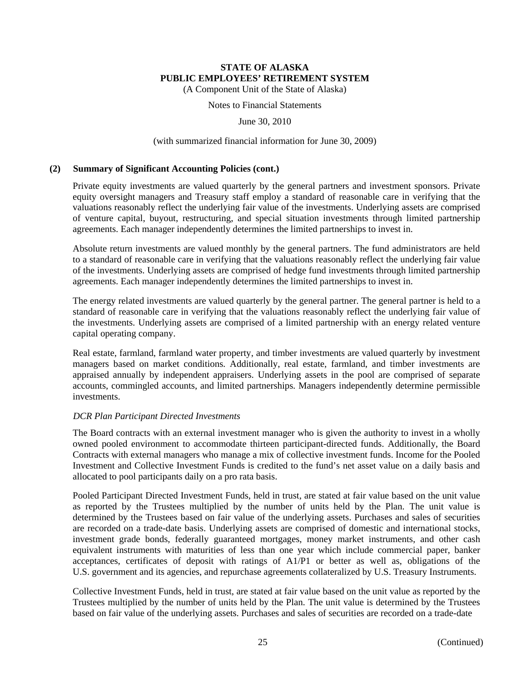(A Component Unit of the State of Alaska)

Notes to Financial Statements

June 30, 2010

#### (with summarized financial information for June 30, 2009)

#### **(2) Summary of Significant Accounting Policies (cont.)**

Private equity investments are valued quarterly by the general partners and investment sponsors. Private equity oversight managers and Treasury staff employ a standard of reasonable care in verifying that the valuations reasonably reflect the underlying fair value of the investments. Underlying assets are comprised of venture capital, buyout, restructuring, and special situation investments through limited partnership agreements. Each manager independently determines the limited partnerships to invest in.

Absolute return investments are valued monthly by the general partners. The fund administrators are held to a standard of reasonable care in verifying that the valuations reasonably reflect the underlying fair value of the investments. Underlying assets are comprised of hedge fund investments through limited partnership agreements. Each manager independently determines the limited partnerships to invest in.

The energy related investments are valued quarterly by the general partner. The general partner is held to a standard of reasonable care in verifying that the valuations reasonably reflect the underlying fair value of the investments. Underlying assets are comprised of a limited partnership with an energy related venture capital operating company.

Real estate, farmland, farmland water property, and timber investments are valued quarterly by investment managers based on market conditions. Additionally, real estate, farmland, and timber investments are appraised annually by independent appraisers. Underlying assets in the pool are comprised of separate accounts, commingled accounts, and limited partnerships. Managers independently determine permissible investments.

### *DCR Plan Participant Directed Investments*

The Board contracts with an external investment manager who is given the authority to invest in a wholly owned pooled environment to accommodate thirteen participant-directed funds. Additionally, the Board Contracts with external managers who manage a mix of collective investment funds. Income for the Pooled Investment and Collective Investment Funds is credited to the fund's net asset value on a daily basis and allocated to pool participants daily on a pro rata basis.

Pooled Participant Directed Investment Funds, held in trust, are stated at fair value based on the unit value as reported by the Trustees multiplied by the number of units held by the Plan. The unit value is determined by the Trustees based on fair value of the underlying assets. Purchases and sales of securities are recorded on a trade-date basis. Underlying assets are comprised of domestic and international stocks, investment grade bonds, federally guaranteed mortgages, money market instruments, and other cash equivalent instruments with maturities of less than one year which include commercial paper, banker acceptances, certificates of deposit with ratings of A1/P1 or better as well as, obligations of the U.S. government and its agencies, and repurchase agreements collateralized by U.S. Treasury Instruments.

Collective Investment Funds, held in trust, are stated at fair value based on the unit value as reported by the Trustees multiplied by the number of units held by the Plan. The unit value is determined by the Trustees based on fair value of the underlying assets. Purchases and sales of securities are recorded on a trade-date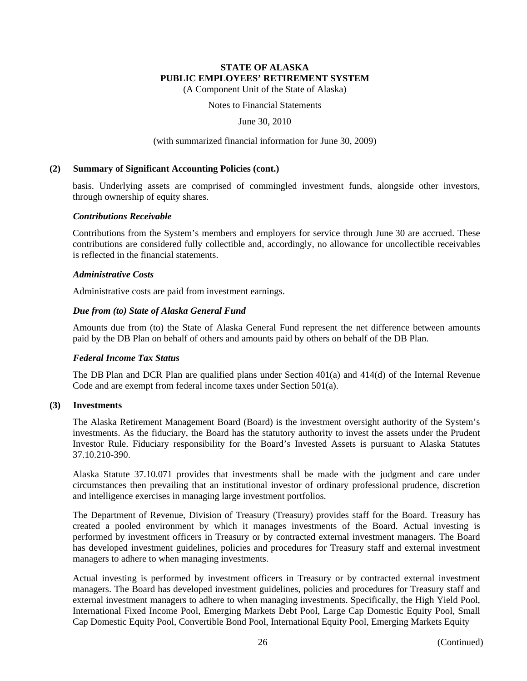(A Component Unit of the State of Alaska)

Notes to Financial Statements

June 30, 2010

#### (with summarized financial information for June 30, 2009)

### **(2) Summary of Significant Accounting Policies (cont.)**

basis. Underlying assets are comprised of commingled investment funds, alongside other investors, through ownership of equity shares.

### *Contributions Receivable*

Contributions from the System's members and employers for service through June 30 are accrued. These contributions are considered fully collectible and, accordingly, no allowance for uncollectible receivables is reflected in the financial statements.

### *Administrative Costs*

Administrative costs are paid from investment earnings.

### *Due from (to) State of Alaska General Fund*

Amounts due from (to) the State of Alaska General Fund represent the net difference between amounts paid by the DB Plan on behalf of others and amounts paid by others on behalf of the DB Plan.

### *Federal Income Tax Status*

The DB Plan and DCR Plan are qualified plans under Section 401(a) and 414(d) of the Internal Revenue Code and are exempt from federal income taxes under Section 501(a).

### **(3) Investments**

The Alaska Retirement Management Board (Board) is the investment oversight authority of the System's investments. As the fiduciary, the Board has the statutory authority to invest the assets under the Prudent Investor Rule. Fiduciary responsibility for the Board's Invested Assets is pursuant to Alaska Statutes 37.10.210-390.

Alaska Statute 37.10.071 provides that investments shall be made with the judgment and care under circumstances then prevailing that an institutional investor of ordinary professional prudence, discretion and intelligence exercises in managing large investment portfolios.

The Department of Revenue, Division of Treasury (Treasury) provides staff for the Board. Treasury has created a pooled environment by which it manages investments of the Board. Actual investing is performed by investment officers in Treasury or by contracted external investment managers. The Board has developed investment guidelines, policies and procedures for Treasury staff and external investment managers to adhere to when managing investments.

Actual investing is performed by investment officers in Treasury or by contracted external investment managers. The Board has developed investment guidelines, policies and procedures for Treasury staff and external investment managers to adhere to when managing investments. Specifically, the High Yield Pool, International Fixed Income Pool, Emerging Markets Debt Pool, Large Cap Domestic Equity Pool, Small Cap Domestic Equity Pool, Convertible Bond Pool, International Equity Pool, Emerging Markets Equity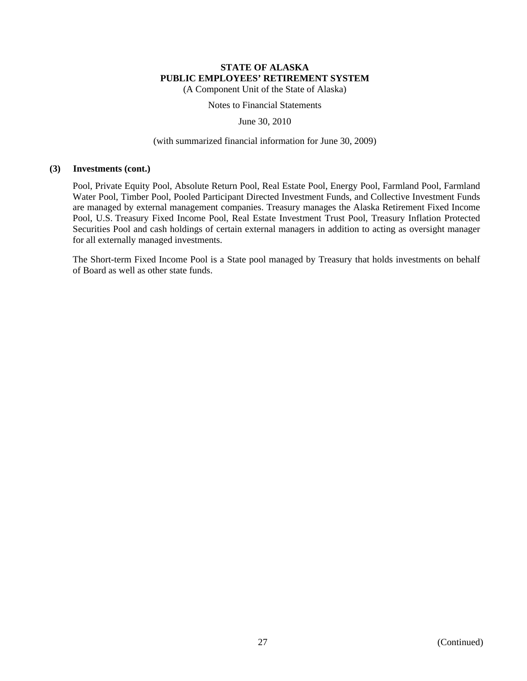(A Component Unit of the State of Alaska)

Notes to Financial Statements

June 30, 2010

#### (with summarized financial information for June 30, 2009)

#### **(3) Investments (cont.)**

Pool, Private Equity Pool, Absolute Return Pool, Real Estate Pool, Energy Pool, Farmland Pool, Farmland Water Pool, Timber Pool, Pooled Participant Directed Investment Funds, and Collective Investment Funds are managed by external management companies. Treasury manages the Alaska Retirement Fixed Income Pool, U.S. Treasury Fixed Income Pool, Real Estate Investment Trust Pool, Treasury Inflation Protected Securities Pool and cash holdings of certain external managers in addition to acting as oversight manager for all externally managed investments.

The Short-term Fixed Income Pool is a State pool managed by Treasury that holds investments on behalf of Board as well as other state funds.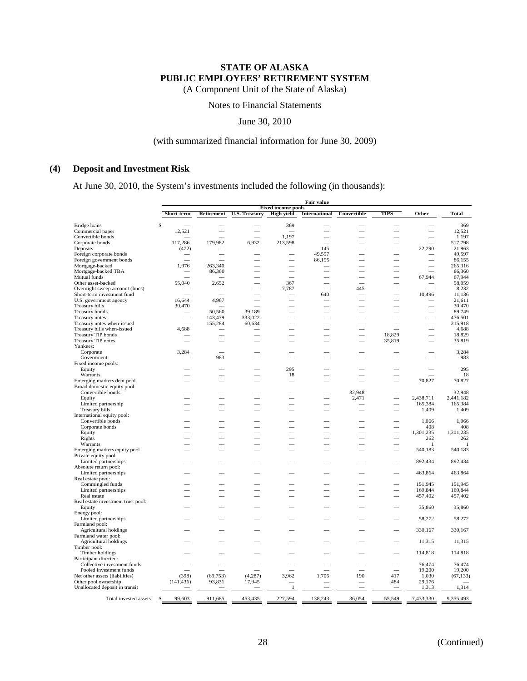(A Component Unit of the State of Alaska)

Notes to Financial Statements

June 30, 2010

### (with summarized financial information for June 30, 2009)

### **(4) Deposit and Investment Risk**

At June 30, 2010, the System's investments included the following (in thousands):

|                                                              | <b>Fair value</b> |                          |                      |                                                |                          |             |        |                  |                  |
|--------------------------------------------------------------|-------------------|--------------------------|----------------------|------------------------------------------------|--------------------------|-------------|--------|------------------|------------------|
|                                                              | Short-term        | <b>Retirement</b>        | <b>U.S. Treasury</b> | <b>Fixed income pools</b><br><b>High yield</b> | <b>International</b>     | Convertible | TIPS   | Other            | <b>Total</b>     |
| Bridge loans                                                 | \$                |                          |                      | 369                                            |                          |             |        |                  | 369              |
| Commercial paper                                             | 12,521            |                          |                      |                                                |                          |             |        |                  | 12,521           |
| Convertible bonds                                            |                   |                          |                      | 1,197                                          |                          |             |        |                  | 1,197            |
| Corporate bonds                                              | 117,286           | 179,982                  | 6,932                | 213,598                                        |                          |             |        |                  | 517,798          |
| Deposits                                                     | (472)             |                          |                      |                                                | 145                      |             |        | 22,290           | 21,963           |
| Foreign corporate bonds                                      |                   |                          |                      |                                                | 49,597                   |             |        |                  | 49,597           |
| Foreign government bonds                                     |                   |                          |                      |                                                | 86,155                   |             |        |                  | 86,155           |
| Mortgage-backed                                              | 1,976             | 263,340                  |                      |                                                |                          |             |        |                  | 265,316          |
| Mortgage-backed TBA                                          |                   | 86,360                   |                      |                                                |                          |             |        |                  | 86,360           |
| Mutual funds                                                 |                   |                          |                      |                                                |                          |             |        | 67.944           | 67,944           |
| Other asset-backed                                           | 55,040            | 2,652                    |                      | 367                                            |                          |             |        |                  | 58,059           |
| Overnight sweep account (Imcs)<br>Short-term investment fund |                   |                          |                      | 7,787                                          | 640                      | 445         |        | 10,496           | 8,232<br>11,136  |
| U.S. government agency                                       | 16,644            | 4,967                    |                      |                                                |                          |             |        |                  | 21,611           |
| Treasury bills                                               | 30,470            |                          |                      |                                                |                          |             |        |                  | 30,470           |
| Treasury bonds                                               |                   | 50,560                   | 39,189               |                                                |                          |             |        |                  | 89,749           |
| Treasury notes                                               |                   | 143,479                  | 333,022              |                                                |                          |             |        |                  | 476,501          |
| Treasury notes when-issued                                   |                   | 155,284                  | 60,634               |                                                |                          |             |        |                  | 215,918          |
| Treasury bills when-issued                                   | 4,688             |                          |                      |                                                | $\sim$                   |             |        |                  | 4,688            |
| Treasury TIP bonds                                           |                   |                          |                      |                                                |                          |             | 18,829 |                  | 18,829           |
| <b>Treasury TIP notes</b>                                    |                   |                          |                      |                                                |                          |             | 35,819 |                  | 35,819           |
| Yankees:                                                     |                   |                          |                      |                                                |                          |             |        |                  |                  |
| Corporate                                                    | 3,284             |                          |                      |                                                |                          |             |        |                  | 3,284            |
| Government                                                   |                   | 983                      |                      |                                                |                          |             |        |                  | 983              |
| Fixed income pools:                                          |                   |                          |                      |                                                |                          |             |        |                  |                  |
| Equity                                                       |                   |                          |                      | 295                                            |                          |             |        |                  | 295              |
| Warrants                                                     |                   |                          |                      | 18                                             |                          |             |        |                  | 18               |
| Emerging markets debt pool                                   |                   |                          |                      |                                                |                          |             |        | 70,827           | 70,827           |
| Broad domestic equity pool:<br>Convertible bonds             |                   |                          |                      |                                                |                          | 32.948      |        |                  | 32,948           |
| Equity                                                       |                   | $\overline{\phantom{0}}$ |                      |                                                | $\overline{\phantom{0}}$ | 2,471       | ÷,     | 2,438,711        | 2,441,182        |
| Limited partnership                                          |                   |                          |                      |                                                |                          |             |        | 165,384          | 165,384          |
| Treasury bills                                               |                   |                          |                      |                                                |                          |             |        | 1,409            | 1,409            |
| International equity pool:                                   |                   |                          |                      |                                                |                          |             |        |                  |                  |
| Convertible bonds                                            |                   |                          |                      |                                                |                          |             |        | 1,066            | 1,066            |
| Corporate bonds                                              |                   |                          |                      |                                                |                          |             |        | 408              | 408              |
| Equity                                                       |                   |                          |                      |                                                |                          |             |        | 1,301,235        | 1,301,235        |
| Rights                                                       |                   |                          |                      |                                                |                          |             |        | 262              | 262              |
| Warrants                                                     |                   |                          |                      |                                                |                          |             |        | 1                | 1                |
| Emerging markets equity pool                                 |                   |                          |                      |                                                |                          |             |        | 540,183          | 540,183          |
| Private equity pool:                                         |                   |                          |                      |                                                |                          |             |        |                  |                  |
| Limited partnerships                                         |                   |                          |                      |                                                |                          |             |        | 892,434          | 892,434          |
| Absolute return pool:                                        |                   |                          |                      |                                                |                          |             |        |                  |                  |
| Limited partnerships<br>Real estate pool:                    |                   |                          |                      |                                                |                          |             |        | 463,864          | 463,864          |
| Commingled funds                                             |                   |                          |                      |                                                |                          |             |        | 151,945          | 151,945          |
| Limited partnerships                                         |                   |                          |                      |                                                |                          |             |        | 169,844          | 169,844          |
| Real estate                                                  |                   |                          |                      |                                                |                          |             |        | 457,402          | 457,402          |
| Real estate investment trust pool:                           |                   |                          |                      |                                                |                          |             |        |                  |                  |
| Equity                                                       |                   |                          |                      |                                                |                          |             |        | 35,860           | 35,860           |
| Energy pool:                                                 |                   |                          |                      |                                                |                          |             |        |                  |                  |
| Limited partnerships                                         |                   |                          |                      |                                                |                          |             |        | 58,272           | 58,272           |
| Farmland pool:                                               |                   |                          |                      |                                                |                          |             |        |                  |                  |
| Agricultural holdings                                        |                   |                          |                      |                                                |                          |             |        | 330,167          | 330,167          |
| Farmland water pool:                                         |                   |                          |                      |                                                |                          |             |        |                  |                  |
| Agricultural holdings                                        |                   |                          |                      |                                                |                          |             |        | 11,315           | 11,315           |
| Timber pool:                                                 |                   |                          |                      |                                                |                          |             |        |                  |                  |
| Timber holdings                                              |                   |                          |                      |                                                |                          |             |        | 114,818          | 114,818          |
| Participant directed:                                        |                   |                          |                      |                                                |                          |             |        |                  |                  |
| Collective investment funds                                  |                   |                          |                      |                                                |                          |             |        | 76,474<br>19,200 | 76,474<br>19,200 |
| Pooled investment funds<br>Net other assets (liabilities)    | (398)             | (69, 753)                | (4, 287)             | 3,962                                          | 1,706                    | 190         | 417    | 1,030            | (67, 133)        |
| Other pool ownership                                         | (141, 436)        | 93,831                   | 17,945               |                                                |                          |             | 484    | 29,176           |                  |
| Unallocated deposit in transit                               |                   |                          |                      | 1                                              |                          |             |        | 1,313            | 1,314            |
|                                                              |                   |                          |                      |                                                |                          |             |        |                  |                  |
| Total invested assets                                        | 99.603<br>S       | 911,685                  | 453,435              | 227,594                                        | 138,243                  | 36,054      | 55,549 | 7,433,330        | 9,355,493        |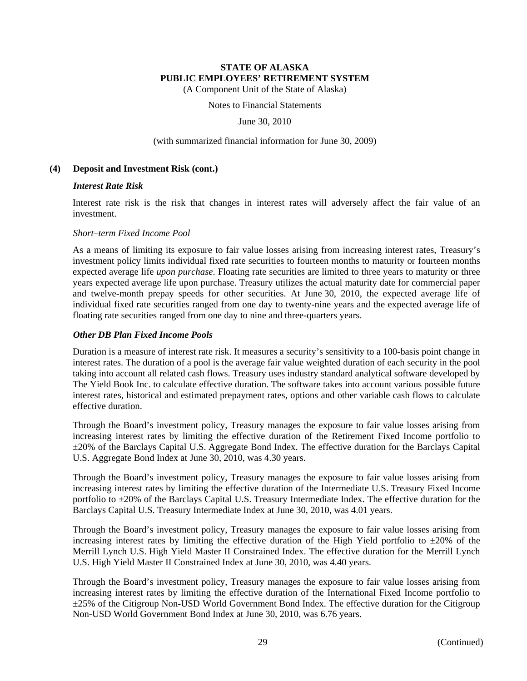(A Component Unit of the State of Alaska)

Notes to Financial Statements

June 30, 2010

#### (with summarized financial information for June 30, 2009)

#### **(4) Deposit and Investment Risk (cont.)**

#### *Interest Rate Risk*

Interest rate risk is the risk that changes in interest rates will adversely affect the fair value of an investment.

#### *Short–term Fixed Income Pool*

As a means of limiting its exposure to fair value losses arising from increasing interest rates, Treasury's investment policy limits individual fixed rate securities to fourteen months to maturity or fourteen months expected average life *upon purchase*. Floating rate securities are limited to three years to maturity or three years expected average life upon purchase. Treasury utilizes the actual maturity date for commercial paper and twelve-month prepay speeds for other securities. At June 30, 2010, the expected average life of individual fixed rate securities ranged from one day to twenty-nine years and the expected average life of floating rate securities ranged from one day to nine and three-quarters years.

### *Other DB Plan Fixed Income Pools*

Duration is a measure of interest rate risk. It measures a security's sensitivity to a 100-basis point change in interest rates. The duration of a pool is the average fair value weighted duration of each security in the pool taking into account all related cash flows. Treasury uses industry standard analytical software developed by The Yield Book Inc. to calculate effective duration. The software takes into account various possible future interest rates, historical and estimated prepayment rates, options and other variable cash flows to calculate effective duration.

Through the Board's investment policy, Treasury manages the exposure to fair value losses arising from increasing interest rates by limiting the effective duration of the Retirement Fixed Income portfolio to ±20% of the Barclays Capital U.S. Aggregate Bond Index. The effective duration for the Barclays Capital U.S. Aggregate Bond Index at June 30, 2010, was 4.30 years.

Through the Board's investment policy, Treasury manages the exposure to fair value losses arising from increasing interest rates by limiting the effective duration of the Intermediate U.S. Treasury Fixed Income portfolio to ±20% of the Barclays Capital U.S. Treasury Intermediate Index. The effective duration for the Barclays Capital U.S. Treasury Intermediate Index at June 30, 2010, was 4.01 years.

Through the Board's investment policy, Treasury manages the exposure to fair value losses arising from increasing interest rates by limiting the effective duration of the High Yield portfolio to  $\pm 20\%$  of the Merrill Lynch U.S. High Yield Master II Constrained Index. The effective duration for the Merrill Lynch U.S. High Yield Master II Constrained Index at June 30, 2010, was 4.40 years.

Through the Board's investment policy, Treasury manages the exposure to fair value losses arising from increasing interest rates by limiting the effective duration of the International Fixed Income portfolio to ±25% of the Citigroup Non-USD World Government Bond Index. The effective duration for the Citigroup Non-USD World Government Bond Index at June 30, 2010, was 6.76 years.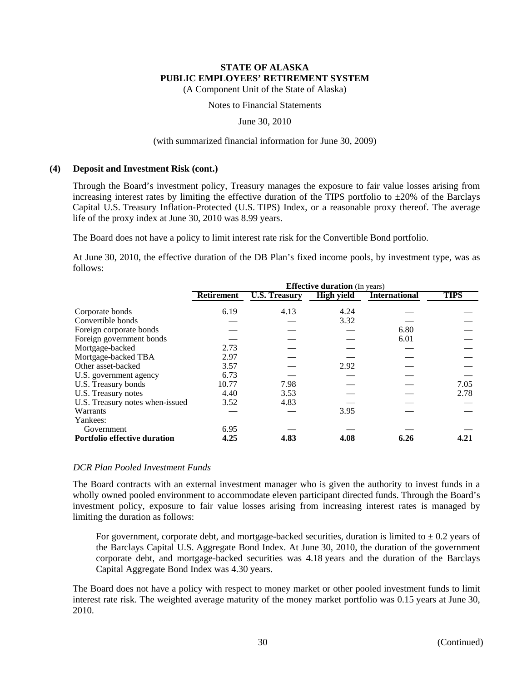(A Component Unit of the State of Alaska)

### Notes to Financial Statements

June 30, 2010

#### (with summarized financial information for June 30, 2009)

#### **(4) Deposit and Investment Risk (cont.)**

Through the Board's investment policy, Treasury manages the exposure to fair value losses arising from increasing interest rates by limiting the effective duration of the TIPS portfolio to  $\pm 20\%$  of the Barclays Capital U.S. Treasury Inflation-Protected (U.S. TIPS) Index, or a reasonable proxy thereof. The average life of the proxy index at June 30, 2010 was 8.99 years.

The Board does not have a policy to limit interest rate risk for the Convertible Bond portfolio.

At June 30, 2010, the effective duration of the DB Plan's fixed income pools, by investment type, was as follows:

|                                     | <b>Effective duration</b> (In years) |                      |                   |                      |             |  |  |  |  |
|-------------------------------------|--------------------------------------|----------------------|-------------------|----------------------|-------------|--|--|--|--|
|                                     | <b>Retirement</b>                    | <b>U.S. Treasury</b> | <b>High yield</b> | <b>International</b> | <b>TIPS</b> |  |  |  |  |
| Corporate bonds                     | 6.19                                 | 4.13                 | 4.24              |                      |             |  |  |  |  |
| Convertible bonds                   |                                      |                      | 3.32              |                      |             |  |  |  |  |
| Foreign corporate bonds             |                                      |                      |                   | 6.80                 |             |  |  |  |  |
| Foreign government bonds            |                                      |                      |                   | 6.01                 |             |  |  |  |  |
| Mortgage-backed                     | 2.73                                 |                      |                   |                      |             |  |  |  |  |
| Mortgage-backed TBA                 | 2.97                                 |                      |                   |                      |             |  |  |  |  |
| Other asset-backed                  | 3.57                                 |                      | 2.92              |                      |             |  |  |  |  |
| U.S. government agency              | 6.73                                 |                      |                   |                      |             |  |  |  |  |
| U.S. Treasury bonds                 | 10.77                                | 7.98                 |                   |                      | 7.05        |  |  |  |  |
| U.S. Treasury notes                 | 4.40                                 | 3.53                 |                   |                      | 2.78        |  |  |  |  |
| U.S. Treasury notes when-issued     | 3.52                                 | 4.83                 |                   |                      |             |  |  |  |  |
| Warrants                            |                                      |                      | 3.95              |                      |             |  |  |  |  |
| Yankees:                            |                                      |                      |                   |                      |             |  |  |  |  |
| Government                          | 6.95                                 |                      |                   |                      |             |  |  |  |  |
| <b>Portfolio effective duration</b> | 4.25                                 | 4.83                 | 4.08              | 6.26                 | 4.21        |  |  |  |  |

### *DCR Plan Pooled Investment Funds*

The Board contracts with an external investment manager who is given the authority to invest funds in a wholly owned pooled environment to accommodate eleven participant directed funds. Through the Board's investment policy, exposure to fair value losses arising from increasing interest rates is managed by limiting the duration as follows:

For government, corporate debt, and mortgage-backed securities, duration is limited to  $\pm$  0.2 years of the Barclays Capital U.S. Aggregate Bond Index. At June 30, 2010, the duration of the government corporate debt, and mortgage-backed securities was 4.18 years and the duration of the Barclays Capital Aggregate Bond Index was 4.30 years.

The Board does not have a policy with respect to money market or other pooled investment funds to limit interest rate risk. The weighted average maturity of the money market portfolio was 0.15 years at June 30, 2010.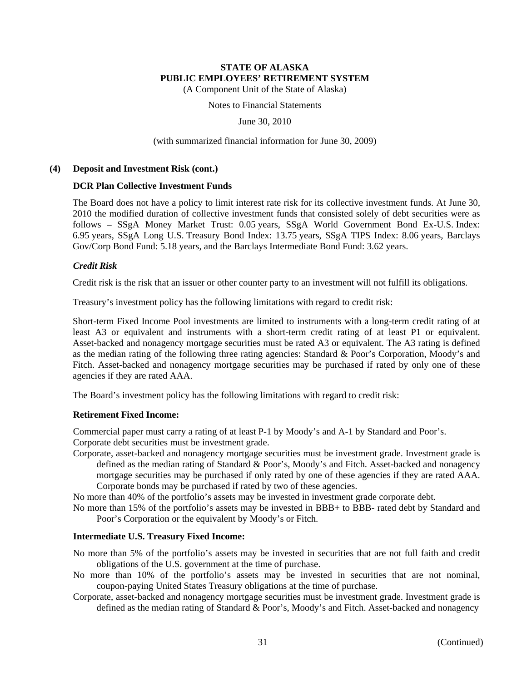(A Component Unit of the State of Alaska)

Notes to Financial Statements

June 30, 2010

(with summarized financial information for June 30, 2009)

### **(4) Deposit and Investment Risk (cont.)**

### **DCR Plan Collective Investment Funds**

The Board does not have a policy to limit interest rate risk for its collective investment funds. At June 30, 2010 the modified duration of collective investment funds that consisted solely of debt securities were as follows – SSgA Money Market Trust: 0.05 years, SSgA World Government Bond Ex-U.S. Index: 6.95 years, SSgA Long U.S. Treasury Bond Index: 13.75 years, SSgA TIPS Index: 8.06 years, Barclays Gov/Corp Bond Fund: 5.18 years, and the Barclays Intermediate Bond Fund: 3.62 years.

# *Credit Risk*

Credit risk is the risk that an issuer or other counter party to an investment will not fulfill its obligations.

Treasury's investment policy has the following limitations with regard to credit risk:

Short-term Fixed Income Pool investments are limited to instruments with a long-term credit rating of at least A3 or equivalent and instruments with a short-term credit rating of at least P1 or equivalent. Asset-backed and nonagency mortgage securities must be rated A3 or equivalent. The A3 rating is defined as the median rating of the following three rating agencies: Standard & Poor's Corporation, Moody's and Fitch. Asset-backed and nonagency mortgage securities may be purchased if rated by only one of these agencies if they are rated AAA.

The Board's investment policy has the following limitations with regard to credit risk:

# **Retirement Fixed Income:**

Commercial paper must carry a rating of at least P-1 by Moody's and A-1 by Standard and Poor's. Corporate debt securities must be investment grade.

Corporate, asset-backed and nonagency mortgage securities must be investment grade. Investment grade is defined as the median rating of Standard & Poor's, Moody's and Fitch. Asset-backed and nonagency mortgage securities may be purchased if only rated by one of these agencies if they are rated AAA. Corporate bonds may be purchased if rated by two of these agencies.

No more than 40% of the portfolio's assets may be invested in investment grade corporate debt.

No more than 15% of the portfolio's assets may be invested in BBB+ to BBB- rated debt by Standard and Poor's Corporation or the equivalent by Moody's or Fitch.

# **Intermediate U.S. Treasury Fixed Income:**

- No more than 5% of the portfolio's assets may be invested in securities that are not full faith and credit obligations of the U.S. government at the time of purchase.
- No more than 10% of the portfolio's assets may be invested in securities that are not nominal, coupon-paying United States Treasury obligations at the time of purchase.
- Corporate, asset-backed and nonagency mortgage securities must be investment grade. Investment grade is defined as the median rating of Standard & Poor's, Moody's and Fitch. Asset-backed and nonagency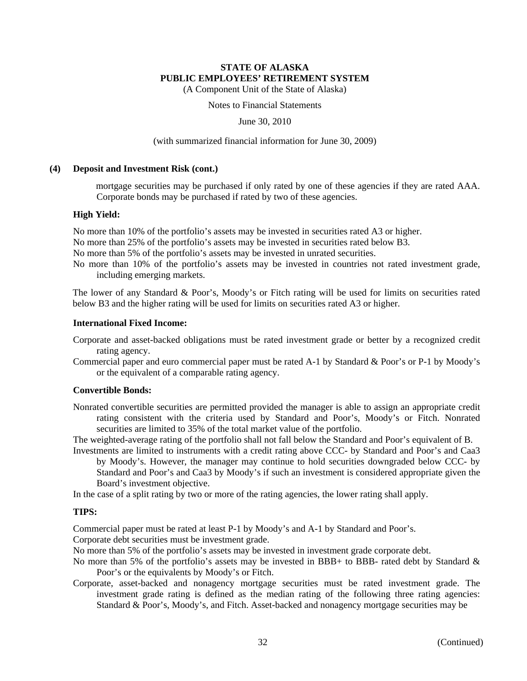(A Component Unit of the State of Alaska)

Notes to Financial Statements

June 30, 2010

#### (with summarized financial information for June 30, 2009)

#### **(4) Deposit and Investment Risk (cont.)**

mortgage securities may be purchased if only rated by one of these agencies if they are rated AAA. Corporate bonds may be purchased if rated by two of these agencies.

### **High Yield:**

No more than 10% of the portfolio's assets may be invested in securities rated A3 or higher.

No more than 25% of the portfolio's assets may be invested in securities rated below B3.

No more than 5% of the portfolio's assets may be invested in unrated securities.

No more than 10% of the portfolio's assets may be invested in countries not rated investment grade, including emerging markets.

The lower of any Standard & Poor's, Moody's or Fitch rating will be used for limits on securities rated below B3 and the higher rating will be used for limits on securities rated A3 or higher.

### **International Fixed Income:**

- Corporate and asset-backed obligations must be rated investment grade or better by a recognized credit rating agency.
- Commercial paper and euro commercial paper must be rated A-1 by Standard & Poor's or P-1 by Moody's or the equivalent of a comparable rating agency.

### **Convertible Bonds:**

Nonrated convertible securities are permitted provided the manager is able to assign an appropriate credit rating consistent with the criteria used by Standard and Poor's, Moody's or Fitch. Nonrated securities are limited to 35% of the total market value of the portfolio.

The weighted-average rating of the portfolio shall not fall below the Standard and Poor's equivalent of B.

Investments are limited to instruments with a credit rating above CCC- by Standard and Poor's and Caa3 by Moody's. However, the manager may continue to hold securities downgraded below CCC- by Standard and Poor's and Caa3 by Moody's if such an investment is considered appropriate given the Board's investment objective.

In the case of a split rating by two or more of the rating agencies, the lower rating shall apply.

### **TIPS:**

Commercial paper must be rated at least P-1 by Moody's and A-1 by Standard and Poor's.

Corporate debt securities must be investment grade.

No more than 5% of the portfolio's assets may be invested in investment grade corporate debt.

- No more than 5% of the portfolio's assets may be invested in BBB+ to BBB- rated debt by Standard & Poor's or the equivalents by Moody's or Fitch.
- Corporate, asset-backed and nonagency mortgage securities must be rated investment grade. The investment grade rating is defined as the median rating of the following three rating agencies: Standard & Poor's, Moody's, and Fitch. Asset-backed and nonagency mortgage securities may be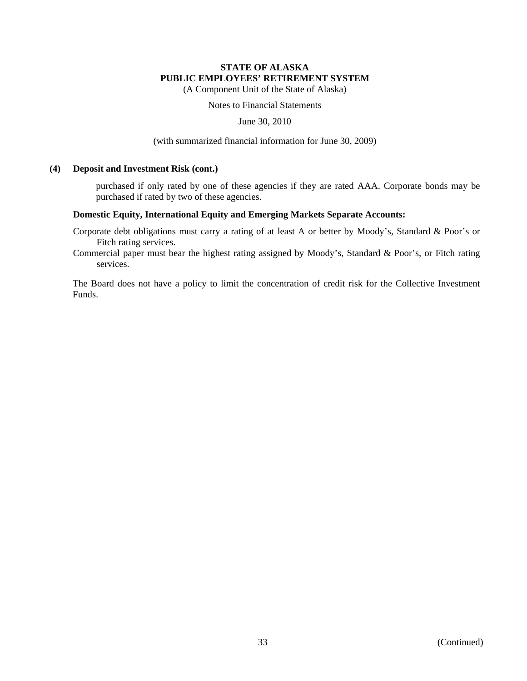(A Component Unit of the State of Alaska)

Notes to Financial Statements

June 30, 2010

(with summarized financial information for June 30, 2009)

### **(4) Deposit and Investment Risk (cont.)**

purchased if only rated by one of these agencies if they are rated AAA. Corporate bonds may be purchased if rated by two of these agencies.

### **Domestic Equity, International Equity and Emerging Markets Separate Accounts:**

Corporate debt obligations must carry a rating of at least A or better by Moody's, Standard & Poor's or Fitch rating services.

Commercial paper must bear the highest rating assigned by Moody's, Standard & Poor's, or Fitch rating services.

The Board does not have a policy to limit the concentration of credit risk for the Collective Investment Funds.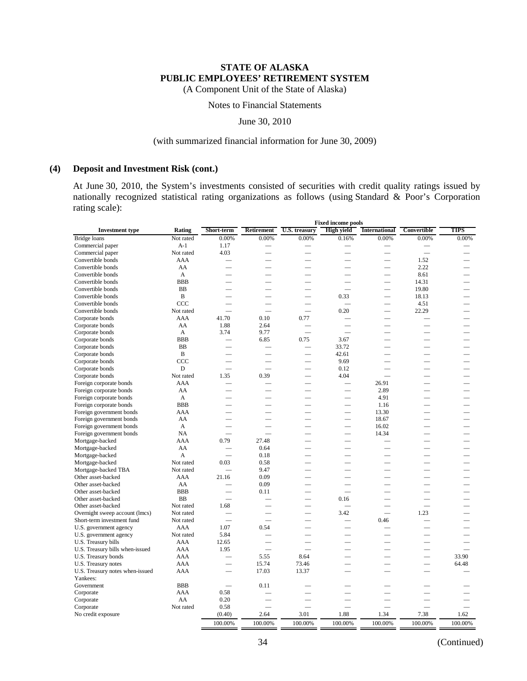(A Component Unit of the State of Alaska)

# Notes to Financial Statements

### June 30, 2010

### (with summarized financial information for June 30, 2009)

### **(4) Deposit and Investment Risk (cont.)**

At June 30, 2010, the System's investments consisted of securities with credit quality ratings issued by nationally recognized statistical rating organizations as follows (using Standard & Poor's Corporation rating scale):

|                                 |                |                          |                          |                          | <b>Fixed income pools</b> |                          |                          |             |
|---------------------------------|----------------|--------------------------|--------------------------|--------------------------|---------------------------|--------------------------|--------------------------|-------------|
| <b>Investment type</b>          | Rating         | Short-term               | <b>Retirement</b>        | U.S. treasury            | <b>High yield</b>         | <b>International</b>     | Convertible              | <b>TIPS</b> |
| Bridge loans                    | Not rated      | 0.00%                    | 0.00%                    | 0.00%                    | 0.16%                     | 0.00%                    | 0.00%                    | 0.00%       |
| Commercial paper                | $A-1$          | 1.17                     | -                        |                          | $\overline{\phantom{0}}$  | -                        | $\overline{\phantom{a}}$ |             |
| Commercial paper                | Not rated      | 4.03                     |                          |                          |                           | $\overline{\phantom{0}}$ | $\overline{\phantom{0}}$ |             |
| Convertible bonds               | AAA            |                          |                          |                          | $\overline{\phantom{0}}$  |                          | 1.52                     |             |
| Convertible bonds               | AA             |                          |                          |                          |                           | $\overline{\phantom{0}}$ | 2.22                     |             |
| Convertible bonds               | A              |                          |                          |                          |                           | $\overline{\phantom{0}}$ | 8.61                     |             |
| Convertible bonds               | <b>BBB</b>     |                          | $\overline{\phantom{0}}$ | $\overline{\phantom{0}}$ |                           | $\overline{\phantom{0}}$ | 14.31                    |             |
| Convertible bonds               | <b>BB</b>      |                          |                          |                          |                           | $\overline{\phantom{0}}$ | 19.80                    |             |
| Convertible bonds               | $\bf{B}$       |                          |                          |                          | 0.33                      | $\overline{\phantom{0}}$ | 18.13                    |             |
| Convertible bonds               | CCC            | $\overline{\phantom{a}}$ |                          |                          |                           | $\overline{\phantom{0}}$ | 4.51                     |             |
| Convertible bonds               | Not rated      |                          | $\overline{\phantom{a}}$ |                          | 0.20                      | $\overline{\phantom{0}}$ | 22.29                    |             |
| Corporate bonds                 | AAA            | 41.70                    | 0.10                     | 0.77                     |                           |                          |                          |             |
| Corporate bonds                 | AA             | 1.88                     | 2.64                     |                          |                           | $\overline{\phantom{0}}$ |                          |             |
| Corporate bonds                 | A              | 3.74                     | 9.77                     |                          |                           |                          |                          |             |
| Corporate bonds                 | <b>BBB</b>     |                          | 6.85                     | 0.75                     | 3.67                      |                          |                          |             |
| Corporate bonds                 | <b>BB</b>      |                          |                          | $\overline{\phantom{0}}$ | 33.72                     | $\overline{\phantom{0}}$ | $\overline{\phantom{0}}$ |             |
| Corporate bonds                 | B              |                          |                          |                          | 42.61                     | $\overline{\phantom{0}}$ | $\sim$                   |             |
| Corporate bonds                 | CCC            |                          |                          |                          | 9.69                      |                          |                          |             |
| Corporate bonds                 | D              |                          |                          |                          | 0.12                      |                          |                          |             |
| Corporate bonds                 | Not rated      | 1.35                     | 0.39                     | $\overline{\phantom{0}}$ | 4.04                      | $\overline{\phantom{0}}$ |                          |             |
| Foreign corporate bonds         | AAA            |                          |                          |                          |                           | 26.91                    |                          |             |
| Foreign corporate bonds         | AA             |                          |                          |                          |                           | 2.89                     | ÷.                       |             |
| Foreign corporate bonds         | A              |                          | $\sim$                   | $\overline{\phantom{a}}$ | $\overline{\phantom{0}}$  | 4.91                     | $\overline{\phantom{a}}$ |             |
| Foreign corporate bonds         | <b>BBB</b>     |                          |                          |                          |                           | 1.16                     |                          |             |
| Foreign government bonds        | AAA            |                          |                          |                          | $\overline{\phantom{0}}$  | 13.30                    |                          |             |
| Foreign government bonds        | AA             |                          |                          |                          |                           | 18.67                    | -                        |             |
| Foreign government bonds        | A              |                          |                          |                          |                           | 16.02                    |                          |             |
| Foreign government bonds        | <b>NA</b>      | ▃                        | <u>Line</u>              |                          | $\overline{\phantom{0}}$  | 14.34                    | $\overline{\phantom{a}}$ |             |
| Mortgage-backed                 | AAA            | 0.79                     | 27.48                    | $\overline{\phantom{a}}$ | -                         |                          | $\overline{\phantom{a}}$ |             |
| Mortgage-backed                 | AA             |                          | 0.64                     |                          |                           |                          |                          |             |
| Mortgage-backed                 | $\overline{A}$ | $\overline{\phantom{0}}$ | 0.18                     |                          |                           |                          |                          |             |
| Mortgage-backed                 | Not rated      | 0.03                     | 0.58                     |                          |                           |                          |                          |             |
| Mortgage-backed TBA             | Not rated      |                          | 9.47                     |                          | $\overline{\phantom{a}}$  | $\overline{\phantom{0}}$ | $\overline{\phantom{a}}$ |             |
| Other asset-backed              | AAA            | 21.16                    | 0.09                     |                          |                           | $\overline{\phantom{0}}$ |                          |             |
| Other asset-backed              | AA             |                          | 0.09                     |                          |                           |                          |                          |             |
| Other asset-backed              | <b>BBB</b>     |                          | 0.11                     |                          |                           |                          |                          |             |
| Other asset-backed              | <b>BB</b>      |                          |                          |                          | 0.16                      |                          |                          |             |
| Other asset-backed              | Not rated      | 1.68                     |                          |                          |                           |                          |                          |             |
| Overnight sweep account (lmcs)  | Not rated      |                          |                          | $\overline{\phantom{0}}$ | 3.42                      | $\overline{\phantom{0}}$ | 1.23                     |             |
| Short-term investment fund      | Not rated      | $\overline{\phantom{0}}$ | $\overline{\phantom{0}}$ | -                        |                           | 0.46                     |                          |             |
| U.S. government agency          | AAA            | 1.07                     | 0.54                     |                          |                           |                          |                          |             |
| U.S. government agency          | Not rated      | 5.84                     |                          |                          |                           |                          |                          |             |
| U.S. Treasury bills             | AAA            | 12.65                    |                          |                          |                           |                          |                          |             |
| U.S. Treasury bills when-issued | <b>AAA</b>     | 1.95                     |                          |                          |                           |                          |                          |             |
| U.S. Treasury bonds             | AAA            |                          | 5.55                     | 8.64                     |                           | $\overline{\phantom{0}}$ |                          | 33.90       |
| U.S. Treasury notes             | <b>AAA</b>     | $\overline{\phantom{0}}$ | 15.74                    | 73.46                    |                           | $\overline{\phantom{0}}$ |                          | 64.48       |
| U.S. Treasury notes when-issued | AAA            |                          | 17.03                    | 13.37                    |                           |                          |                          |             |
| Yankees:                        |                |                          |                          |                          |                           |                          |                          |             |
| Government                      | <b>BBB</b>     |                          | 0.11                     |                          |                           |                          |                          |             |
| Corporate                       | AAA            | 0.58                     |                          |                          |                           |                          |                          |             |
| Corporate                       | AA             | 0.20                     |                          |                          |                           |                          |                          |             |
| Corporate                       | Not rated      | 0.58                     | $\overline{\phantom{0}}$ | $\overline{\phantom{0}}$ |                           |                          | $\overline{\phantom{a}}$ |             |
| No credit exposure              |                | (0.40)                   | 2.64                     | 3.01                     | 1.88                      | 1.34                     | 7.38                     | 1.62        |
|                                 |                |                          |                          |                          |                           |                          |                          |             |
|                                 |                | 100.00%                  | 100.00%                  | 100.00%                  | 100.00%                   | 100.00%                  | 100.00%                  | 100.00%     |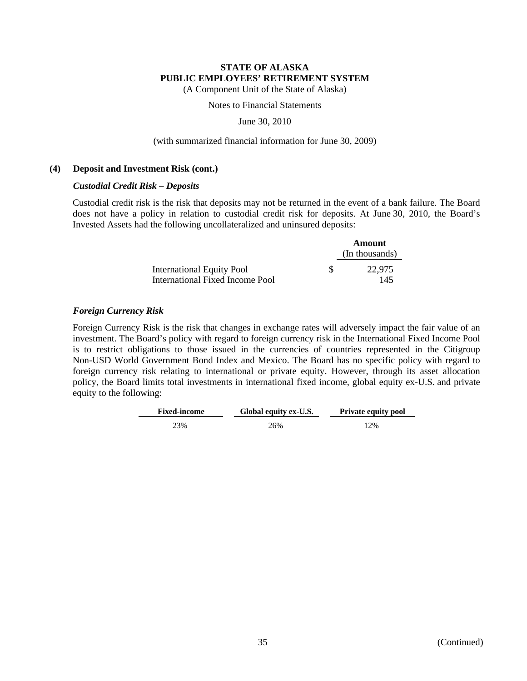(A Component Unit of the State of Alaska)

Notes to Financial Statements

June 30, 2010

#### (with summarized financial information for June 30, 2009)

#### **(4) Deposit and Investment Risk (cont.)**

#### *Custodial Credit Risk – Deposits*

Custodial credit risk is the risk that deposits may not be returned in the event of a bank failure. The Board does not have a policy in relation to custodial credit risk for deposits. At June 30, 2010, the Board's Invested Assets had the following uncollateralized and uninsured deposits:

|                                                                     | Amount         |  |  |
|---------------------------------------------------------------------|----------------|--|--|
|                                                                     | (In thousands) |  |  |
| <b>International Equity Pool</b><br>International Fixed Income Pool | 22.975<br>145  |  |  |

### *Foreign Currency Risk*

Foreign Currency Risk is the risk that changes in exchange rates will adversely impact the fair value of an investment. The Board's policy with regard to foreign currency risk in the International Fixed Income Pool is to restrict obligations to those issued in the currencies of countries represented in the Citigroup Non-USD World Government Bond Index and Mexico. The Board has no specific policy with regard to foreign currency risk relating to international or private equity. However, through its asset allocation policy, the Board limits total investments in international fixed income, global equity ex-U.S. and private equity to the following:

| <b>Fixed-income</b> | Global equity ex-U.S. | <b>Private equity pool</b> |  |  |  |
|---------------------|-----------------------|----------------------------|--|--|--|
| 23%                 | 26%                   | 12%                        |  |  |  |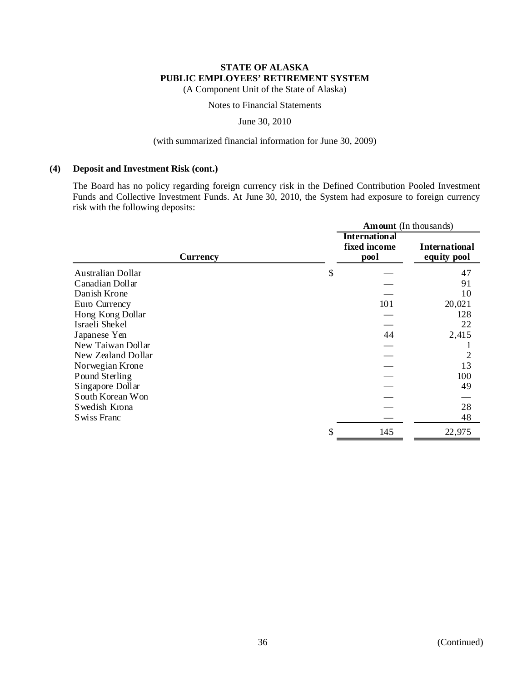(A Component Unit of the State of Alaska)

Notes to Financial Statements

June 30, 2010

## (with summarized financial information for June 30, 2009)

### **(4) Deposit and Investment Risk (cont.)**

The Board has no policy regarding foreign currency risk in the Defined Contribution Pooled Investment Funds and Collective Investment Funds. At June 30, 2010, the System had exposure to foreign currency risk with the following deposits:

|                    | <b>Amount</b> (In thousands)                 |                                     |  |  |  |
|--------------------|----------------------------------------------|-------------------------------------|--|--|--|
| <b>Currency</b>    | <b>International</b><br>fixed income<br>pool | <b>International</b><br>equity pool |  |  |  |
| Australian Dollar  | \$                                           | 47                                  |  |  |  |
| Canadian Dollar    |                                              | 91                                  |  |  |  |
| Danish Krone       |                                              | 10                                  |  |  |  |
| Euro Currency      | 101                                          | 20,021                              |  |  |  |
| Hong Kong Dollar   |                                              | 128                                 |  |  |  |
| Israeli Shekel     |                                              | 22                                  |  |  |  |
| Japanese Yen       | 44                                           | 2,415                               |  |  |  |
| New Taiwan Dollar  |                                              |                                     |  |  |  |
| New Zealand Dollar |                                              | 2                                   |  |  |  |
| Norwegian Krone    |                                              | 13                                  |  |  |  |
| Pound Sterling     |                                              | 100                                 |  |  |  |
| Singapore Dollar   |                                              | 49                                  |  |  |  |
| South Korean Won   |                                              |                                     |  |  |  |
| Swedish Krona      |                                              | 28                                  |  |  |  |
| Swiss Franc        |                                              | 48                                  |  |  |  |
|                    | \$<br>145                                    | 22,975                              |  |  |  |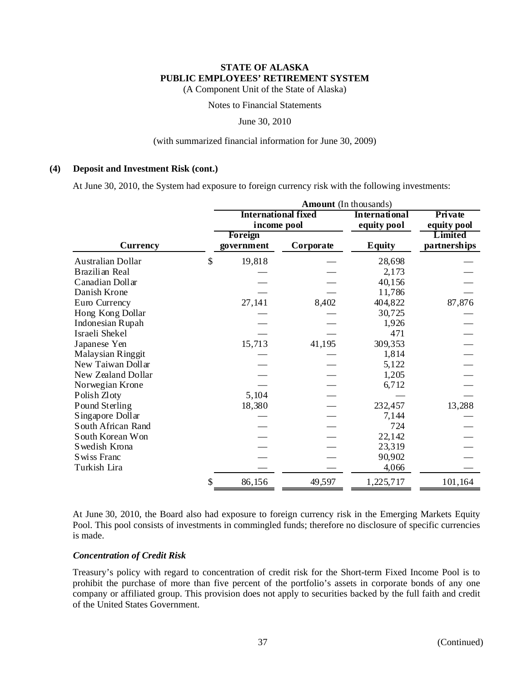(A Component Unit of the State of Alaska)

Notes to Financial Statements

June 30, 2010

### (with summarized financial information for June 30, 2009)

## **(4) Deposit and Investment Risk (cont.)**

At June 30, 2010, the System had exposure to foreign currency risk with the following investments:

|                          | Amount (In thousands) |                            |                      |                         |  |  |  |
|--------------------------|-----------------------|----------------------------|----------------------|-------------------------|--|--|--|
|                          |                       | <b>International fixed</b> | <b>International</b> | Private                 |  |  |  |
|                          | income pool           |                            | equity pool          | equity pool             |  |  |  |
| <b>Currency</b>          | Foreign<br>government | Corporate                  | <b>Equity</b>        | Limited<br>partnerships |  |  |  |
| <b>Australian Dollar</b> | \$<br>19,818          |                            | 28,698               |                         |  |  |  |
| Brazilian Real           |                       |                            | 2,173                |                         |  |  |  |
| Canadian Dollar          |                       |                            | 40,156               |                         |  |  |  |
| Danish Krone             |                       |                            | 11,786               |                         |  |  |  |
| Euro Currency            | 27,141                | 8,402                      | 404,822              | 87,876                  |  |  |  |
| Hong Kong Dollar         |                       |                            | 30,725               |                         |  |  |  |
| Indonesian Rupah         |                       |                            | 1,926                |                         |  |  |  |
| Israeli Shekel           |                       |                            | 471                  |                         |  |  |  |
| Japanese Yen             | 15,713                | 41,195                     | 309,353              |                         |  |  |  |
| Malaysian Ringgit        |                       |                            | 1,814                |                         |  |  |  |
| New Taiwan Dollar        |                       |                            | 5,122                |                         |  |  |  |
| New Zealand Dollar       |                       |                            | 1,205                |                         |  |  |  |
| Norwegian Krone          |                       |                            | 6,712                |                         |  |  |  |
| Polish Zloty             | 5,104                 |                            |                      |                         |  |  |  |
| Pound Sterling           | 18,380                |                            | 232,457              | 13,288                  |  |  |  |
| Singapore Dollar         |                       |                            | 7,144                |                         |  |  |  |
| South African Rand       |                       |                            | 724                  |                         |  |  |  |
| South Korean Won         |                       |                            | 22,142               |                         |  |  |  |
| Swedish Krona            |                       |                            | 23,319               |                         |  |  |  |
| Swiss Franc              |                       |                            | 90,902               |                         |  |  |  |
| Turkish Lira             |                       |                            | 4,066                |                         |  |  |  |
|                          | \$<br>86,156          | 49,597                     | 1,225,717            | 101,164                 |  |  |  |

At June 30, 2010, the Board also had exposure to foreign currency risk in the Emerging Markets Equity Pool. This pool consists of investments in commingled funds; therefore no disclosure of specific currencies is made.

# *Concentration of Credit Risk*

Treasury's policy with regard to concentration of credit risk for the Short-term Fixed Income Pool is to prohibit the purchase of more than five percent of the portfolio's assets in corporate bonds of any one company or affiliated group. This provision does not apply to securities backed by the full faith and credit of the United States Government.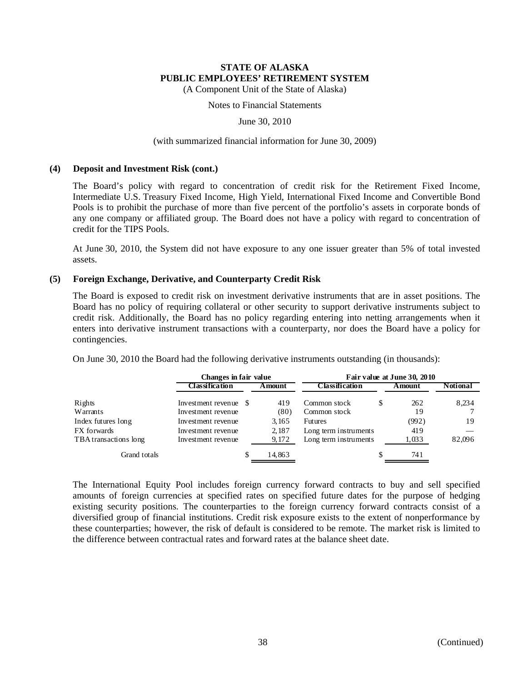(A Component Unit of the State of Alaska)

Notes to Financial Statements

June 30, 2010

#### (with summarized financial information for June 30, 2009)

#### **(4) Deposit and Investment Risk (cont.)**

The Board's policy with regard to concentration of credit risk for the Retirement Fixed Income, Intermediate U.S. Treasury Fixed Income, High Yield, International Fixed Income and Convertible Bond Pools is to prohibit the purchase of more than five percent of the portfolio's assets in corporate bonds of any one company or affiliated group. The Board does not have a policy with regard to concentration of credit for the TIPS Pools.

At June 30, 2010, the System did not have exposure to any one issuer greater than 5% of total invested assets.

### **(5) Foreign Exchange, Derivative, and Counterparty Credit Risk**

The Board is exposed to credit risk on investment derivative instruments that are in asset positions. The Board has no policy of requiring collateral or other security to support derivative instruments subject to credit risk. Additionally, the Board has no policy regarding entering into netting arrangements when it enters into derivative instrument transactions with a counterparty, nor does the Board have a policy for contingencies.

On June 30, 2010 the Board had the following derivative instruments outstanding (in thousands):

|                       | Changes in fair value |     | Fair value at June 30, 2010 |                       |   |        |                 |
|-----------------------|-----------------------|-----|-----------------------------|-----------------------|---|--------|-----------------|
|                       | Classification        |     | Amount                      | Classification        |   | Amount | <b>Notional</b> |
| Rights                | Investment revenue \$ |     | 419                         | Common stock          | S | 262    | 8,234           |
| Warrants              | Investment revenue    |     | (80)                        | Common stock          |   | 19     |                 |
| Index futures long    | Investment revenue    |     | 3.165                       | <b>Futures</b>        |   | (992)  | 19              |
| FX forwards           | Investment revenue    |     | 2,187                       | Long term instruments |   | 419    |                 |
| TBA transactions long | Investment revenue    |     | 9,172                       | Long term instruments |   | 1,033  | 82,096          |
| Grand totals          |                       | \$. | 14,863                      |                       | S | 741    |                 |

The International Equity Pool includes foreign currency forward contracts to buy and sell specified amounts of foreign currencies at specified rates on specified future dates for the purpose of hedging existing security positions. The counterparties to the foreign currency forward contracts consist of a diversified group of financial institutions. Credit risk exposure exists to the extent of nonperformance by these counterparties; however, the risk of default is considered to be remote. The market risk is limited to the difference between contractual rates and forward rates at the balance sheet date.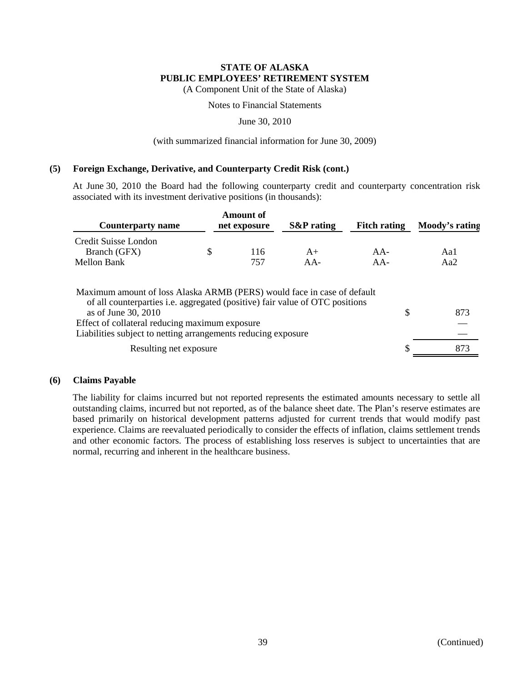(A Component Unit of the State of Alaska)

Notes to Financial Statements

June 30, 2010

#### (with summarized financial information for June 30, 2009)

### **(5) Foreign Exchange, Derivative, and Counterparty Credit Risk (cont.)**

At June 30, 2010 the Board had the following counterparty credit and counterparty concentration risk associated with its investment derivative positions (in thousands):

| <b>Counterparty name</b>                            | <b>Amount of</b><br>net exposure | <b>S&amp;P</b> rating | <b>Fitch rating</b> | Moody's rating |
|-----------------------------------------------------|----------------------------------|-----------------------|---------------------|----------------|
| Credit Suisse London<br>Branch (GFX)<br>Mellon Bank | 116<br>757                       | $A+$<br>$AA-$         | $AA-$<br>$AA-$      | Aa1<br>Aa2     |

| Maximum amount of loss Alaska ARMB (PERS) would face in case of default             |     |
|-------------------------------------------------------------------------------------|-----|
| of all counterparties <i>i.e.</i> aggregated (positive) fair value of OTC positions |     |
| as of June 30, 2010                                                                 | 873 |
| Effect of collateral reducing maximum exposure                                      |     |
| Liabilities subject to netting arrangements reducing exposure                       |     |
| Resulting net exposure                                                              | 873 |

### **(6) Claims Payable**

The liability for claims incurred but not reported represents the estimated amounts necessary to settle all outstanding claims, incurred but not reported, as of the balance sheet date. The Plan's reserve estimates are based primarily on historical development patterns adjusted for current trends that would modify past experience. Claims are reevaluated periodically to consider the effects of inflation, claims settlement trends and other economic factors. The process of establishing loss reserves is subject to uncertainties that are normal, recurring and inherent in the healthcare business.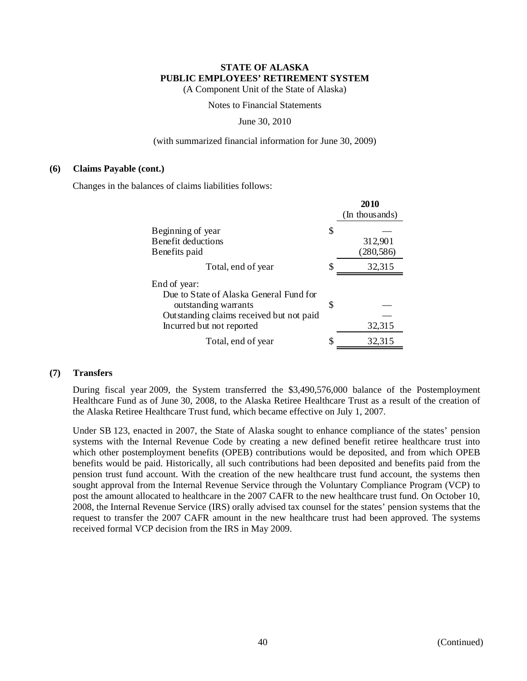(A Component Unit of the State of Alaska)

Notes to Financial Statements

#### June 30, 2010

### (with summarized financial information for June 30, 2009)

#### **(6) Claims Payable (cont.)**

Changes in the balances of claims liabilities follows:

|                                          |    | 2010<br>(In thousands) |
|------------------------------------------|----|------------------------|
| Beginning of year                        | S  |                        |
| Benefit deductions                       |    | 312,901                |
| Benefits paid                            |    | (280, 586)             |
| Total, end of year                       | S  | 32,315                 |
| End of year:                             |    |                        |
| Due to State of Alaska General Fund for  |    |                        |
| outstanding warrants                     | \$ |                        |
| Outstanding claims received but not paid |    |                        |
| Incurred but not reported                |    | 32,315                 |
| Total, end of year                       |    | 32,315                 |

### **(7) Transfers**

During fiscal year 2009, the System transferred the \$3,490,576,000 balance of the Postemployment Healthcare Fund as of June 30, 2008, to the Alaska Retiree Healthcare Trust as a result of the creation of the Alaska Retiree Healthcare Trust fund, which became effective on July 1, 2007.

Under SB 123, enacted in 2007, the State of Alaska sought to enhance compliance of the states' pension systems with the Internal Revenue Code by creating a new defined benefit retiree healthcare trust into which other postemployment benefits (OPEB) contributions would be deposited, and from which OPEB benefits would be paid. Historically, all such contributions had been deposited and benefits paid from the pension trust fund account. With the creation of the new healthcare trust fund account, the systems then sought approval from the Internal Revenue Service through the Voluntary Compliance Program (VCP) to post the amount allocated to healthcare in the 2007 CAFR to the new healthcare trust fund. On October 10, 2008, the Internal Revenue Service (IRS) orally advised tax counsel for the states' pension systems that the request to transfer the 2007 CAFR amount in the new healthcare trust had been approved. The systems received formal VCP decision from the IRS in May 2009.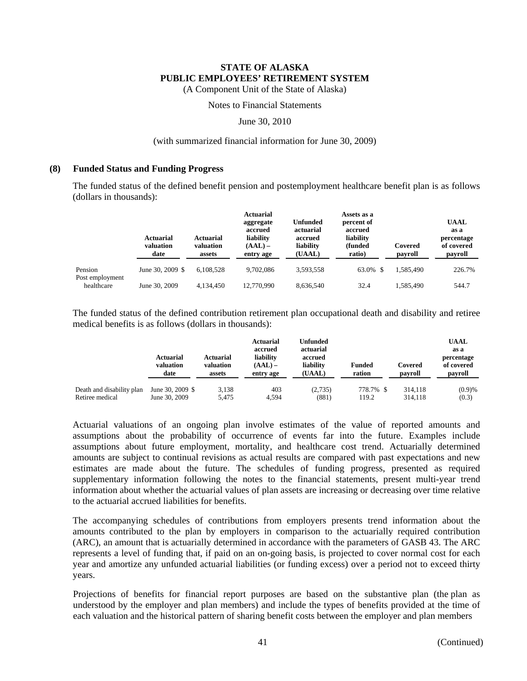(A Component Unit of the State of Alaska)

### Notes to Financial Statements

June 30, 2010

#### (with summarized financial information for June 30, 2009)

#### **(8) Funded Status and Funding Progress**

The funded status of the defined benefit pension and postemployment healthcare benefit plan is as follows (dollars in thousands):

|                               | <b>Actuarial</b><br>valuation<br>date | <b>Actuarial</b><br>valuation<br>assets | <b>Actuarial</b><br>aggregate<br>accrued<br>liability<br>$(AAL)$ –<br>entry age | <b>Unfunded</b><br>actuarial<br>accrued<br>liability<br>(UAAL) | Assets as a<br>percent of<br>accrued<br>liability<br>(funded<br>ratio) | Covered<br>payroll | <b>UAAL</b><br>as a<br>percentage<br>of covered<br>payroll |
|-------------------------------|---------------------------------------|-----------------------------------------|---------------------------------------------------------------------------------|----------------------------------------------------------------|------------------------------------------------------------------------|--------------------|------------------------------------------------------------|
| Pension                       | June 30, 2009 \$                      | 6.108.528                               | 9.702.086                                                                       | 3.593.558                                                      | 63.0% \$                                                               | 1.585.490          | 226.7%                                                     |
| Post employment<br>healthcare | June 30, 2009                         | 4.134.450                               | 12,770,990                                                                      | 8.636.540                                                      | 32.4                                                                   | 1.585.490          | 544.7                                                      |

The funded status of the defined contribution retirement plan occupational death and disability and retiree medical benefits is as follows (dollars in thousands):

|                           | <b>Actuarial</b><br>valuation<br>date | <b>Actuarial</b><br>valuation<br>assets | Actuarial<br>accrued<br>liability<br>$(AAL)$ –<br>entry age | Unfunded<br>actuarial<br>accrued<br>liability<br>(UAAL) | <b>Funded</b><br>ration | Covered<br>payroll | <b>UAAL</b><br>as a<br>percentage<br>of covered<br>payroll |
|---------------------------|---------------------------------------|-----------------------------------------|-------------------------------------------------------------|---------------------------------------------------------|-------------------------|--------------------|------------------------------------------------------------|
| Death and disability plan | June 30, 2009 $$$                     | 3,138                                   | 403                                                         | (2,735)                                                 | 778.7% \$               | 314.118            | (0.9)%                                                     |
| Retiree medical           | June 30, 2009                         | 5.475                                   | 4.594                                                       | (881)                                                   | 119.2                   | 314.118            | (0.3)                                                      |

Actuarial valuations of an ongoing plan involve estimates of the value of reported amounts and assumptions about the probability of occurrence of events far into the future. Examples include assumptions about future employment, mortality, and healthcare cost trend. Actuarially determined amounts are subject to continual revisions as actual results are compared with past expectations and new estimates are made about the future. The schedules of funding progress, presented as required supplementary information following the notes to the financial statements, present multi-year trend information about whether the actuarial values of plan assets are increasing or decreasing over time relative to the actuarial accrued liabilities for benefits.

The accompanying schedules of contributions from employers presents trend information about the amounts contributed to the plan by employers in comparison to the actuarially required contribution (ARC), an amount that is actuarially determined in accordance with the parameters of GASB 43. The ARC represents a level of funding that, if paid on an on-going basis, is projected to cover normal cost for each year and amortize any unfunded actuarial liabilities (or funding excess) over a period not to exceed thirty years.

Projections of benefits for financial report purposes are based on the substantive plan (the plan as understood by the employer and plan members) and include the types of benefits provided at the time of each valuation and the historical pattern of sharing benefit costs between the employer and plan members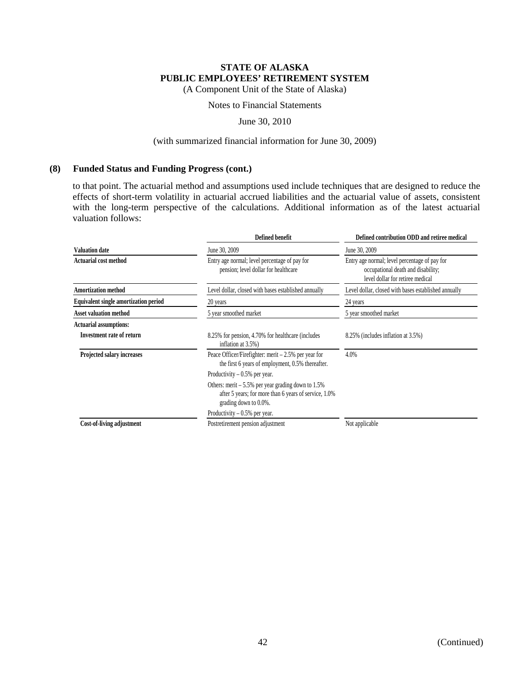(A Component Unit of the State of Alaska)

### Notes to Financial Statements

June 30, 2010

#### (with summarized financial information for June 30, 2009)

### **(8) Funded Status and Funding Progress (cont.)**

to that point. The actuarial method and assumptions used include techniques that are designed to reduce the effects of short-term volatility in actuarial accrued liabilities and the actuarial value of assets, consistent with the long-term perspective of the calculations. Additional information as of the latest actuarial valuation follows:

|                                              | <b>Defined benefit</b>                                                                                                                       | Defined contribution ODD and retiree medical                                                                            |
|----------------------------------------------|----------------------------------------------------------------------------------------------------------------------------------------------|-------------------------------------------------------------------------------------------------------------------------|
| <b>Valuation date</b>                        | June 30, 2009                                                                                                                                | June 30, 2009                                                                                                           |
| <b>Actuarial cost method</b>                 | Entry age normal; level percentage of pay for<br>pension; level dollar for healthcare                                                        | Entry age normal; level percentage of pay for<br>occupational death and disability;<br>level dollar for retiree medical |
| <b>Amortization method</b>                   | Level dollar, closed with bases established annually                                                                                         | Level dollar, closed with bases established annually                                                                    |
| <b>Equivalent single amortization period</b> | 20 years                                                                                                                                     | 24 years                                                                                                                |
| <b>Asset valuation method</b>                | 5 year smoothed market                                                                                                                       | 5 year smoothed market                                                                                                  |
| <b>Actuarial assumptions:</b>                |                                                                                                                                              |                                                                                                                         |
| <b>Investment rate of return</b>             | 8.25% for pension, 4.70% for healthcare (includes<br>inflation at 3.5%)                                                                      | 8.25% (includes inflation at 3.5%)                                                                                      |
| Projected salary increases                   | Peace Officer/Firefighter: merit $-2.5%$ per year for<br>the first 6 years of employment, 0.5% thereafter.<br>Productivity $-0.5%$ per year. | 4.0%                                                                                                                    |
|                                              | Others: merit $-5.5\%$ per year grading down to 1.5%<br>after 5 years; for more than 6 years of service, 1.0%<br>grading down to 0.0%.       |                                                                                                                         |
|                                              | Productivity $-0.5%$ per year.                                                                                                               |                                                                                                                         |
| Cost-of-living adjustment                    | Postretirement pension adjustment                                                                                                            | Not applicable                                                                                                          |
|                                              |                                                                                                                                              |                                                                                                                         |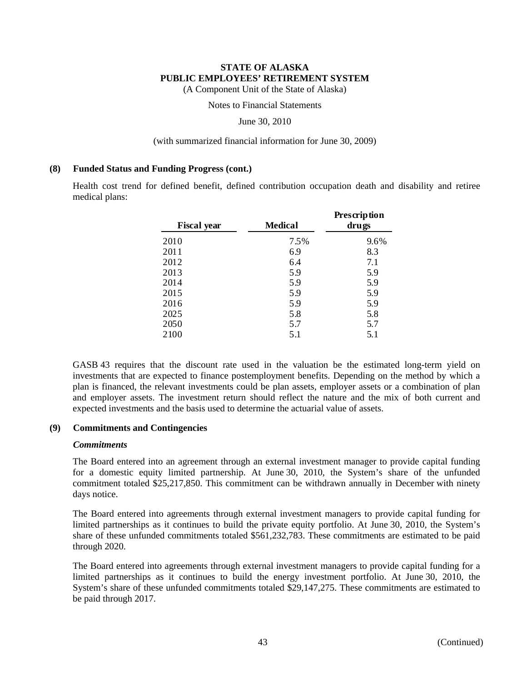(A Component Unit of the State of Alaska)

Notes to Financial Statements

June 30, 2010

#### (with summarized financial information for June 30, 2009)

#### **(8) Funded Status and Funding Progress (cont.)**

Health cost trend for defined benefit, defined contribution occupation death and disability and retiree medical plans:

| <b>Fiscal year</b> | <b>Medical</b> | Prescription<br>drugs |
|--------------------|----------------|-----------------------|
| 2010               | 7.5%           | 9.6%                  |
| 2011               | 6.9            | 8.3                   |
| 2012               | 6.4            | 7.1                   |
| 2013               | 5.9            | 5.9                   |
| 2014               | 5.9            | 5.9                   |
| 2015               | 5.9            | 5.9                   |
| 2016               | 5.9            | 5.9                   |
| 2025               | 5.8            | 5.8                   |
| 2050               | 5.7            | 5.7                   |
| 2100               | 5.1            | 5.1                   |

GASB 43 requires that the discount rate used in the valuation be the estimated long-term yield on investments that are expected to finance postemployment benefits. Depending on the method by which a plan is financed, the relevant investments could be plan assets, employer assets or a combination of plan and employer assets. The investment return should reflect the nature and the mix of both current and expected investments and the basis used to determine the actuarial value of assets.

### **(9) Commitments and Contingencies**

### *Commitments*

The Board entered into an agreement through an external investment manager to provide capital funding for a domestic equity limited partnership. At June 30, 2010, the System's share of the unfunded commitment totaled \$25,217,850. This commitment can be withdrawn annually in December with ninety days notice.

The Board entered into agreements through external investment managers to provide capital funding for limited partnerships as it continues to build the private equity portfolio. At June 30, 2010, the System's share of these unfunded commitments totaled \$561,232,783. These commitments are estimated to be paid through 2020.

The Board entered into agreements through external investment managers to provide capital funding for a limited partnerships as it continues to build the energy investment portfolio. At June 30, 2010, the System's share of these unfunded commitments totaled \$29,147,275. These commitments are estimated to be paid through 2017.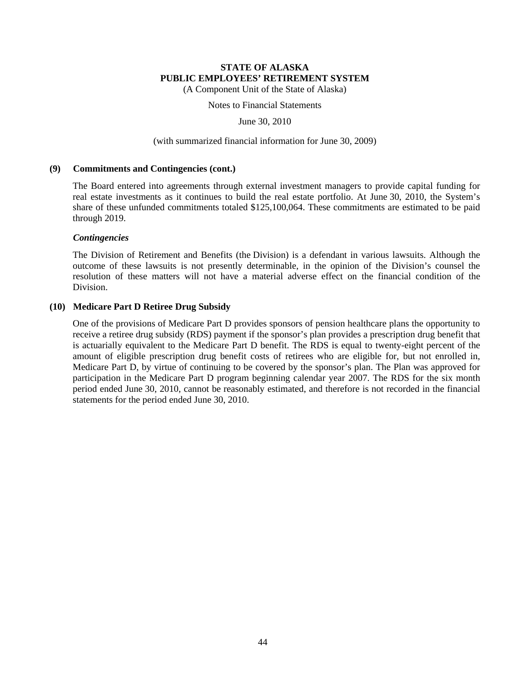(A Component Unit of the State of Alaska)

Notes to Financial Statements

June 30, 2010

### (with summarized financial information for June 30, 2009)

### **(9) Commitments and Contingencies (cont.)**

The Board entered into agreements through external investment managers to provide capital funding for real estate investments as it continues to build the real estate portfolio. At June 30, 2010, the System's share of these unfunded commitments totaled \$125,100,064. These commitments are estimated to be paid through 2019.

### *Contingencies*

The Division of Retirement and Benefits (the Division) is a defendant in various lawsuits. Although the outcome of these lawsuits is not presently determinable, in the opinion of the Division's counsel the resolution of these matters will not have a material adverse effect on the financial condition of the Division.

### **(10) Medicare Part D Retiree Drug Subsidy**

One of the provisions of Medicare Part D provides sponsors of pension healthcare plans the opportunity to receive a retiree drug subsidy (RDS) payment if the sponsor's plan provides a prescription drug benefit that is actuarially equivalent to the Medicare Part D benefit. The RDS is equal to twenty-eight percent of the amount of eligible prescription drug benefit costs of retirees who are eligible for, but not enrolled in, Medicare Part D, by virtue of continuing to be covered by the sponsor's plan. The Plan was approved for participation in the Medicare Part D program beginning calendar year 2007. The RDS for the six month period ended June 30, 2010, cannot be reasonably estimated, and therefore is not recorded in the financial statements for the period ended June 30, 2010.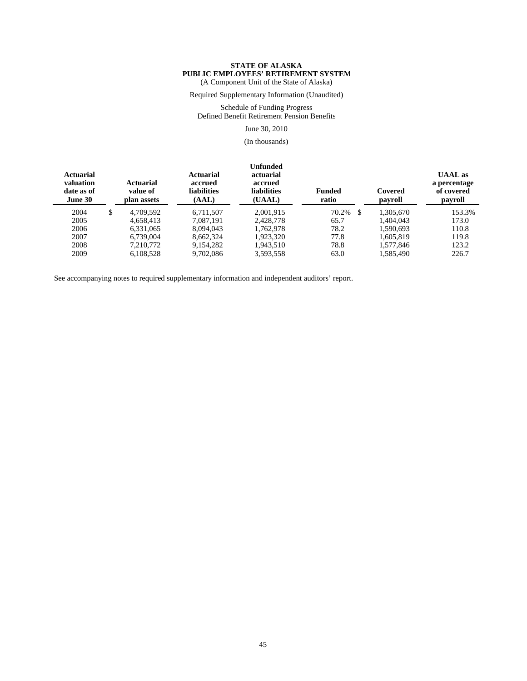Required Supplementary Information (Unaudited)

Schedule of Funding Progress Defined Benefit Retirement Pension Benefits

June 30, 2010

(In thousands)

| <b>Actuarial</b><br>valuation<br>date as of<br>June 30 | Actuarial<br>value of<br>plan assets | Actuarial<br>accrued<br><b>liabilities</b><br>(AAL) | Unfunded<br>actuarial<br>accrued<br><b>liabilities</b><br>(UAAL) | <b>Funded</b><br>ratio | Covered<br>payroll | <b>UAAL</b> as<br>a percentage<br>of covered<br>payroll |
|--------------------------------------------------------|--------------------------------------|-----------------------------------------------------|------------------------------------------------------------------|------------------------|--------------------|---------------------------------------------------------|
| 2004                                                   | \$<br>4.709.592                      | 6.711.507                                           | 2.001.915                                                        | 70.2%<br>- \$          | 1.305.670          | 153.3%                                                  |
| 2005                                                   | 4.658.413                            | 7.087.191                                           | 2.428,778                                                        | 65.7                   | 1.404.043          | 173.0                                                   |
| 2006                                                   | 6,331,065                            | 8.094.043                                           | 1.762.978                                                        | 78.2                   | 1,590,693          | 110.8                                                   |
| 2007                                                   | 6.739,004                            | 8.662.324                                           | 1,923,320                                                        | 77.8                   | 1,605,819          | 119.8                                                   |
| 2008                                                   | 7.210.772                            | 9.154.282                                           | 1.943.510                                                        | 78.8                   | 1,577,846          | 123.2                                                   |
| 2009                                                   | 6.108.528                            | 9.702.086                                           | 3,593,558                                                        | 63.0                   | 1,585,490          | 226.7                                                   |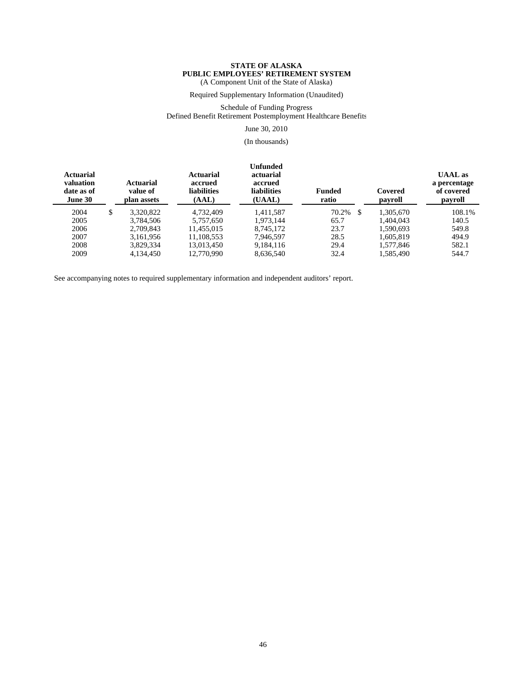Required Supplementary Information (Unaudited)

Schedule of Funding Progress

Defined Benefit Retirement Postemployment Healthcare Benefits

June 30, 2010

(In thousands)

| <b>Actuarial</b><br>valuation<br>date as of<br>June 30 | <b>Actuarial</b><br>value of<br>plan assets | Actuarial<br>accrued<br><b>liabilities</b><br>(AAL) | Unfunded<br>actuarial<br>accrued<br><b>liabilities</b><br>(UAAL) | <b>Funded</b><br>ratio | Covered<br>payroll | <b>UAAL</b> as<br>a percentage<br>of covered<br>payroll |
|--------------------------------------------------------|---------------------------------------------|-----------------------------------------------------|------------------------------------------------------------------|------------------------|--------------------|---------------------------------------------------------|
| 2004                                                   | \$<br>3,320,822                             | 4.732.409                                           | 1.411.587                                                        | 70.2%<br>-S            | 1.305.670          | 108.1%                                                  |
| 2005                                                   | 3.784.506                                   | 5.757.650                                           | 1.973.144                                                        | 65.7                   | 1.404.043          | 140.5                                                   |
| 2006                                                   | 2,709,843                                   | 11.455.015                                          | 8,745,172                                                        | 23.7                   | 1,590,693          | 549.8                                                   |
| 2007                                                   | 3.161.956                                   | 11.108.553                                          | 7,946,597                                                        | 28.5                   | 1,605,819          | 494.9                                                   |
| 2008                                                   | 3.829.334                                   | 13.013.450                                          | 9,184,116                                                        | 29.4                   | 1.577.846          | 582.1                                                   |
| 2009                                                   | 4.134.450                                   | 12.770.990                                          | 8,636,540                                                        | 32.4                   | 1,585,490          | 544.7                                                   |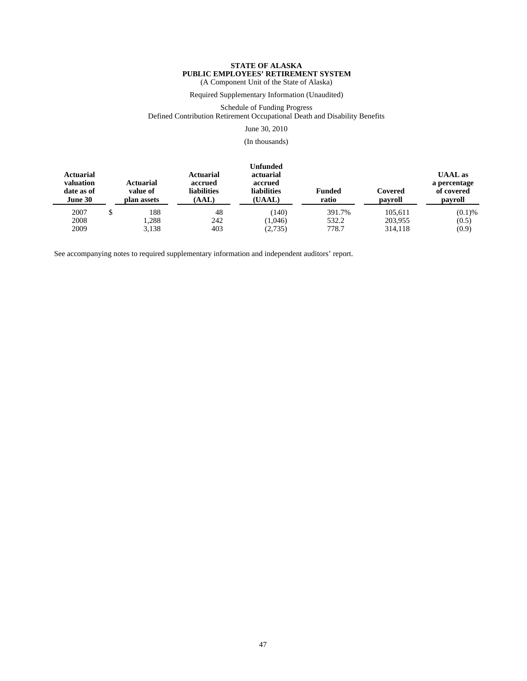Required Supplementary Information (Unaudited)

Schedule of Funding Progress

Defined Contribution Retirement Occupational Death and Disability Benefits

June 30, 2010

(In thousands)

| <b>Actuarial</b><br>valuation<br>date as of<br>June 30 | <b>Actuarial</b><br>value of<br>plan assets | Actuarial<br>accrued<br><b>liabilities</b><br>(AAL) | <b>Unfunded</b><br>actuarial<br>accrued<br>liabilities<br>(UAAL) | <b>Funded</b><br>ratio | Covered<br>payroll | <b>UAAL</b> as<br>a percentage<br>of covered<br>payroll |  |
|--------------------------------------------------------|---------------------------------------------|-----------------------------------------------------|------------------------------------------------------------------|------------------------|--------------------|---------------------------------------------------------|--|
| 2007                                                   | 188                                         | 48                                                  | (140)                                                            | 391.7%                 | 105,611            | (0.1)%                                                  |  |
| 2008                                                   | .288                                        | 242                                                 | (1,046)                                                          | 532.2                  | 203,955            | (0.5)                                                   |  |
| 2009                                                   | 3,138                                       | 403                                                 | (2,735)                                                          | 778.7                  | 314,118            | (0.9)                                                   |  |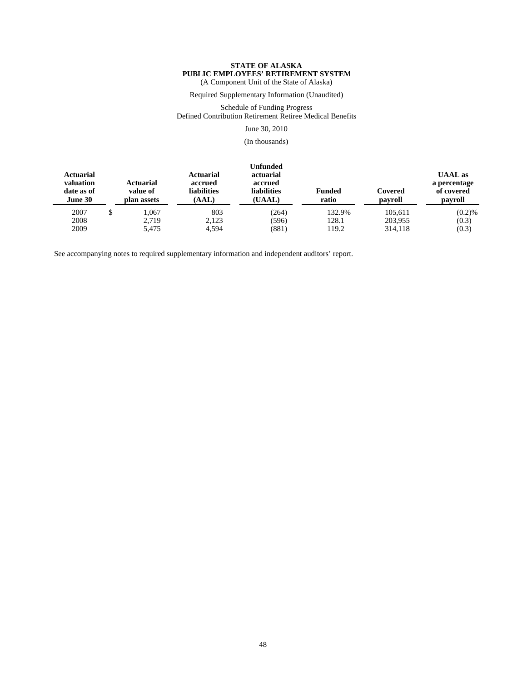Required Supplementary Information (Unaudited)

Schedule of Funding Progress Defined Contribution Retirement Retiree Medical Benefits

June 30, 2010

(In thousands)

| <b>Actuarial</b><br>valuation<br>date as of<br>June 30 | Actuarial<br>value of<br>plan assets | <b>Actuarial</b><br>accrued<br><b>liabilities</b><br>(AAL) | Unfunded<br>actuarial<br>accrued<br><b>liabilities</b><br>(UAAL) | <b>Funded</b><br>ratio | Covered<br>payroll | <b>UAAL</b> as<br>a percentage<br>of covered<br>payroll |  |
|--------------------------------------------------------|--------------------------------------|------------------------------------------------------------|------------------------------------------------------------------|------------------------|--------------------|---------------------------------------------------------|--|
| 2007                                                   | .067                                 | 803                                                        | (264)                                                            | 132.9%                 | 105.611            | (0.2)%                                                  |  |
| 2008                                                   | 2.719                                | 2.123                                                      | (596)                                                            | 128.1                  | 203.955            | (0.3)                                                   |  |
| 2009                                                   | 5,475                                | 4.594                                                      | (881)                                                            | 119.2                  | 314,118            | (0.3)                                                   |  |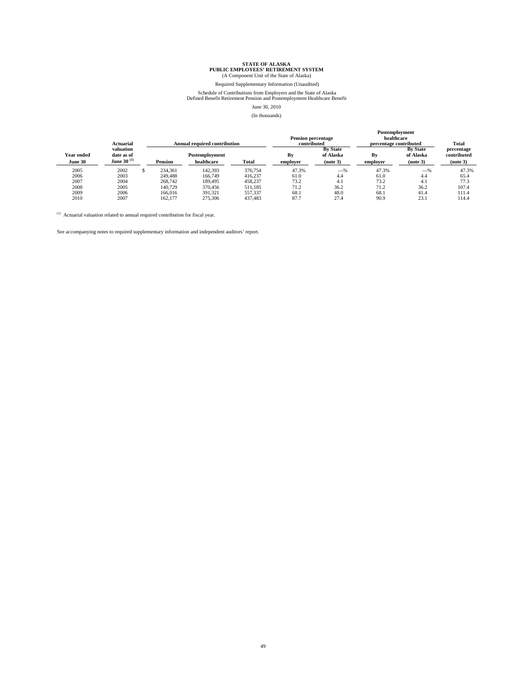### Required Supplementary Information (Unaudited)

Schedule of Contributions from Employers and the State of Alaska Defined Benefit Retirement Pension and Postemployment Healthcare Benefit

#### June 30, 2010

**Postemployment**

#### (In thousands)

|            |                        |         |                                     |         |                                | гоменногопиент<br>healthcare<br><b>Pension percentage</b> |                                           |           |                     |  |
|------------|------------------------|---------|-------------------------------------|---------|--------------------------------|-----------------------------------------------------------|-------------------------------------------|-----------|---------------------|--|
|            | Actuarial<br>valuation |         | <b>Annual required contribution</b> |         | contributed<br><b>By State</b> |                                                           | percentage contributed<br><b>By State</b> |           | Total<br>percentage |  |
| Year ended | date as of             |         | Postemployment                      |         | Bv                             | of Alaska                                                 | Bv                                        | of Alaska | contributed         |  |
| June 30    | June 30 $^{(1)}$       | Pension | healthcare                          | Total   | employer                       | (note 3)                                                  | employer                                  | (note 3)  | (note 3)            |  |
| 2005       | 2002                   | 234,361 | 142.393                             | 376,754 | 47.3%                          | $-$ %                                                     | 47.3%                                     | $-$ %     | 47.3%               |  |
| 2006       | 2003                   | 249,488 | 166,749                             | 416,237 | 61.0                           | 4.4                                                       | 61.0                                      | 4.4       | 65.4                |  |
| 2007       | 2004                   | 268,742 | 189.495                             | 458,237 | 73.2                           | 4.1                                                       | 73.2                                      | 4.1       | 77.3                |  |
| 2008       | 2005                   | 140,729 | 370,456                             | 511.185 | 71.2                           | 36.2                                                      | 71.2                                      | 36.2      | 107.4               |  |
| 2009       | 2006                   | 166,016 | 391.321                             | 557,337 | 68.1                           | 48.0                                                      | 68.1                                      | 41.4      | 111.4               |  |
| 2010       | 2007                   | 162,177 | 275,306                             | 437.483 | 87.7                           | 27.4                                                      | 90.9                                      | 23.1      | 14.4ء               |  |

 $^{(1)}$  Actuarial valuation related to annual required contribution for fiscal year.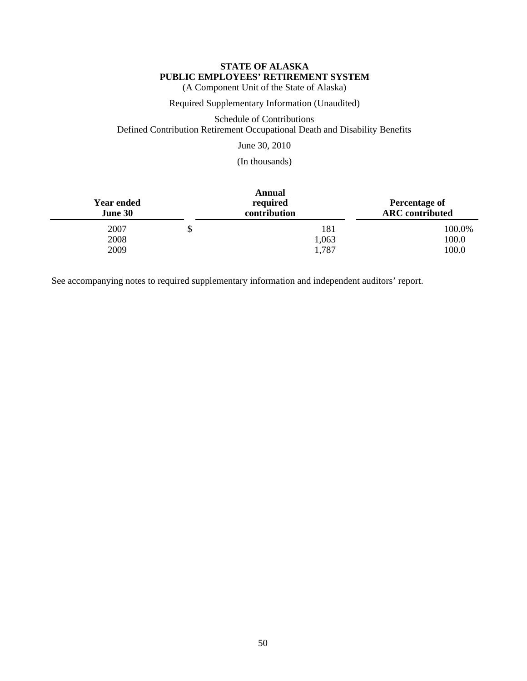(A Component Unit of the State of Alaska)

Required Supplementary Information (Unaudited)

Schedule of Contributions Defined Contribution Retirement Occupational Death and Disability Benefits

June 30, 2010

(In thousands)

| <b>Year ended</b><br>June 30 |   | <b>Annual</b><br>required<br>contribution | <b>Percentage of</b><br><b>ARC</b> contributed |  |
|------------------------------|---|-------------------------------------------|------------------------------------------------|--|
| 2007                         | S | 181                                       | 100.0%                                         |  |
| 2008                         |   | 1,063                                     | 100.0                                          |  |
| 2009                         |   | 1,787                                     | 100.0                                          |  |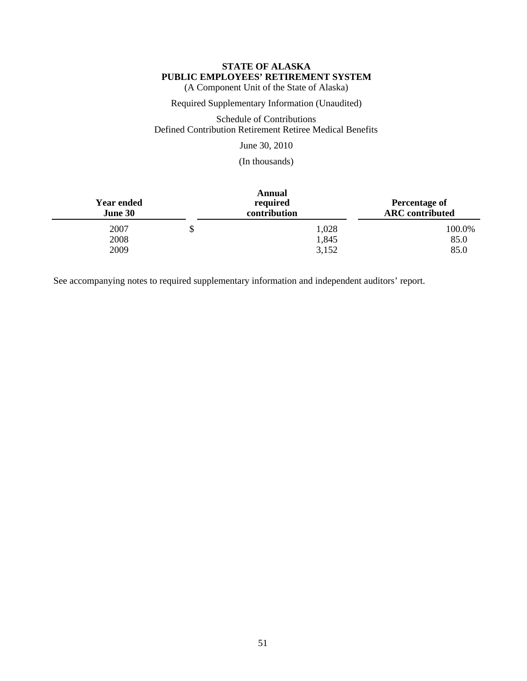(A Component Unit of the State of Alaska)

Required Supplementary Information (Unaudited)

Schedule of Contributions Defined Contribution Retirement Retiree Medical Benefits

June 30, 2010

(In thousands)

| <b>Year ended</b><br>June 30 |   | <b>Annual</b><br>required<br>contribution | <b>Percentage of</b><br><b>ARC</b> contributed |  |
|------------------------------|---|-------------------------------------------|------------------------------------------------|--|
| 2007                         | Φ | 1,028                                     | 100.0%                                         |  |
| 2008                         |   | 1,845                                     | 85.0                                           |  |
| 2009                         |   | 3,152                                     | 85.0                                           |  |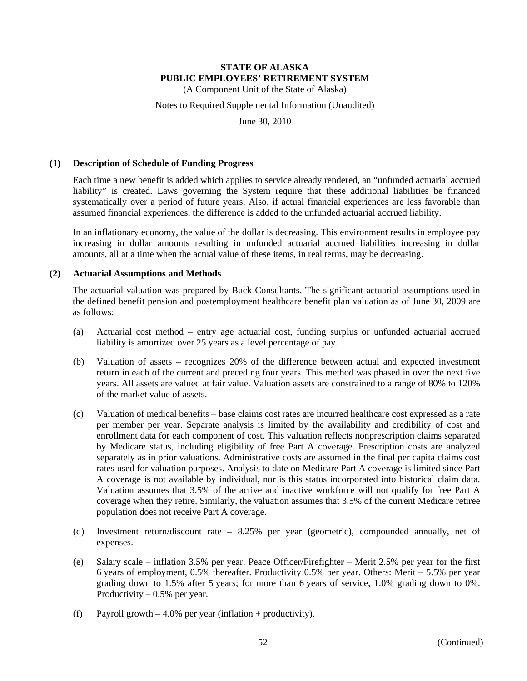(A Component Unit of the State of Alaska)

Notes to Required Supplemental Information (Unaudited)

June 30, 2010

### **(1) Description of Schedule of Funding Progress**

Each time a new benefit is added which applies to service already rendered, an "unfunded actuarial accrued liability" is created. Laws governing the System require that these additional liabilities be financed systematically over a period of future years. Also, if actual financial experiences are less favorable than assumed financial experiences, the difference is added to the unfunded actuarial accrued liability.

In an inflationary economy, the value of the dollar is decreasing. This environment results in employee pay increasing in dollar amounts resulting in unfunded actuarial accrued liabilities increasing in dollar amounts, all at a time when the actual value of these items, in real terms, may be decreasing.

### **(2) Actuarial Assumptions and Methods**

The actuarial valuation was prepared by Buck Consultants. The significant actuarial assumptions used in the defined benefit pension and postemployment healthcare benefit plan valuation as of June 30, 2009 are as follows:

- (a) Actuarial cost method entry age actuarial cost, funding surplus or unfunded actuarial accrued liability is amortized over 25 years as a level percentage of pay.
- (b) Valuation of assets recognizes 20% of the difference between actual and expected investment return in each of the current and preceding four years. This method was phased in over the next five years. All assets are valued at fair value. Valuation assets are constrained to a range of 80% to 120% of the market value of assets.
- (c) Valuation of medical benefits base claims cost rates are incurred healthcare cost expressed as a rate per member per year. Separate analysis is limited by the availability and credibility of cost and enrollment data for each component of cost. This valuation reflects nonprescription claims separated by Medicare status, including eligibility of free Part A coverage. Prescription costs are analyzed separately as in prior valuations. Administrative costs are assumed in the final per capita claims cost rates used for valuation purposes. Analysis to date on Medicare Part A coverage is limited since Part A coverage is not available by individual, nor is this status incorporated into historical claim data. Valuation assumes that 3.5% of the active and inactive workforce will not qualify for free Part A coverage when they retire. Similarly, the valuation assumes that 3.5% of the current Medicare retiree population does not receive Part A coverage.
- (d) Investment return/discount rate 8.25% per year (geometric), compounded annually, net of expenses.
- (e) Salary scale inflation 3.5% per year. Peace Officer/Firefighter Merit 2.5% per year for the first 6 years of employment, 0.5% thereafter. Productivity 0.5% per year. Others: Merit – 5.5% per year grading down to 1.5% after 5 years; for more than 6 years of service, 1.0% grading down to 0%. Productivity  $-0.5%$  per year.
- (f) Payroll growth  $-4.0\%$  per year (inflation + productivity).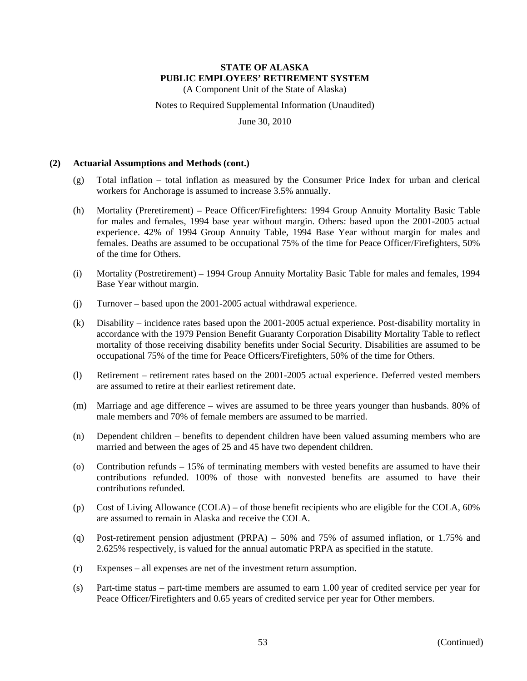(A Component Unit of the State of Alaska)

Notes to Required Supplemental Information (Unaudited)

June 30, 2010

### **(2) Actuarial Assumptions and Methods (cont.)**

- (g) Total inflation total inflation as measured by the Consumer Price Index for urban and clerical workers for Anchorage is assumed to increase 3.5% annually.
- (h) Mortality (Preretirement) Peace Officer/Firefighters: 1994 Group Annuity Mortality Basic Table for males and females, 1994 base year without margin. Others: based upon the 2001-2005 actual experience. 42% of 1994 Group Annuity Table, 1994 Base Year without margin for males and females. Deaths are assumed to be occupational 75% of the time for Peace Officer/Firefighters, 50% of the time for Others.
- (i) Mortality (Postretirement) 1994 Group Annuity Mortality Basic Table for males and females, 1994 Base Year without margin.
- (j) Turnover based upon the 2001-2005 actual withdrawal experience.
- (k) Disability incidence rates based upon the 2001-2005 actual experience. Post-disability mortality in accordance with the 1979 Pension Benefit Guaranty Corporation Disability Mortality Table to reflect mortality of those receiving disability benefits under Social Security. Disabilities are assumed to be occupational 75% of the time for Peace Officers/Firefighters, 50% of the time for Others.
- (l) Retirement retirement rates based on the 2001-2005 actual experience. Deferred vested members are assumed to retire at their earliest retirement date.
- (m) Marriage and age difference wives are assumed to be three years younger than husbands. 80% of male members and 70% of female members are assumed to be married.
- (n) Dependent children benefits to dependent children have been valued assuming members who are married and between the ages of 25 and 45 have two dependent children.
- (o) Contribution refunds 15% of terminating members with vested benefits are assumed to have their contributions refunded. 100% of those with nonvested benefits are assumed to have their contributions refunded.
- (p) Cost of Living Allowance (COLA) of those benefit recipients who are eligible for the COLA, 60% are assumed to remain in Alaska and receive the COLA.
- (q) Post-retirement pension adjustment (PRPA) 50% and 75% of assumed inflation, or 1.75% and 2.625% respectively, is valued for the annual automatic PRPA as specified in the statute.
- (r) Expenses all expenses are net of the investment return assumption.
- (s) Part-time status part-time members are assumed to earn 1.00 year of credited service per year for Peace Officer/Firefighters and 0.65 years of credited service per year for Other members.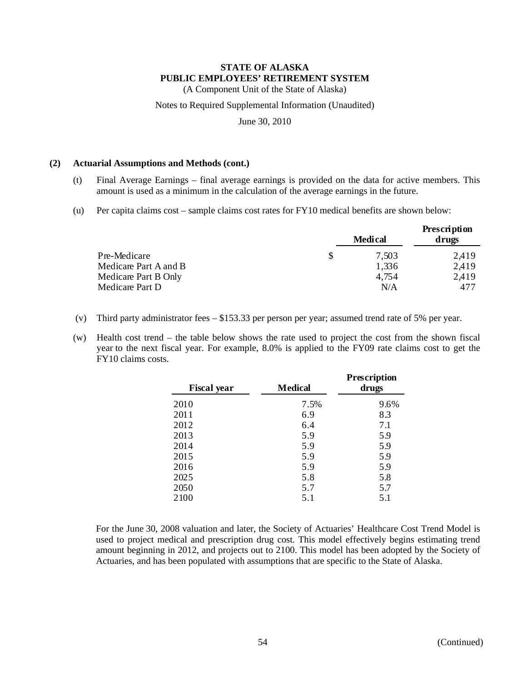(A Component Unit of the State of Alaska)

Notes to Required Supplemental Information (Unaudited)

June 30, 2010

### **(2) Actuarial Assumptions and Methods (cont.)**

- (t) Final Average Earnings final average earnings is provided on the data for active members. This amount is used as a minimum in the calculation of the average earnings in the future.
- (u) Per capita claims cost sample claims cost rates for FY10 medical benefits are shown below:

|                       | <b>Medical</b> | Prescription<br>drugs |
|-----------------------|----------------|-----------------------|
| Pre-Medicare          | 7,503          | 2,419                 |
| Medicare Part A and B | 1,336          | 2,419                 |
| Medicare Part B Only  | 4,754          | 2.419                 |
| Medicare Part D       | N/A            | 477                   |

- (v) Third party administrator fees \$153.33 per person per year; assumed trend rate of 5% per year.
- (w) Health cost trend the table below shows the rate used to project the cost from the shown fiscal year to the next fiscal year. For example, 8.0% is applied to the FY09 rate claims cost to get the FY10 claims costs.

| <b>Fiscal year</b> | <b>Medical</b> | <b>Prescription</b><br>drugs |  |
|--------------------|----------------|------------------------------|--|
| 2010               | 7.5%           | 9.6%                         |  |
| 2011               | 6.9            | 8.3                          |  |
| 2012               | 6.4            | 7.1                          |  |
| 2013               | 5.9            | 5.9                          |  |
| 2014               | 5.9            | 5.9                          |  |
| 2015               | 5.9            | 5.9                          |  |
| 2016               | 5.9            | 5.9                          |  |
| 2025               | 5.8            | 5.8                          |  |
| 2050               | 5.7            | 5.7                          |  |
| 2100               | 5.1            | 5.1                          |  |

For the June 30, 2008 valuation and later, the Society of Actuaries' Healthcare Cost Trend Model is used to project medical and prescription drug cost. This model effectively begins estimating trend amount beginning in 2012, and projects out to 2100. This model has been adopted by the Society of Actuaries, and has been populated with assumptions that are specific to the State of Alaska.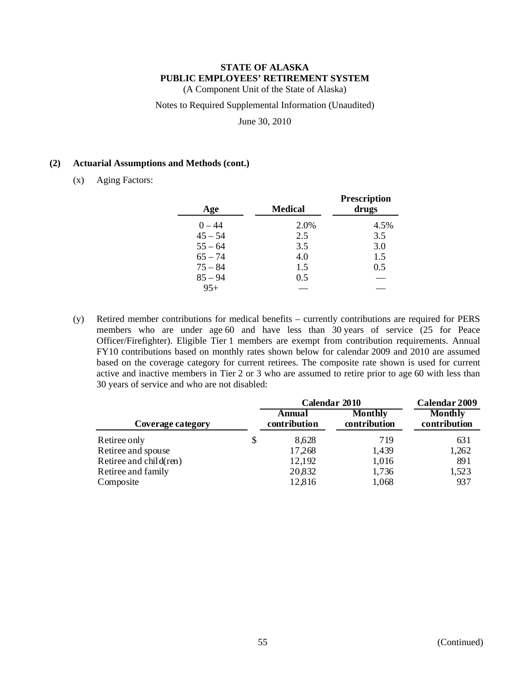(A Component Unit of the State of Alaska)

Notes to Required Supplemental Information (Unaudited)

June 30, 2010

## **(2) Actuarial Assumptions and Methods (cont.)**

(x) Aging Factors:

| Age       | <b>Medical</b> | <b>Prescription</b><br>drugs |
|-----------|----------------|------------------------------|
| $0 - 44$  | 2.0%           | 4.5%                         |
| $45 - 54$ | 2.5            | 3.5                          |
| $55 - 64$ | 3.5            | 3.0                          |
| $65 - 74$ | 4.0            | 1.5                          |
| $75 - 84$ | 1.5            | 0.5                          |
| $85 - 94$ | 0.5            |                              |
| $95+$     |                |                              |

(y) Retired member contributions for medical benefits – currently contributions are required for PERS members who are under age 60 and have less than 30 years of service (25 for Peace Officer/Firefighter). Eligible Tier 1 members are exempt from contribution requirements. Annual FY10 contributions based on monthly rates shown below for calendar 2009 and 2010 are assumed based on the coverage category for current retirees. The composite rate shown is used for current active and inactive members in Tier 2 or 3 who are assumed to retire prior to age 60 with less than 30 years of service and who are not disabled:

|                        |   | Calendar 2010          | Calendar 2009                  |                                |
|------------------------|---|------------------------|--------------------------------|--------------------------------|
| Coverage category      |   | Annual<br>contribution | <b>Monthly</b><br>contribution | <b>Monthly</b><br>contribution |
| Retiree only           | S | 8,628                  | 719                            | 631                            |
| Retiree and spouse     |   | 17,268                 | 1,439                          | 1,262                          |
| Retiree and child(ren) |   | 12,192                 | 1,016                          | 891                            |
| Retiree and family     |   | 20,832                 | 1,736                          | 1,523                          |
| Composite              |   | 12,816                 | 1,068                          | 937                            |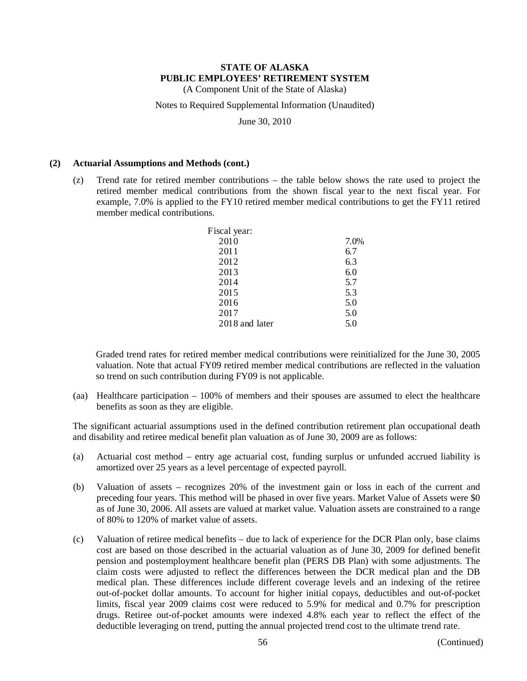(A Component Unit of the State of Alaska)

Notes to Required Supplemental Information (Unaudited)

June 30, 2010

### **(2) Actuarial Assumptions and Methods (cont.)**

(z) Trend rate for retired member contributions – the table below shows the rate used to project the retired member medical contributions from the shown fiscal year to the next fiscal year. For example, 7.0% is applied to the FY10 retired member medical contributions to get the FY11 retired member medical contributions.

| Fiscal year:   |      |
|----------------|------|
| 2010           | 7.0% |
| 2011           | 6.7  |
| 2012           | 6.3  |
| 2013           | 6.0  |
| 2014           | 5.7  |
| 2015           | 5.3  |
| 2016           | 5.0  |
| 2017           | 5.0  |
| 2018 and later | 5.0  |

Graded trend rates for retired member medical contributions were reinitialized for the June 30, 2005 valuation. Note that actual FY09 retired member medical contributions are reflected in the valuation so trend on such contribution during FY09 is not applicable.

(aa) Healthcare participation – 100% of members and their spouses are assumed to elect the healthcare benefits as soon as they are eligible.

The significant actuarial assumptions used in the defined contribution retirement plan occupational death and disability and retiree medical benefit plan valuation as of June 30, 2009 are as follows:

- (a) Actuarial cost method entry age actuarial cost, funding surplus or unfunded accrued liability is amortized over 25 years as a level percentage of expected payroll.
- (b) Valuation of assets recognizes 20% of the investment gain or loss in each of the current and preceding four years. This method will be phased in over five years. Market Value of Assets were \$0 as of June 30, 2006. All assets are valued at market value. Valuation assets are constrained to a range of 80% to 120% of market value of assets.
- (c) Valuation of retiree medical benefits due to lack of experience for the DCR Plan only, base claims cost are based on those described in the actuarial valuation as of June 30, 2009 for defined benefit pension and postemployment healthcare benefit plan (PERS DB Plan) with some adjustments. The claim costs were adjusted to reflect the differences between the DCR medical plan and the DB medical plan. These differences include different coverage levels and an indexing of the retiree out-of-pocket dollar amounts. To account for higher initial copays, deductibles and out-of-pocket limits, fiscal year 2009 claims cost were reduced to 5.9% for medical and 0.7% for prescription drugs. Retiree out-of-pocket amounts were indexed 4.8% each year to reflect the effect of the deductible leveraging on trend, putting the annual projected trend cost to the ultimate trend rate.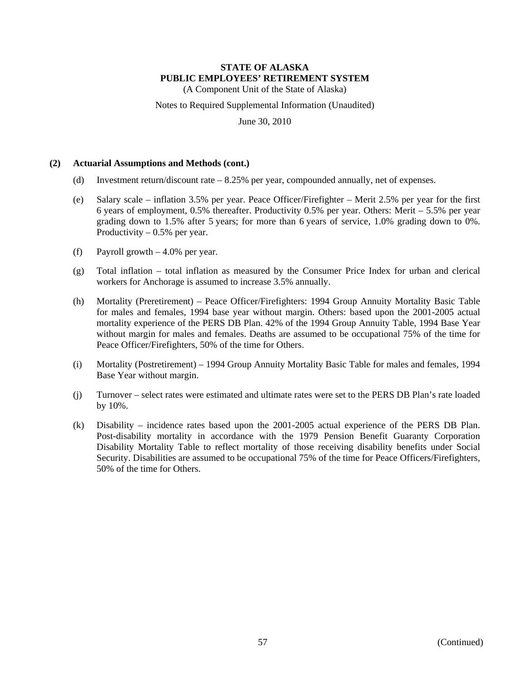(A Component Unit of the State of Alaska)

Notes to Required Supplemental Information (Unaudited)

June 30, 2010

### **(2) Actuarial Assumptions and Methods (cont.)**

- (d) Investment return/discount rate 8.25% per year, compounded annually, net of expenses.
- (e) Salary scale inflation 3.5% per year. Peace Officer/Firefighter Merit 2.5% per year for the first 6 years of employment, 0.5% thereafter. Productivity 0.5% per year. Others: Merit – 5.5% per year grading down to 1.5% after 5 years; for more than 6 years of service, 1.0% grading down to 0%. Productivity  $-0.5%$  per year.
- (f) Payroll growth  $-4.0\%$  per year.
- (g) Total inflation total inflation as measured by the Consumer Price Index for urban and clerical workers for Anchorage is assumed to increase 3.5% annually.
- (h) Mortality (Preretirement) Peace Officer/Firefighters: 1994 Group Annuity Mortality Basic Table for males and females, 1994 base year without margin. Others: based upon the 2001-2005 actual mortality experience of the PERS DB Plan. 42% of the 1994 Group Annuity Table, 1994 Base Year without margin for males and females. Deaths are assumed to be occupational 75% of the time for Peace Officer/Firefighters, 50% of the time for Others.
- (i) Mortality (Postretirement) 1994 Group Annuity Mortality Basic Table for males and females, 1994 Base Year without margin.
- (j) Turnover select rates were estimated and ultimate rates were set to the PERS DB Plan's rate loaded by 10%.
- (k) Disability incidence rates based upon the 2001-2005 actual experience of the PERS DB Plan. Post-disability mortality in accordance with the 1979 Pension Benefit Guaranty Corporation Disability Mortality Table to reflect mortality of those receiving disability benefits under Social Security. Disabilities are assumed to be occupational 75% of the time for Peace Officers/Firefighters, 50% of the time for Others.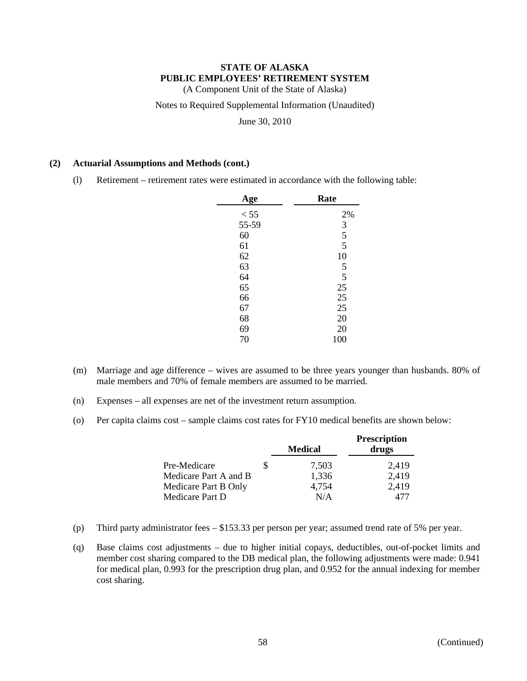(A Component Unit of the State of Alaska)

Notes to Required Supplemental Information (Unaudited)

June 30, 2010

### **(2) Actuarial Assumptions and Methods (cont.)**

(l) Retirement – retirement rates were estimated in accordance with the following table:

| Age   | Rate           |
|-------|----------------|
| < 55  | 2%             |
| 55-59 | 3              |
| 60    | 5              |
| 61    | $\overline{5}$ |
| 62    | 10             |
| 63    | 5              |
| 64    | 5              |
| 65    | 25             |
| 66    | 25             |
| 67    | 25             |
| 68    | 20             |
| 69    | 20             |
| 70    | 100            |
|       |                |

- (m) Marriage and age difference wives are assumed to be three years younger than husbands. 80% of male members and 70% of female members are assumed to be married.
- (n) Expenses all expenses are net of the investment return assumption.
- (o) Per capita claims cost sample claims cost rates for FY10 medical benefits are shown below:

|                       |   | <b>Medical</b> | <b>Prescription</b><br>drugs |
|-----------------------|---|----------------|------------------------------|
| Pre-Medicare          | S | 7,503          | 2,419                        |
| Medicare Part A and B |   | 1,336          | 2,419                        |
| Medicare Part B Only  |   | 4,754          | 2,419                        |
| Medicare Part D       |   | N/A            | 477                          |

- (p) Third party administrator fees \$153.33 per person per year; assumed trend rate of 5% per year.
- (q) Base claims cost adjustments due to higher initial copays, deductibles, out-of-pocket limits and member cost sharing compared to the DB medical plan, the following adjustments were made: 0.941 for medical plan, 0.993 for the prescription drug plan, and 0.952 for the annual indexing for member cost sharing.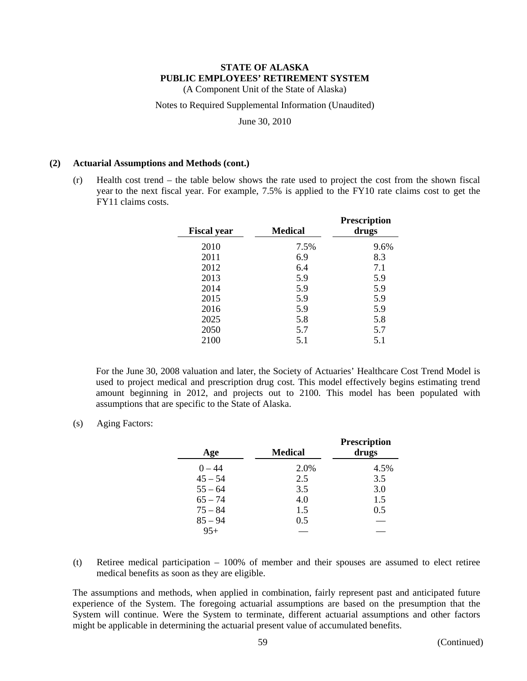(A Component Unit of the State of Alaska)

Notes to Required Supplemental Information (Unaudited)

June 30, 2010

#### **(2) Actuarial Assumptions and Methods (cont.)**

(r) Health cost trend – the table below shows the rate used to project the cost from the shown fiscal year to the next fiscal year. For example, 7.5% is applied to the FY10 rate claims cost to get the FY11 claims costs.

| <b>Fiscal year</b> | Medical | Prescription<br>drugs |
|--------------------|---------|-----------------------|
| 2010               | 7.5%    | 9.6%                  |
| 2011               | 6.9     | 8.3                   |
| 2012               | 6.4     | 7.1                   |
| 2013               | 5.9     | 5.9                   |
| 2014               | 5.9     | 5.9                   |
| 2015               | 5.9     | 5.9                   |
| 2016               | 5.9     | 5.9                   |
| 2025               | 5.8     | 5.8                   |
| 2050               | 5.7     | 5.7                   |
| 2100               | 5.1     | 5.1                   |

For the June 30, 2008 valuation and later, the Society of Actuaries' Healthcare Cost Trend Model is used to project medical and prescription drug cost. This model effectively begins estimating trend amount beginning in 2012, and projects out to 2100. This model has been populated with assumptions that are specific to the State of Alaska.

(s) Aging Factors:

| Age       | <b>Medical</b> | <b>Prescription</b><br>drugs |
|-----------|----------------|------------------------------|
| $0 - 44$  | 2.0%           | 4.5%                         |
| $45 - 54$ | 2.5            | 3.5                          |
| $55 - 64$ | 3.5            | 3.0                          |
| $65 - 74$ | 4.0            | 1.5                          |
| $75 - 84$ | 1.5            | 0.5                          |
| $85 - 94$ | 0.5            |                              |
| $95+$     |                |                              |

(t) Retiree medical participation – 100% of member and their spouses are assumed to elect retiree medical benefits as soon as they are eligible.

The assumptions and methods, when applied in combination, fairly represent past and anticipated future experience of the System. The foregoing actuarial assumptions are based on the presumption that the System will continue. Were the System to terminate, different actuarial assumptions and other factors might be applicable in determining the actuarial present value of accumulated benefits.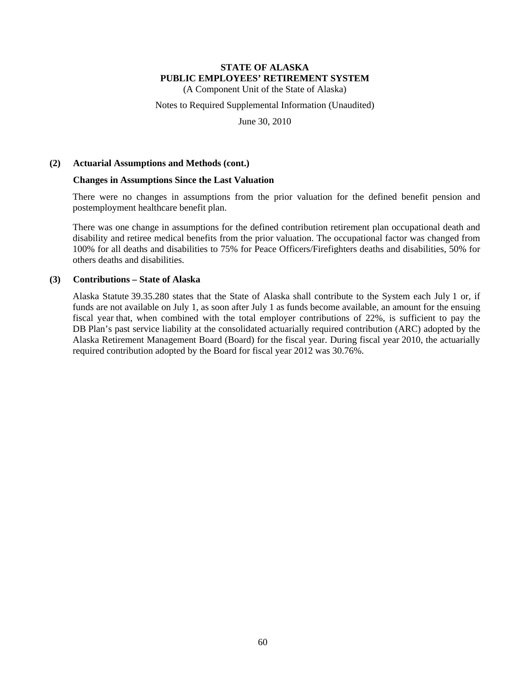(A Component Unit of the State of Alaska)

Notes to Required Supplemental Information (Unaudited)

June 30, 2010

### **(2) Actuarial Assumptions and Methods (cont.)**

### **Changes in Assumptions Since the Last Valuation**

There were no changes in assumptions from the prior valuation for the defined benefit pension and postemployment healthcare benefit plan.

There was one change in assumptions for the defined contribution retirement plan occupational death and disability and retiree medical benefits from the prior valuation. The occupational factor was changed from 100% for all deaths and disabilities to 75% for Peace Officers/Firefighters deaths and disabilities, 50% for others deaths and disabilities.

### **(3) Contributions – State of Alaska**

Alaska Statute 39.35.280 states that the State of Alaska shall contribute to the System each July 1 or, if funds are not available on July 1, as soon after July 1 as funds become available, an amount for the ensuing fiscal year that, when combined with the total employer contributions of 22%, is sufficient to pay the DB Plan's past service liability at the consolidated actuarially required contribution (ARC) adopted by the Alaska Retirement Management Board (Board) for the fiscal year. During fiscal year 2010, the actuarially required contribution adopted by the Board for fiscal year 2012 was 30.76%.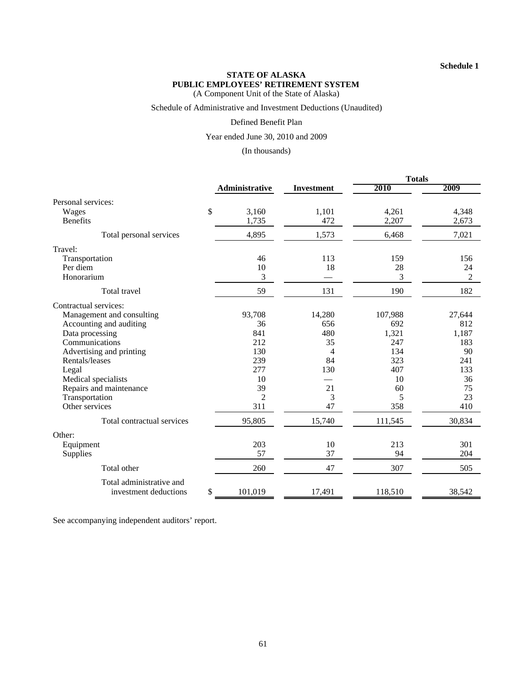#### **Schedule 1**

#### **STATE OF ALASKA PUBLIC EMPLOYEES' RETIREMENT SYSTEM** (A Component Unit of the State of Alaska)

Schedule of Administrative and Investment Deductions (Unaudited)

#### Defined Benefit Plan

Year ended June 30, 2010 and 2009

(In thousands)

|                             |                |                   | <b>Totals</b> |        |  |
|-----------------------------|----------------|-------------------|---------------|--------|--|
|                             | Administrative | <b>Investment</b> | 2010          | 2009   |  |
| Personal services:          |                |                   |               |        |  |
| \$<br>Wages                 | 3,160          | 1,101             | 4,261         | 4,348  |  |
| <b>Benefits</b>             | 1,735          | 472               | 2,207         | 2,673  |  |
| Total personal services     | 4,895          | 1,573             | 6,468         | 7,021  |  |
| Travel:                     |                |                   |               |        |  |
| Transportation              | 46             | 113               | 159           | 156    |  |
| Per diem                    | 10             | 18                | 28            | 24     |  |
| Honorarium                  | 3              |                   | 3             | 2      |  |
| <b>Total travel</b>         | 59             | 131               | 190           | 182    |  |
| Contractual services:       |                |                   |               |        |  |
| Management and consulting   | 93,708         | 14,280            | 107,988       | 27,644 |  |
| Accounting and auditing     | 36             | 656               | 692           | 812    |  |
| Data processing             | 841            | 480               | 1,321         | 1,187  |  |
| Communications              | 212            | 35                | 247           | 183    |  |
| Advertising and printing    | 130            | 4                 | 134           | 90     |  |
| Rentals/leases              | 239            | 84                | 323           | 241    |  |
| Legal                       | 277            | 130               | 407           | 133    |  |
| Medical specialists         | 10             |                   | 10            | 36     |  |
| Repairs and maintenance     | 39             | 21                | 60            | 75     |  |
| Transportation              | $\overline{2}$ | 3                 | 5             | 23     |  |
| Other services              | 311            | 47                | 358           | 410    |  |
| Total contractual services  | 95,805         | 15,740            | 111,545       | 30,834 |  |
| Other:                      |                |                   |               |        |  |
| Equipment                   | 203            | 10                | 213           | 301    |  |
| Supplies                    | 57             | 37                | 94            | 204    |  |
| Total other                 | 260            | 47                | 307           | 505    |  |
| Total administrative and    |                |                   |               |        |  |
| \$<br>investment deductions | 101,019        | 17,491            | 118,510       | 38,542 |  |

See accompanying independent auditors' report.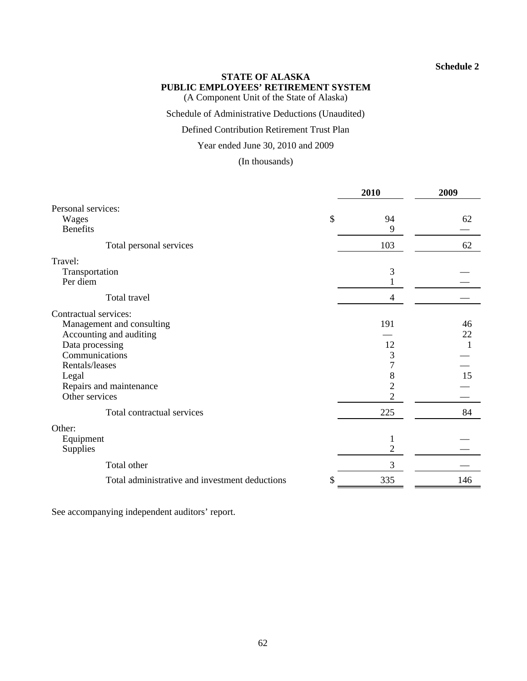# **Schedule 2**

# **STATE OF ALASKA PUBLIC EMPLOYEES' RETIREMENT SYSTEM**

(A Component Unit of the State of Alaska)

Schedule of Administrative Deductions (Unaudited)

# Defined Contribution Retirement Trust Plan

Year ended June 30, 2010 and 2009

(In thousands)

| Personal services:<br>\$<br>94<br>Wages<br>62<br><b>Benefits</b><br>9<br>103<br>62<br>Total personal services<br>3<br>Transportation<br>Per diem<br>Total travel<br>$\overline{4}$<br>191<br>Management and consulting<br>46<br>Accounting and auditing<br>22<br>Data processing<br>12<br>Communications<br>3<br>$\overline{7}$<br>Rentals/leases<br>15<br>8<br>Legal<br>$\overline{2}$<br>Repairs and maintenance<br>$\overline{2}$<br>Other services<br>225<br>84<br>Total contractual services<br>Equipment<br>1<br>2<br>Supplies<br>Total other<br>3<br>Total administrative and investment deductions<br>335<br>146 |                       | 2010 |  | 2009 |
|--------------------------------------------------------------------------------------------------------------------------------------------------------------------------------------------------------------------------------------------------------------------------------------------------------------------------------------------------------------------------------------------------------------------------------------------------------------------------------------------------------------------------------------------------------------------------------------------------------------------------|-----------------------|------|--|------|
|                                                                                                                                                                                                                                                                                                                                                                                                                                                                                                                                                                                                                          |                       |      |  |      |
|                                                                                                                                                                                                                                                                                                                                                                                                                                                                                                                                                                                                                          |                       |      |  |      |
|                                                                                                                                                                                                                                                                                                                                                                                                                                                                                                                                                                                                                          |                       |      |  |      |
|                                                                                                                                                                                                                                                                                                                                                                                                                                                                                                                                                                                                                          |                       |      |  |      |
|                                                                                                                                                                                                                                                                                                                                                                                                                                                                                                                                                                                                                          | Travel:               |      |  |      |
|                                                                                                                                                                                                                                                                                                                                                                                                                                                                                                                                                                                                                          |                       |      |  |      |
|                                                                                                                                                                                                                                                                                                                                                                                                                                                                                                                                                                                                                          |                       |      |  |      |
|                                                                                                                                                                                                                                                                                                                                                                                                                                                                                                                                                                                                                          |                       |      |  |      |
|                                                                                                                                                                                                                                                                                                                                                                                                                                                                                                                                                                                                                          | Contractual services: |      |  |      |
|                                                                                                                                                                                                                                                                                                                                                                                                                                                                                                                                                                                                                          |                       |      |  |      |
|                                                                                                                                                                                                                                                                                                                                                                                                                                                                                                                                                                                                                          |                       |      |  |      |
|                                                                                                                                                                                                                                                                                                                                                                                                                                                                                                                                                                                                                          |                       |      |  |      |
|                                                                                                                                                                                                                                                                                                                                                                                                                                                                                                                                                                                                                          |                       |      |  |      |
|                                                                                                                                                                                                                                                                                                                                                                                                                                                                                                                                                                                                                          |                       |      |  |      |
|                                                                                                                                                                                                                                                                                                                                                                                                                                                                                                                                                                                                                          |                       |      |  |      |
|                                                                                                                                                                                                                                                                                                                                                                                                                                                                                                                                                                                                                          |                       |      |  |      |
|                                                                                                                                                                                                                                                                                                                                                                                                                                                                                                                                                                                                                          |                       |      |  |      |
|                                                                                                                                                                                                                                                                                                                                                                                                                                                                                                                                                                                                                          |                       |      |  |      |
|                                                                                                                                                                                                                                                                                                                                                                                                                                                                                                                                                                                                                          | Other:                |      |  |      |
|                                                                                                                                                                                                                                                                                                                                                                                                                                                                                                                                                                                                                          |                       |      |  |      |
|                                                                                                                                                                                                                                                                                                                                                                                                                                                                                                                                                                                                                          |                       |      |  |      |
|                                                                                                                                                                                                                                                                                                                                                                                                                                                                                                                                                                                                                          |                       |      |  |      |
|                                                                                                                                                                                                                                                                                                                                                                                                                                                                                                                                                                                                                          |                       |      |  |      |

See accompanying independent auditors' report.